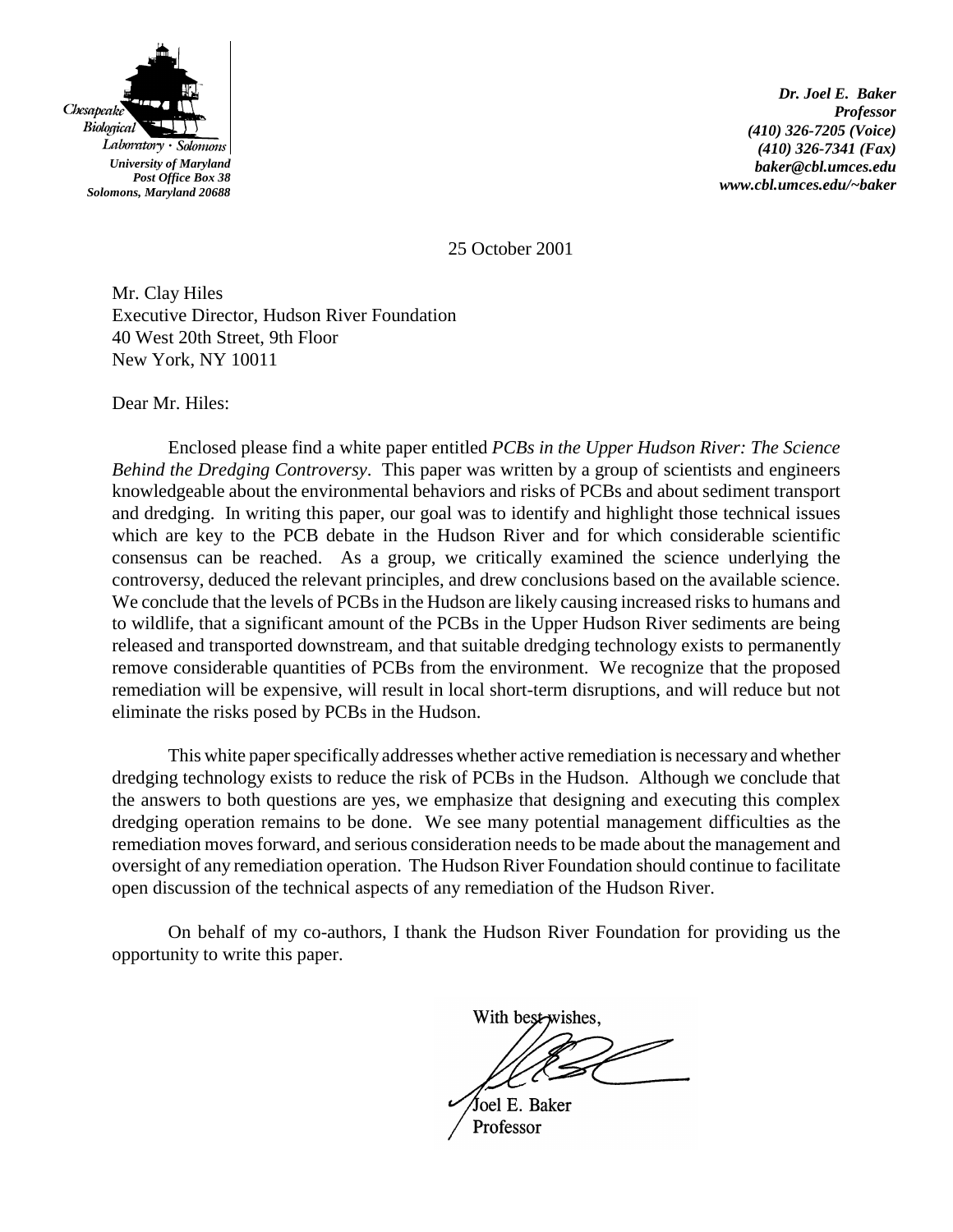

*Dr. Joel E. Baker Professor (410) 326-7205 (Voice) (410) 326-7341 (Fax) baker@cbl.umces.edu www.cbl.umces.edu/~baker*

25 October 2001

Mr. Clay Hiles Executive Director, Hudson River Foundation 40 West 20th Street, 9th Floor New York, NY 10011

Dear Mr. Hiles:

Enclosed please find a white paper entitled *PCBs in the Upper Hudson River: The Science Behind the Dredging Controversy*. This paper was written by a group of scientists and engineers knowledgeable about the environmental behaviors and risks of PCBs and about sediment transport and dredging. In writing this paper, our goal was to identify and highlight those technical issues which are key to the PCB debate in the Hudson River and for which considerable scientific consensus can be reached. As a group, we critically examined the science underlying the controversy, deduced the relevant principles, and drew conclusions based on the available science. We conclude that the levels of PCBs in the Hudson are likely causing increased risks to humans and to wildlife, that a significant amount of the PCBs in the Upper Hudson River sediments are being released and transported downstream, and that suitable dredging technology exists to permanently remove considerable quantities of PCBs from the environment. We recognize that the proposed remediation will be expensive, will result in local short-term disruptions, and will reduce but not eliminate the risks posed by PCBs in the Hudson.

This white paper specifically addresses whether active remediation is necessary and whether dredging technology exists to reduce the risk of PCBs in the Hudson. Although we conclude that the answers to both questions are yes, we emphasize that designing and executing this complex dredging operation remains to be done. We see many potential management difficulties as the remediation moves forward, and serious consideration needs to be made about the management and oversight of any remediation operation. The Hudson River Foundation should continue to facilitate open discussion of the technical aspects of any remediation of the Hudson River.

On behalf of my co-authors, I thank the Hudson River Foundation for providing us the opportunity to write this paper.

With best-wishes.

Joel E. Baker Professor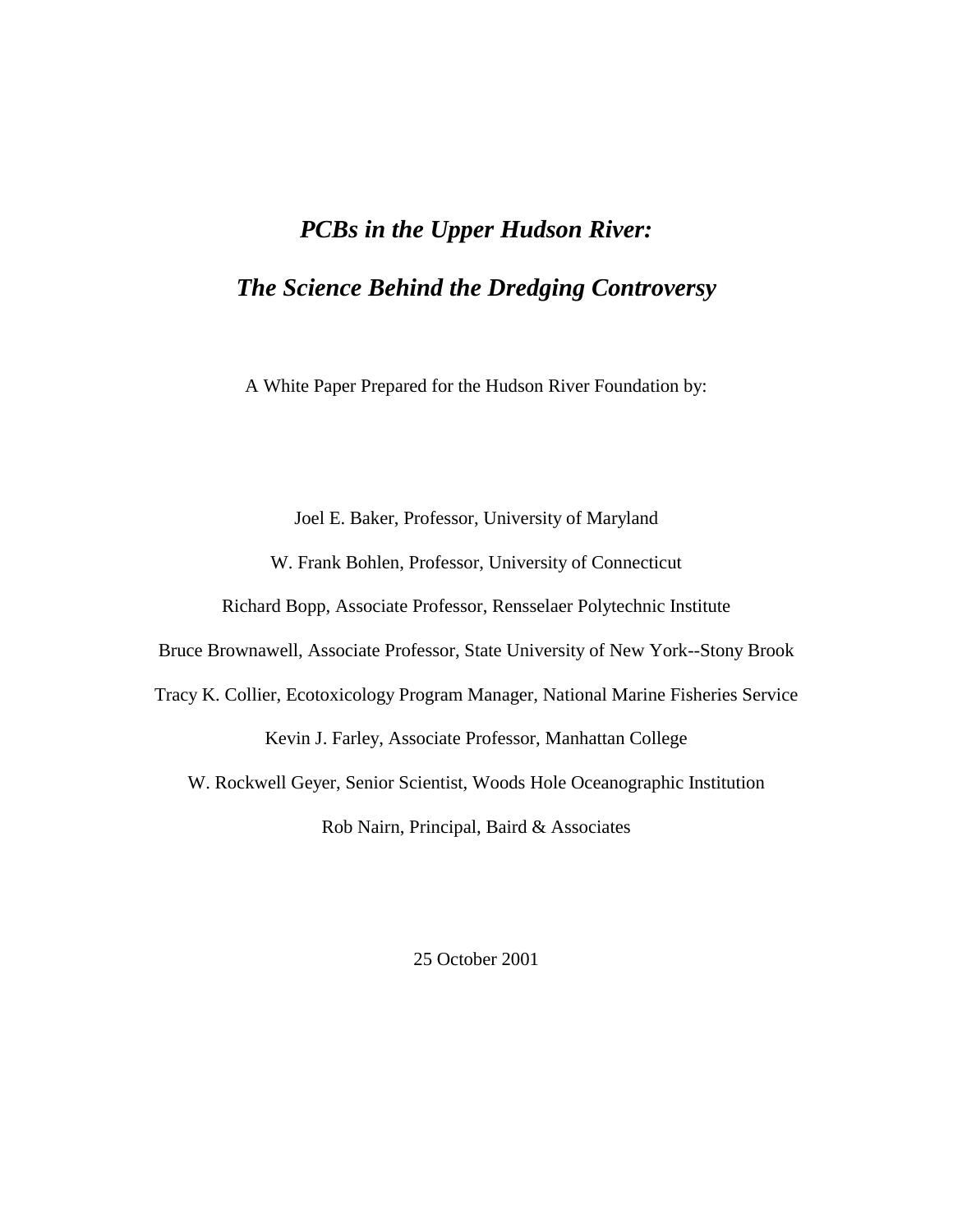# *PCBs in the Upper Hudson River: The Science Behind the Dredging Controversy*

A White Paper Prepared for the Hudson River Foundation by:

Joel E. Baker, Professor, University of Maryland W. Frank Bohlen, Professor, University of Connecticut Richard Bopp, Associate Professor, Rensselaer Polytechnic Institute Bruce Brownawell, Associate Professor, State University of New York--Stony Brook Tracy K. Collier, Ecotoxicology Program Manager, National Marine Fisheries Service Kevin J. Farley, Associate Professor, Manhattan College W. Rockwell Geyer, Senior Scientist, Woods Hole Oceanographic Institution

Rob Nairn, Principal, Baird & Associates

25 October 2001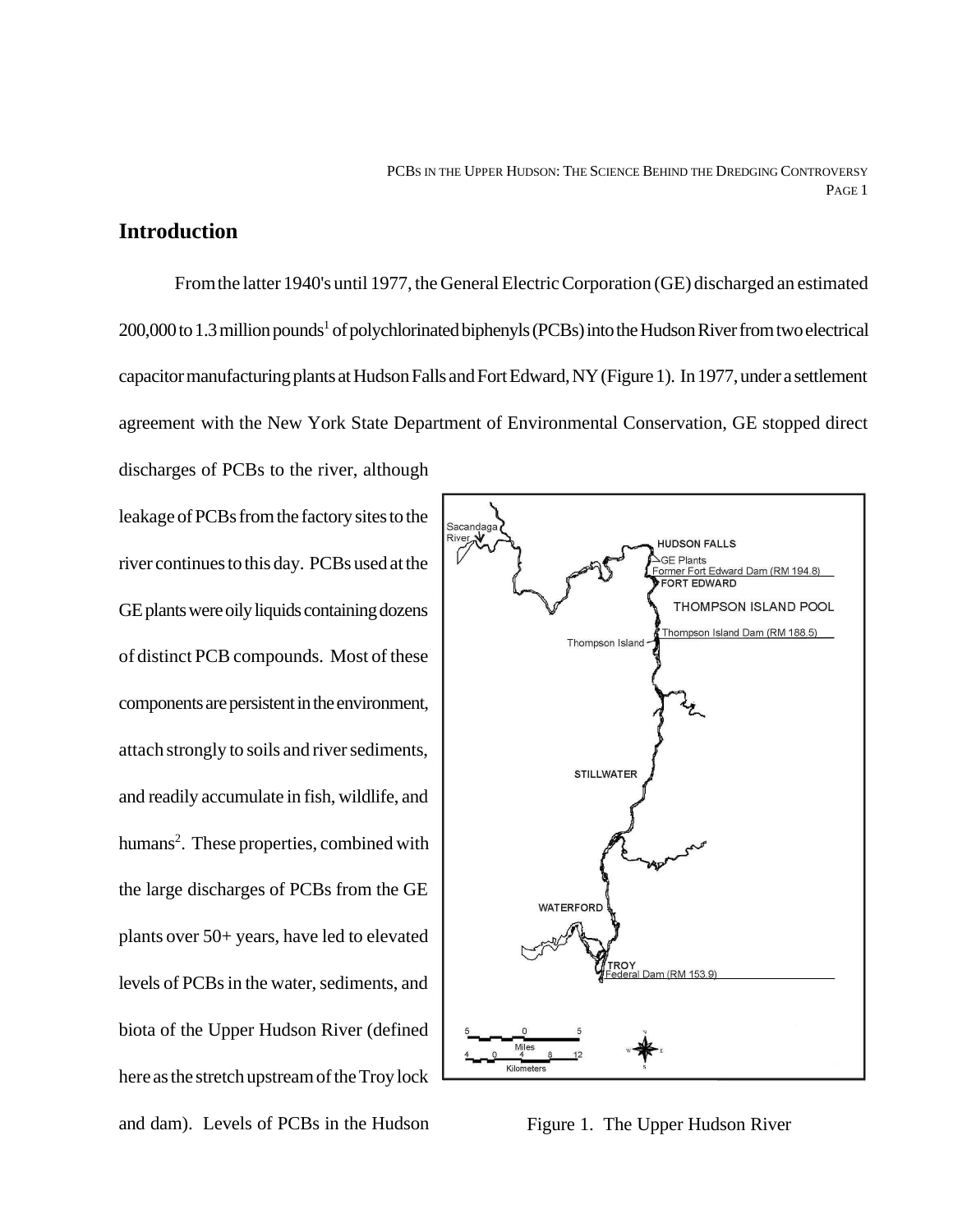#### **Introduction**

From the latter 1940's until 1977, the General Electric Corporation (GE) discharged an estimated 200,000 to 1.3 million pounds<sup>1</sup> of polychlorinated biphenyls (PCBs) into the Hudson River from two electrical capacitor manufacturing plants at Hudson Falls and Fort Edward, NY (Figure 1). In 1977, under a settlement agreement with the New York State Department of Environmental Conservation, GE stopped direct

discharges of PCBs to the river, although leakage of PCBs from the factory sites to the river continues to this day. PCBs used at the GE plants were oily liquids containing dozens of distinct PCB compounds. Most of these components are persistent in the environment, attach strongly to soils and river sediments, and readily accumulate in fish, wildlife, and humans<sup>2</sup>. These properties, combined with the large discharges of PCBs from the GE plants over 50+ years, have led to elevated levels of PCBs in the water, sediments, and biota of the Upper Hudson River (defined here as the stretch upstream of the Troy lock and dam). Levels of PCBs in the Hudson



Figure 1. The Upper Hudson River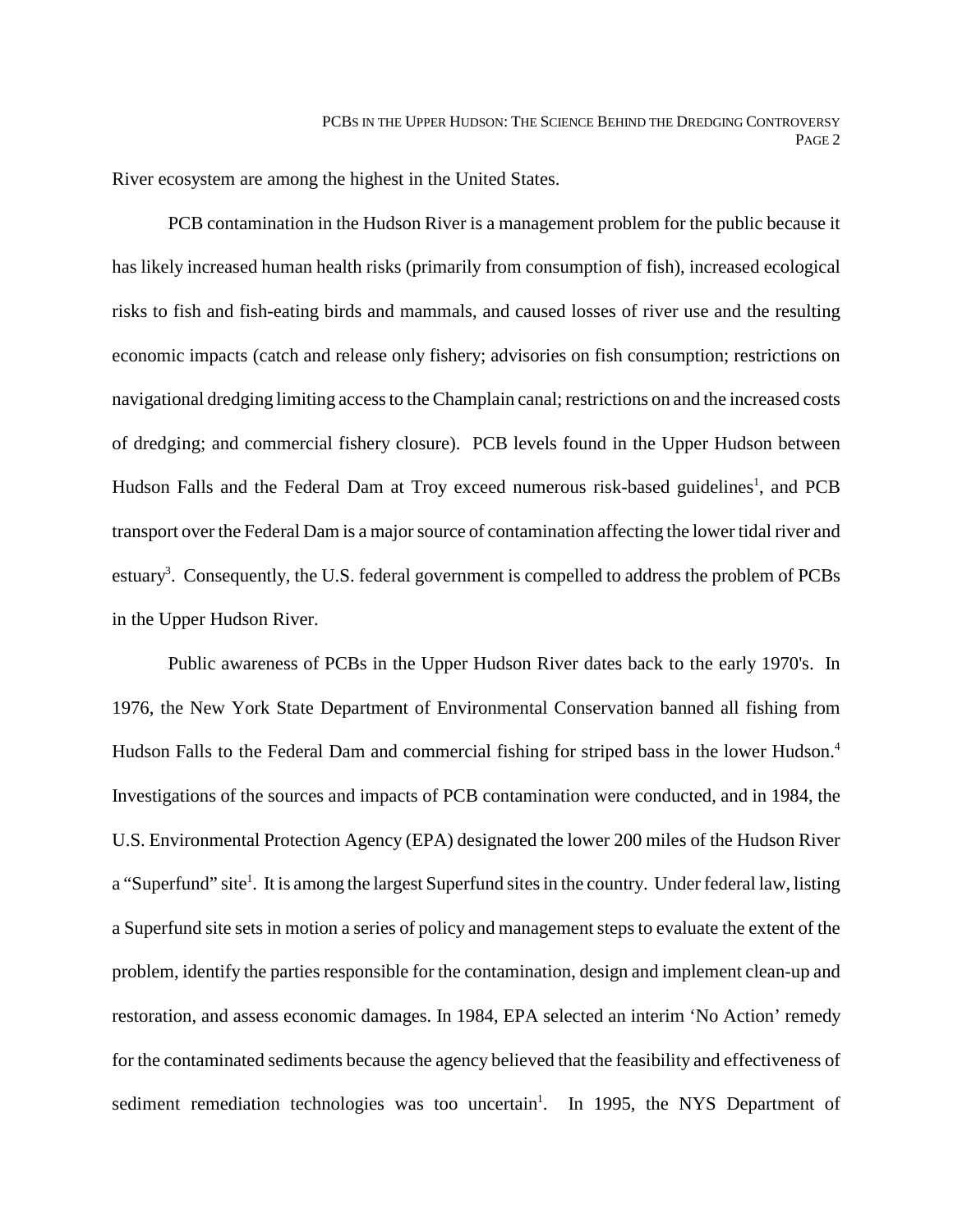River ecosystem are among the highest in the United States.

PCB contamination in the Hudson River is a management problem for the public because it has likely increased human health risks (primarily from consumption of fish), increased ecological risks to fish and fish-eating birds and mammals, and caused losses of river use and the resulting economic impacts (catch and release only fishery; advisories on fish consumption; restrictions on navigational dredging limiting access to the Champlain canal; restrictions on and the increased costs of dredging; and commercial fishery closure). PCB levels found in the Upper Hudson between Hudson Falls and the Federal Dam at Troy exceed numerous risk-based guidelines<sup>1</sup>, and PCB transport over the Federal Dam is a major source of contamination affecting the lower tidal river and estuary<sup>3</sup>. Consequently, the U.S. federal government is compelled to address the problem of PCBs in the Upper Hudson River.

Public awareness of PCBs in the Upper Hudson River dates back to the early 1970's. In 1976, the New York State Department of Environmental Conservation banned all fishing from Hudson Falls to the Federal Dam and commercial fishing for striped bass in the lower Hudson.<sup>4</sup> Investigations of the sources and impacts of PCB contamination were conducted, and in 1984, the U.S. Environmental Protection Agency (EPA) designated the lower 200 miles of the Hudson River a "Superfund" site<sup>1</sup>. It is among the largest Superfund sites in the country. Under federal law, listing a Superfund site sets in motion a series of policy and management steps to evaluate the extent of the problem, identify the parties responsible for the contamination, design and implement clean-up and restoration, and assess economic damages. In 1984, EPA selected an interim 'No Action' remedy for the contaminated sediments because the agency believed that the feasibility and effectiveness of sediment remediation technologies was too uncertain<sup>1</sup>. In 1995, the NYS Department of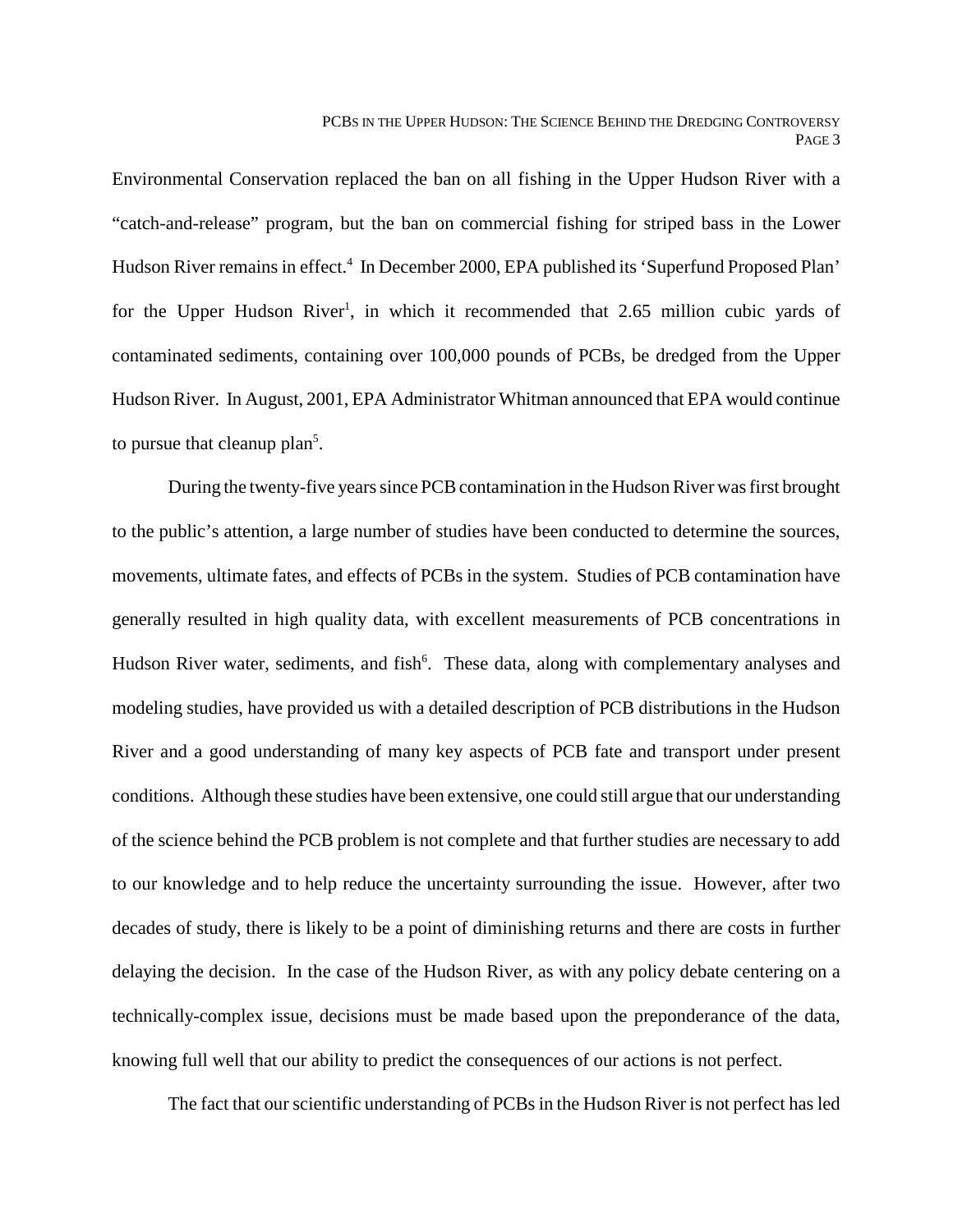Environmental Conservation replaced the ban on all fishing in the Upper Hudson River with a "catch-and-release" program, but the ban on commercial fishing for striped bass in the Lower Hudson River remains in effect.<sup>4</sup> In December 2000, EPA published its 'Superfund Proposed Plan' for the Upper Hudson River<sup>1</sup>, in which it recommended that 2.65 million cubic yards of contaminated sediments, containing over 100,000 pounds of PCBs, be dredged from the Upper Hudson River. In August, 2001, EPA Administrator Whitman announced that EPA would continue to pursue that cleanup plan<sup>5</sup>.

During the twenty-five years since PCB contamination in the Hudson River was first brought to the public's attention, a large number of studies have been conducted to determine the sources, movements, ultimate fates, and effects of PCBs in the system. Studies of PCB contamination have generally resulted in high quality data, with excellent measurements of PCB concentrations in Hudson River water, sediments, and fish<sup>6</sup>. These data, along with complementary analyses and modeling studies, have provided us with a detailed description of PCB distributions in the Hudson River and a good understanding of many key aspects of PCB fate and transport under present conditions. Although these studies have been extensive, one could still argue that our understanding of the science behind the PCB problem is not complete and that further studies are necessary to add to our knowledge and to help reduce the uncertainty surrounding the issue. However, after two decades of study, there is likely to be a point of diminishing returns and there are costs in further delaying the decision. In the case of the Hudson River, as with any policy debate centering on a technically-complex issue, decisions must be made based upon the preponderance of the data, knowing full well that our ability to predict the consequences of our actions is not perfect.

The fact that our scientific understanding of PCBs in the Hudson River is not perfect has led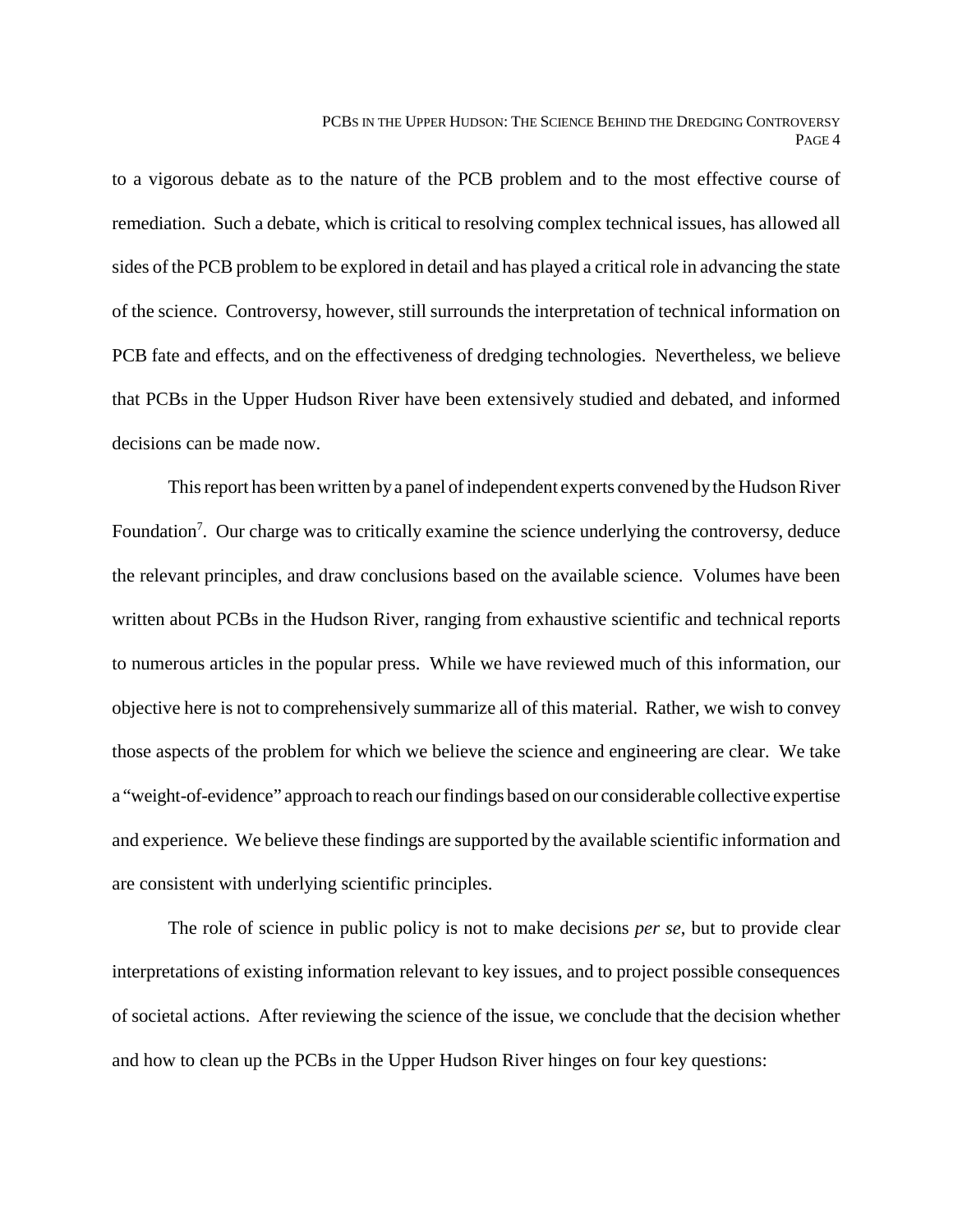to a vigorous debate as to the nature of the PCB problem and to the most effective course of remediation. Such a debate, which is critical to resolving complex technical issues, has allowed all sides of the PCB problem to be explored in detail and has played a critical role in advancing the state of the science. Controversy, however, still surrounds the interpretation of technical information on PCB fate and effects, and on the effectiveness of dredging technologies. Nevertheless, we believe that PCBs in the Upper Hudson River have been extensively studied and debated, and informed decisions can be made now.

This report has been written by a panel of independent experts convened by the Hudson River Foundation<sup>7</sup>. Our charge was to critically examine the science underlying the controversy, deduce the relevant principles, and draw conclusions based on the available science. Volumes have been written about PCBs in the Hudson River, ranging from exhaustive scientific and technical reports to numerous articles in the popular press. While we have reviewed much of this information, our objective here is not to comprehensively summarize all of this material. Rather, we wish to convey those aspects of the problem for which we believe the science and engineering are clear. We take a "weight-of-evidence" approach to reach our findings based on our considerable collective expertise and experience. We believe these findings are supported by the available scientific information and are consistent with underlying scientific principles.

The role of science in public policy is not to make decisions *per se*, but to provide clear interpretations of existing information relevant to key issues, and to project possible consequences of societal actions. After reviewing the science of the issue, we conclude that the decision whether and how to clean up the PCBs in the Upper Hudson River hinges on four key questions: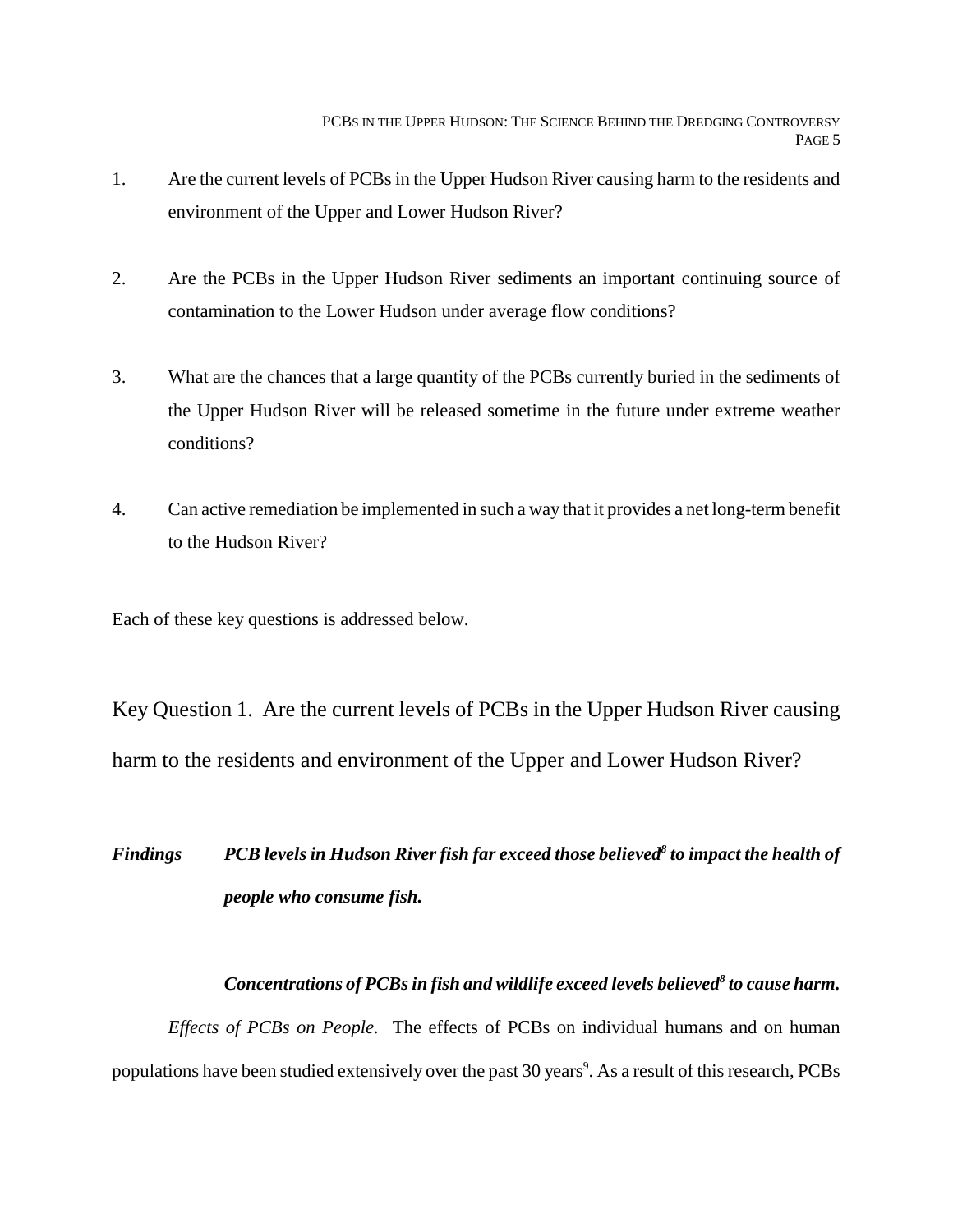- 1. Are the current levels of PCBs in the Upper Hudson River causing harm to the residents and environment of the Upper and Lower Hudson River?
- 2. Are the PCBs in the Upper Hudson River sediments an important continuing source of contamination to the Lower Hudson under average flow conditions?
- 3. What are the chances that a large quantity of the PCBs currently buried in the sediments of the Upper Hudson River will be released sometime in the future under extreme weather conditions?
- 4. Can active remediation be implemented in such a way that it provides a net long-term benefit to the Hudson River?

Each of these key questions is addressed below.

Key Question 1. Are the current levels of PCBs in the Upper Hudson River causing harm to the residents and environment of the Upper and Lower Hudson River?

## Findings PCB levels in Hudson River fish far exceed those believed<sup>8</sup> to impact the health of *people who consume fish.*

#### *Concentrations of PCBs in fish and wildlife exceed levels believed8 to cause harm.*

*Effects of PCBs on People.* The effects of PCBs on individual humans and on human populations have been studied extensively over the past 30 years<sup>9</sup>. As a result of this research, PCBs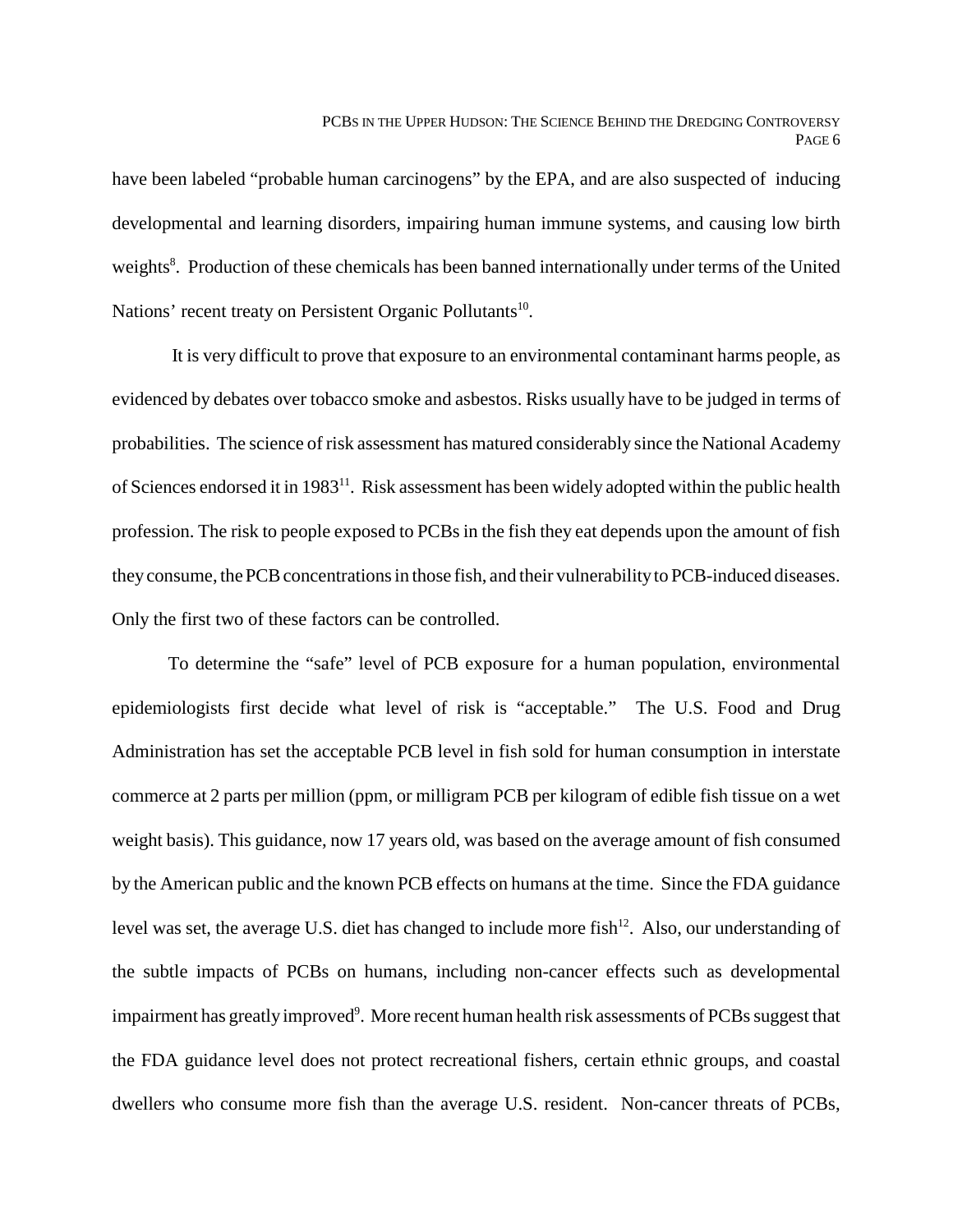have been labeled "probable human carcinogens" by the EPA, and are also suspected of inducing developmental and learning disorders, impairing human immune systems, and causing low birth weights<sup>8</sup>. Production of these chemicals has been banned internationally under terms of the United Nations' recent treaty on Persistent Organic Pollutants<sup>10</sup>.

 It is very difficult to prove that exposure to an environmental contaminant harms people, as evidenced by debates over tobacco smoke and asbestos. Risks usually have to be judged in terms of probabilities. The science of risk assessment has matured considerably since the National Academy of Sciences endorsed it in 1983<sup>11</sup>. Risk assessment has been widely adopted within the public health profession. The risk to people exposed to PCBs in the fish they eat depends upon the amount of fish they consume, the PCB concentrations in those fish, and their vulnerability to PCB-induced diseases. Only the first two of these factors can be controlled.

To determine the "safe" level of PCB exposure for a human population, environmental epidemiologists first decide what level of risk is "acceptable." The U.S. Food and Drug Administration has set the acceptable PCB level in fish sold for human consumption in interstate commerce at 2 parts per million (ppm, or milligram PCB per kilogram of edible fish tissue on a wet weight basis). This guidance, now 17 years old, was based on the average amount of fish consumed by the American public and the known PCB effects on humans at the time. Since the FDA guidance level was set, the average U.S. diet has changed to include more fish<sup>12</sup>. Also, our understanding of the subtle impacts of PCBs on humans, including non-cancer effects such as developmental impairment has greatly improved<sup>9</sup>. More recent human health risk assessments of PCBs suggest that the FDA guidance level does not protect recreational fishers, certain ethnic groups, and coastal dwellers who consume more fish than the average U.S. resident. Non-cancer threats of PCBs,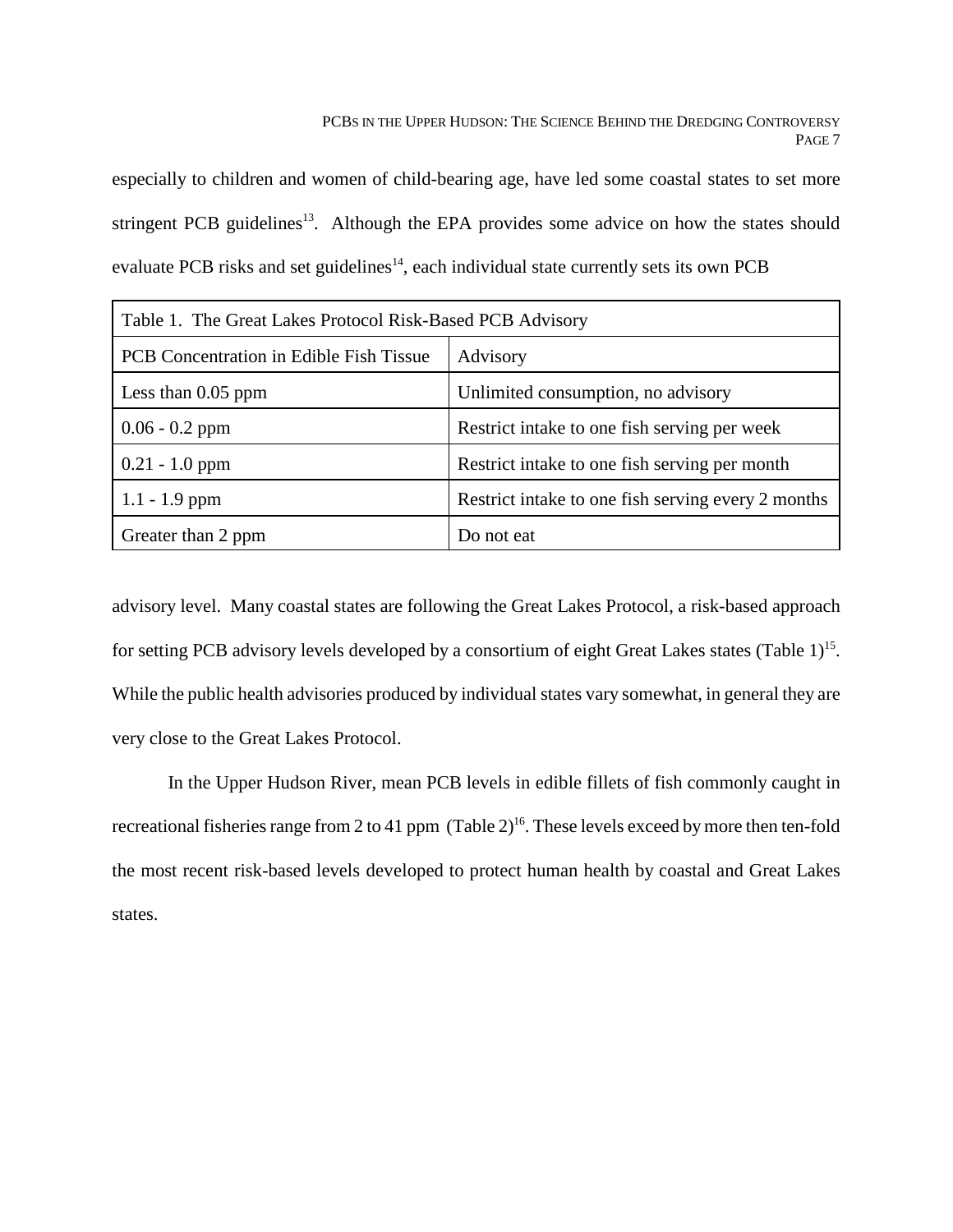especially to children and women of child-bearing age, have led some coastal states to set more stringent PCB guidelines<sup>13</sup>. Although the EPA provides some advice on how the states should evaluate PCB risks and set guidelines<sup>14</sup>, each individual state currently sets its own PCB

| Table 1. The Great Lakes Protocol Risk-Based PCB Advisory |                                                    |
|-----------------------------------------------------------|----------------------------------------------------|
| PCB Concentration in Edible Fish Tissue                   | Advisory                                           |
| Less than $0.05$ ppm                                      | Unlimited consumption, no advisory                 |
| $0.06 - 0.2$ ppm                                          | Restrict intake to one fish serving per week       |
| $0.21 - 1.0$ ppm                                          | Restrict intake to one fish serving per month      |
| $1.1 - 1.9$ ppm                                           | Restrict intake to one fish serving every 2 months |
| Greater than 2 ppm                                        | Do not eat                                         |

advisory level. Many coastal states are following the Great Lakes Protocol, a risk-based approach for setting PCB advisory levels developed by a consortium of eight Great Lakes states (Table  $1$ )<sup>15</sup>. While the public health advisories produced by individual states vary somewhat, in general they are very close to the Great Lakes Protocol.

In the Upper Hudson River, mean PCB levels in edible fillets of fish commonly caught in recreational fisheries range from 2 to 41 ppm (Table  $2)^{16}$ . These levels exceed by more then ten-fold the most recent risk-based levels developed to protect human health by coastal and Great Lakes states.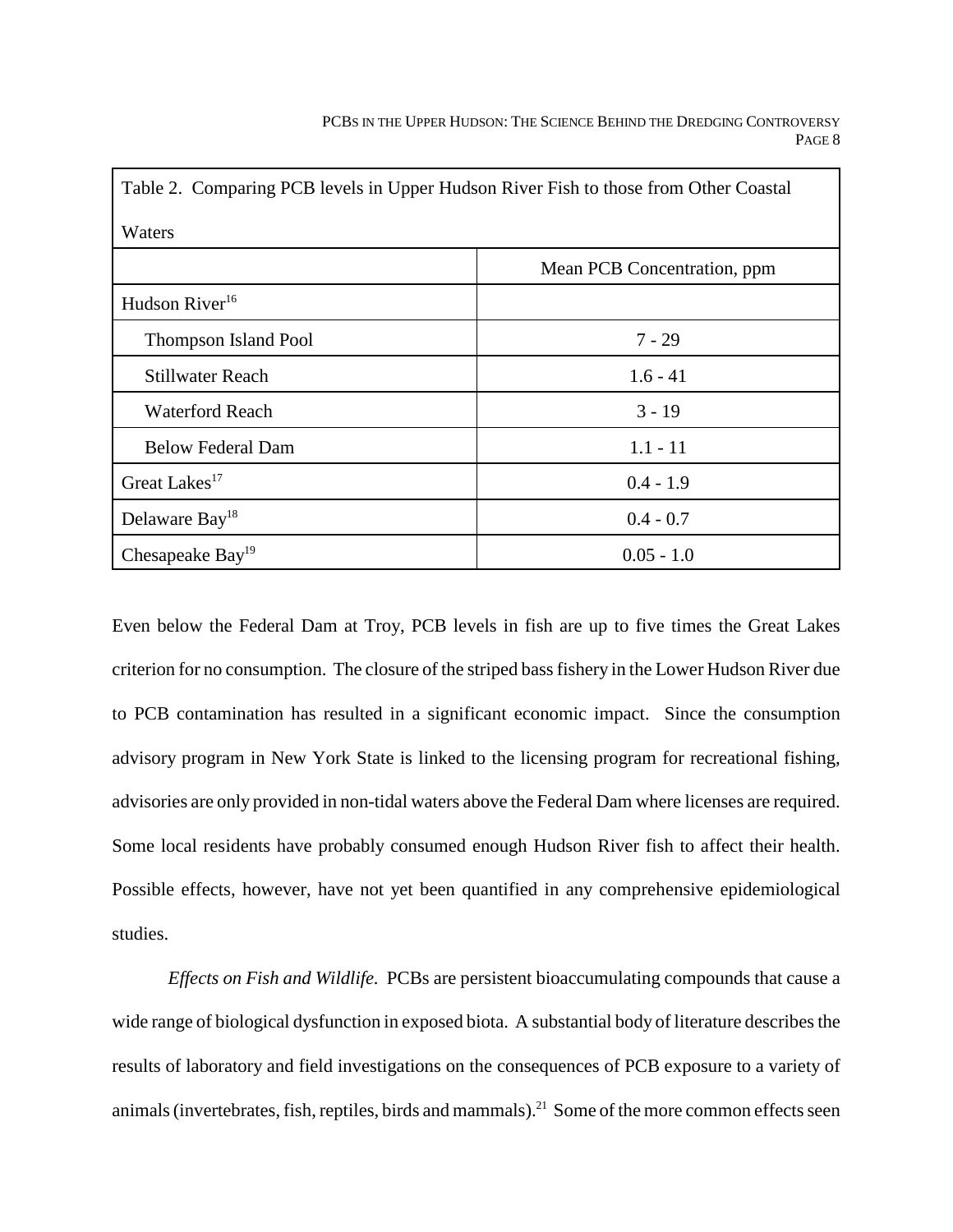| Table 2. Comparing PCB levels in Upper Hudson River Fish to those from Other Coastal<br>Waters |              |
|------------------------------------------------------------------------------------------------|--------------|
|                                                                                                |              |
| Hudson River <sup>16</sup>                                                                     |              |
| <b>Thompson Island Pool</b>                                                                    | $7 - 29$     |
| Stillwater Reach                                                                               | $1.6 - 41$   |
| <b>Waterford Reach</b>                                                                         | $3 - 19$     |
| <b>Below Federal Dam</b>                                                                       | $1.1 - 11$   |
| Great Lakes <sup>17</sup>                                                                      | $0.4 - 1.9$  |
| Delaware Bay <sup>18</sup>                                                                     | $0.4 - 0.7$  |
| Chesapeake Bay <sup>19</sup>                                                                   | $0.05 - 1.0$ |

Even below the Federal Dam at Troy, PCB levels in fish are up to five times the Great Lakes criterion for no consumption. The closure of the striped bass fishery in the Lower Hudson River due to PCB contamination has resulted in a significant economic impact. Since the consumption advisory program in New York State is linked to the licensing program for recreational fishing, advisories are only provided in non-tidal waters above the Federal Dam where licenses are required. Some local residents have probably consumed enough Hudson River fish to affect their health. Possible effects, however, have not yet been quantified in any comprehensive epidemiological studies.

*Effects on Fish and Wildlife.* PCBs are persistent bioaccumulating compounds that cause a wide range of biological dysfunction in exposed biota. A substantial body of literature describes the results of laboratory and field investigations on the consequences of PCB exposure to a variety of animals (invertebrates, fish, reptiles, birds and mammals).<sup>21</sup> Some of the more common effects seen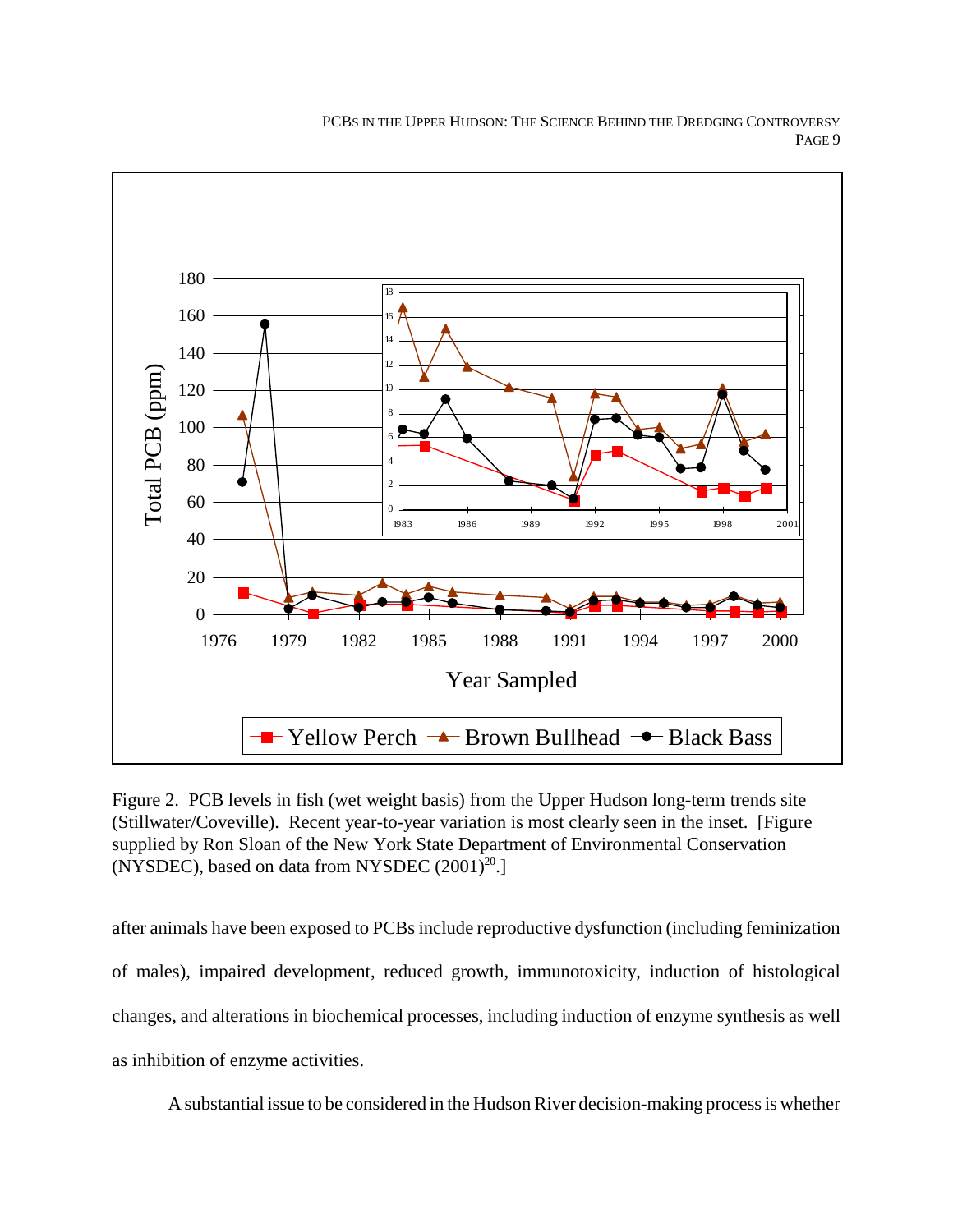

Figure 2. PCB levels in fish (wet weight basis) from the Upper Hudson long-term trends site (Stillwater/Coveville). Recent year-to-year variation is most clearly seen in the inset. [Figure supplied by Ron Sloan of the New York State Department of Environmental Conservation (NYSDEC), based on data from NYSDEC  $(2001)^{20}$ .]

after animals have been exposed to PCBs include reproductive dysfunction (including feminization of males), impaired development, reduced growth, immunotoxicity, induction of histological changes, and alterations in biochemical processes, including induction of enzyme synthesis as well as inhibition of enzyme activities.

A substantial issue to be considered in the Hudson River decision-making process is whether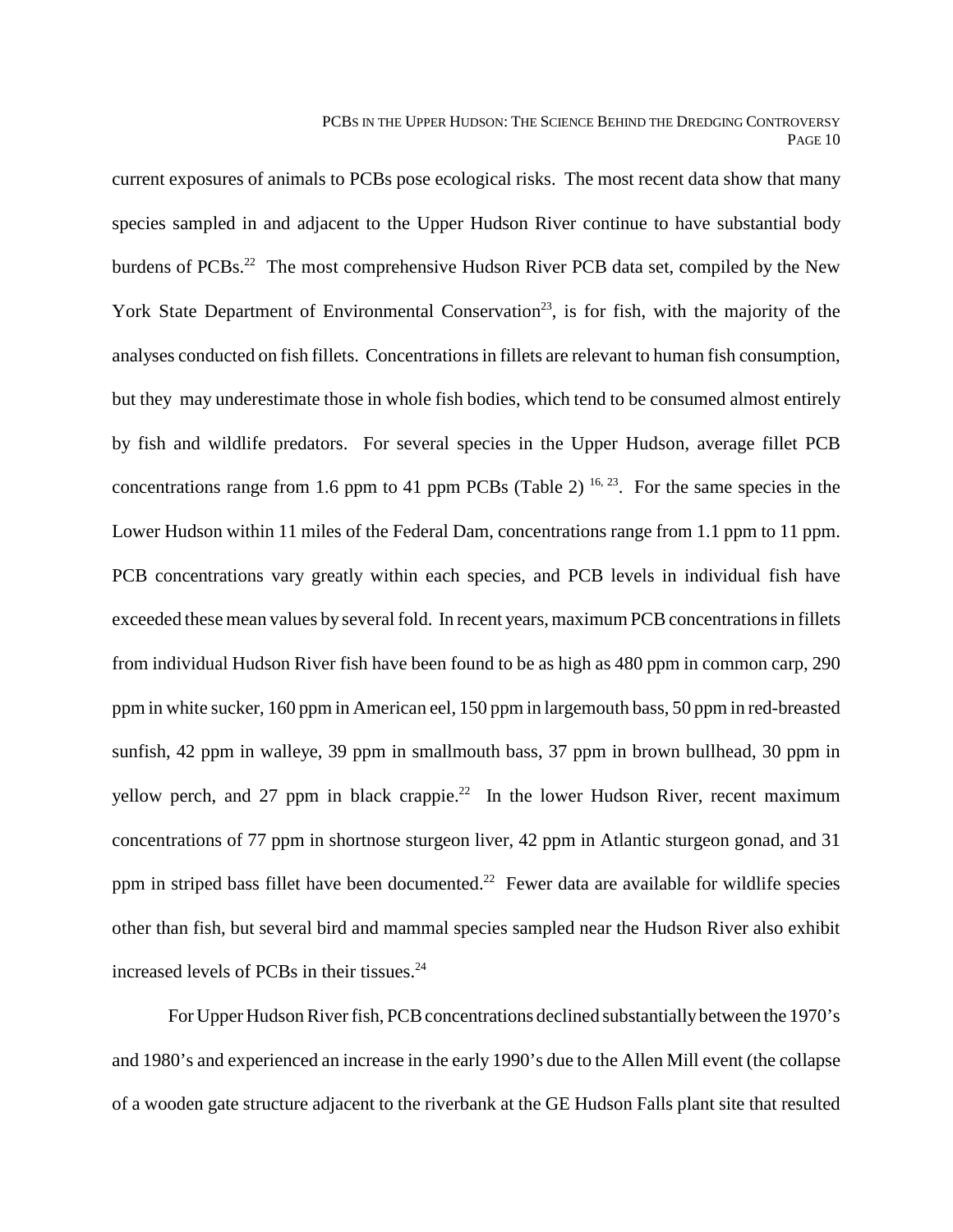current exposures of animals to PCBs pose ecological risks. The most recent data show that many species sampled in and adjacent to the Upper Hudson River continue to have substantial body burdens of PCBs.<sup>22</sup> The most comprehensive Hudson River PCB data set, compiled by the New York State Department of Environmental Conservation<sup>23</sup>, is for fish, with the majority of the analyses conducted on fish fillets. Concentrations in fillets are relevant to human fish consumption, but they may underestimate those in whole fish bodies, which tend to be consumed almost entirely by fish and wildlife predators. For several species in the Upper Hudson, average fillet PCB concentrations range from 1.6 ppm to 41 ppm PCBs (Table 2)  $^{16, 23}$ . For the same species in the Lower Hudson within 11 miles of the Federal Dam, concentrations range from 1.1 ppm to 11 ppm. PCB concentrations vary greatly within each species, and PCB levels in individual fish have exceeded these mean values by several fold. In recent years, maximum PCB concentrations in fillets from individual Hudson River fish have been found to be as high as 480 ppm in common carp, 290 ppm in white sucker, 160 ppm in American eel, 150 ppm in largemouth bass, 50 ppm in red-breasted sunfish, 42 ppm in walleye, 39 ppm in smallmouth bass, 37 ppm in brown bullhead, 30 ppm in yellow perch, and 27 ppm in black crappie.<sup>22</sup> In the lower Hudson River, recent maximum concentrations of 77 ppm in shortnose sturgeon liver, 42 ppm in Atlantic sturgeon gonad, and 31 ppm in striped bass fillet have been documented.<sup>22</sup> Fewer data are available for wildlife species other than fish, but several bird and mammal species sampled near the Hudson River also exhibit increased levels of PCBs in their tissues.<sup>24</sup>

For Upper Hudson River fish, PCB concentrations declined substantially between the 1970's and 1980's and experienced an increase in the early 1990's due to the Allen Mill event (the collapse of a wooden gate structure adjacent to the riverbank at the GE Hudson Falls plant site that resulted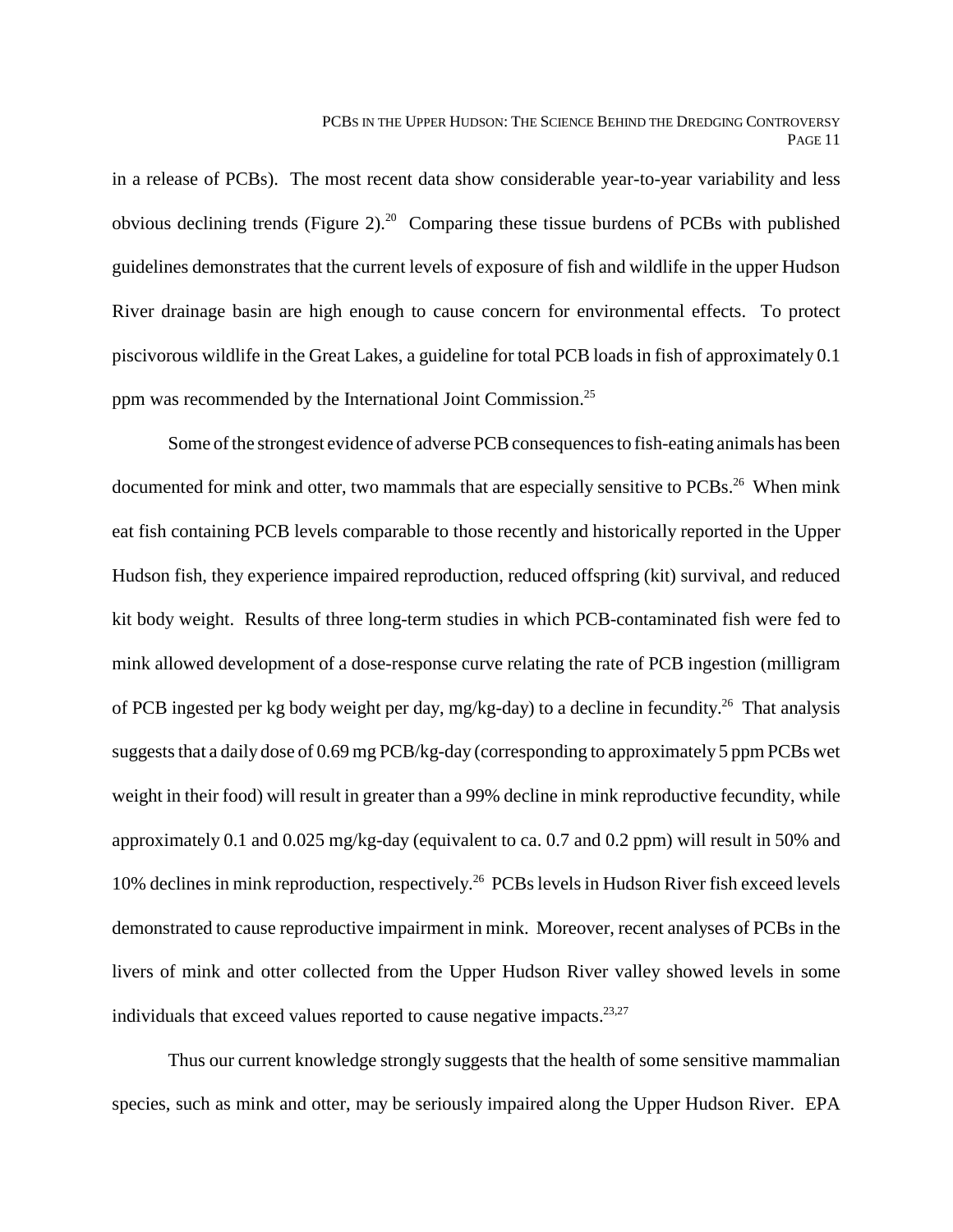in a release of PCBs). The most recent data show considerable year-to-year variability and less obvious declining trends (Figure 2).<sup>20</sup> Comparing these tissue burdens of PCBs with published guidelines demonstrates that the current levels of exposure of fish and wildlife in the upper Hudson River drainage basin are high enough to cause concern for environmental effects. To protect piscivorous wildlife in the Great Lakes, a guideline for total PCB loads in fish of approximately 0.1 ppm was recommended by the International Joint Commission.25

Some of the strongest evidence of adverse PCB consequences to fish-eating animals has been documented for mink and otter, two mammals that are especially sensitive to PCBs.<sup>26</sup> When mink eat fish containing PCB levels comparable to those recently and historically reported in the Upper Hudson fish, they experience impaired reproduction, reduced offspring (kit) survival, and reduced kit body weight. Results of three long-term studies in which PCB-contaminated fish were fed to mink allowed development of a dose-response curve relating the rate of PCB ingestion (milligram of PCB ingested per kg body weight per day, mg/kg-day) to a decline in fecundity.26 That analysis suggests that a daily dose of 0.69 mg PCB/kg-day (corresponding to approximately 5 ppm PCBs wet weight in their food) will result in greater than a 99% decline in mink reproductive fecundity, while approximately 0.1 and 0.025 mg/kg-day (equivalent to ca. 0.7 and 0.2 ppm) will result in 50% and 10% declines in mink reproduction, respectively.<sup>26</sup> PCBs levels in Hudson River fish exceed levels demonstrated to cause reproductive impairment in mink. Moreover, recent analyses of PCBs in the livers of mink and otter collected from the Upper Hudson River valley showed levels in some individuals that exceed values reported to cause negative impacts.<sup>23,27</sup>

Thus our current knowledge strongly suggests that the health of some sensitive mammalian species, such as mink and otter, may be seriously impaired along the Upper Hudson River. EPA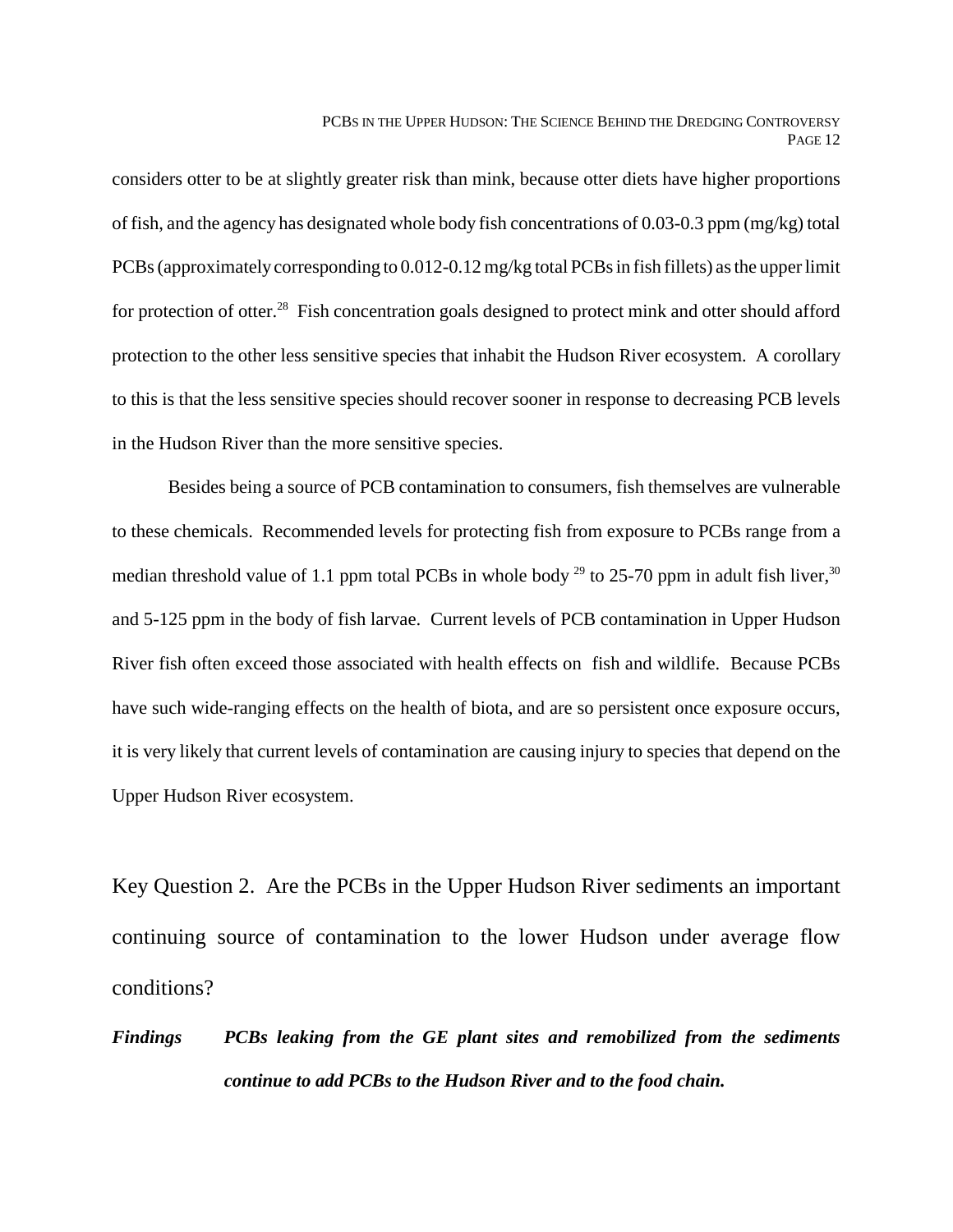considers otter to be at slightly greater risk than mink, because otter diets have higher proportions of fish, and the agency has designated whole body fish concentrations of 0.03-0.3 ppm (mg/kg) total PCBs (approximately corresponding to 0.012-0.12 mg/kg total PCBs in fish fillets) as the upper limit for protection of otter.<sup>28</sup> Fish concentration goals designed to protect mink and otter should afford protection to the other less sensitive species that inhabit the Hudson River ecosystem. A corollary to this is that the less sensitive species should recover sooner in response to decreasing PCB levels in the Hudson River than the more sensitive species.

Besides being a source of PCB contamination to consumers, fish themselves are vulnerable to these chemicals. Recommended levels for protecting fish from exposure to PCBs range from a median threshold value of 1.1 ppm total PCBs in whole body  $^{29}$  to 25-70 ppm in adult fish liver,  $^{30}$ and 5-125 ppm in the body of fish larvae. Current levels of PCB contamination in Upper Hudson River fish often exceed those associated with health effects on fish and wildlife. Because PCBs have such wide-ranging effects on the health of biota, and are so persistent once exposure occurs, it is very likely that current levels of contamination are causing injury to species that depend on the Upper Hudson River ecosystem.

Key Question 2. Are the PCBs in the Upper Hudson River sediments an important continuing source of contamination to the lower Hudson under average flow conditions?

*Findings PCBs leaking from the GE plant sites and remobilized from the sediments continue to add PCBs to the Hudson River and to the food chain.*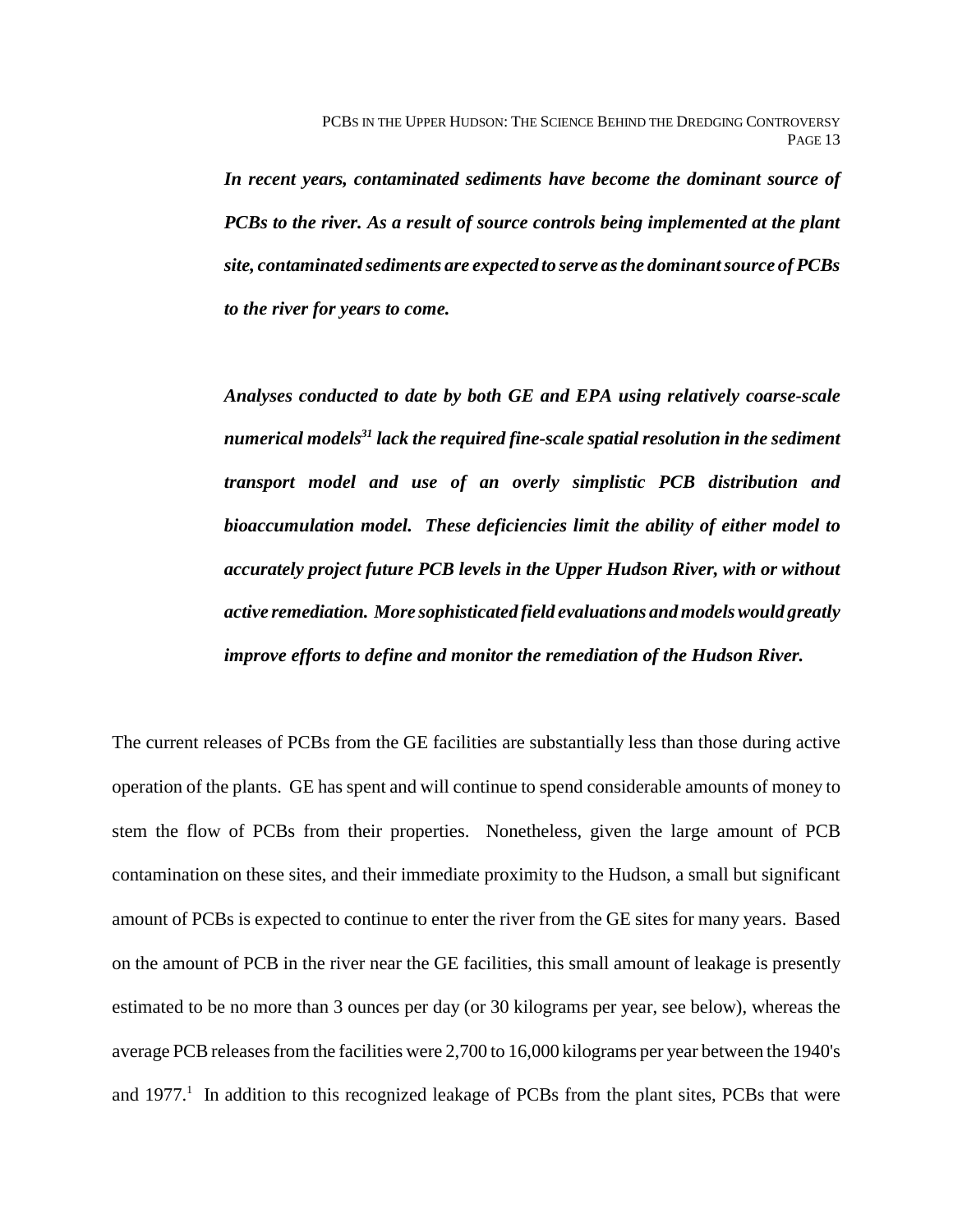*In recent years, contaminated sediments have become the dominant source of PCBs to the river. As a result of source controls being implemented at the plant site, contaminated sediments are expected to serve as the dominant source of PCBs to the river for years to come.*

*Analyses conducted to date by both GE and EPA using relatively coarse-scale numerical models31 lack the required fine-scale spatial resolution in the sediment transport model and use of an overly simplistic PCB distribution and bioaccumulation model. These deficiencies limit the ability of either model to accurately project future PCB levels in the Upper Hudson River, with or without active remediation. More sophisticated field evaluations and models would greatly improve efforts to define and monitor the remediation of the Hudson River.*

The current releases of PCBs from the GE facilities are substantially less than those during active operation of the plants. GE has spent and will continue to spend considerable amounts of money to stem the flow of PCBs from their properties. Nonetheless, given the large amount of PCB contamination on these sites, and their immediate proximity to the Hudson, a small but significant amount of PCBs is expected to continue to enter the river from the GE sites for many years. Based on the amount of PCB in the river near the GE facilities, this small amount of leakage is presently estimated to be no more than 3 ounces per day (or 30 kilograms per year, see below), whereas the average PCB releases from the facilities were 2,700 to 16,000 kilograms per year between the 1940's and  $1977<sup>1</sup>$  In addition to this recognized leakage of PCBs from the plant sites, PCBs that were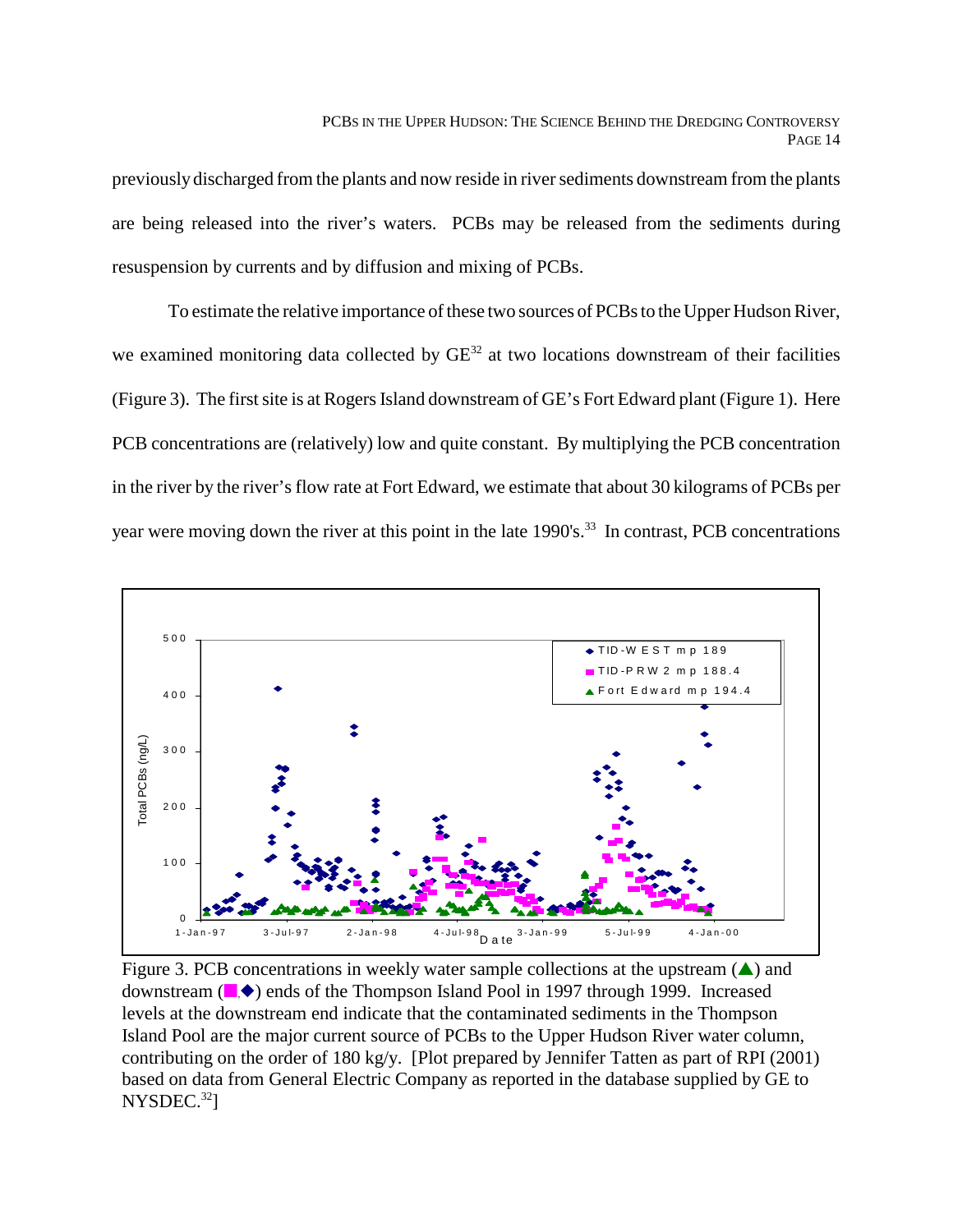previously discharged from the plants and now reside in river sediments downstream from the plants are being released into the river's waters. PCBs may be released from the sediments during resuspension by currents and by diffusion and mixing of PCBs.

To estimate the relative importance of these two sources of PCBs to the Upper Hudson River, we examined monitoring data collected by  $GE^{32}$  at two locations downstream of their facilities (Figure 3). The first site is at Rogers Island downstream of GE's Fort Edward plant (Figure 1). Here PCB concentrations are (relatively) low and quite constant. By multiplying the PCB concentration in the river by the river's flow rate at Fort Edward, we estimate that about 30 kilograms of PCBs per year were moving down the river at this point in the late 1990's.<sup>33</sup> In contrast, PCB concentrations



Figure 3. PCB concentrations in weekly water sample collections at the upstream  $($  $\blacktriangle)$  and downstream  $(\blacksquare, \blacklozenge)$  ends of the Thompson Island Pool in 1997 through 1999. Increased levels at the downstream end indicate that the contaminated sediments in the Thompson Island Pool are the major current source of PCBs to the Upper Hudson River water column, contributing on the order of 180 kg/y. [Plot prepared by Jennifer Tatten as part of RPI (2001) based on data from General Electric Company as reported in the database supplied by GE to  $NYSDEC.<sup>32</sup>$ ]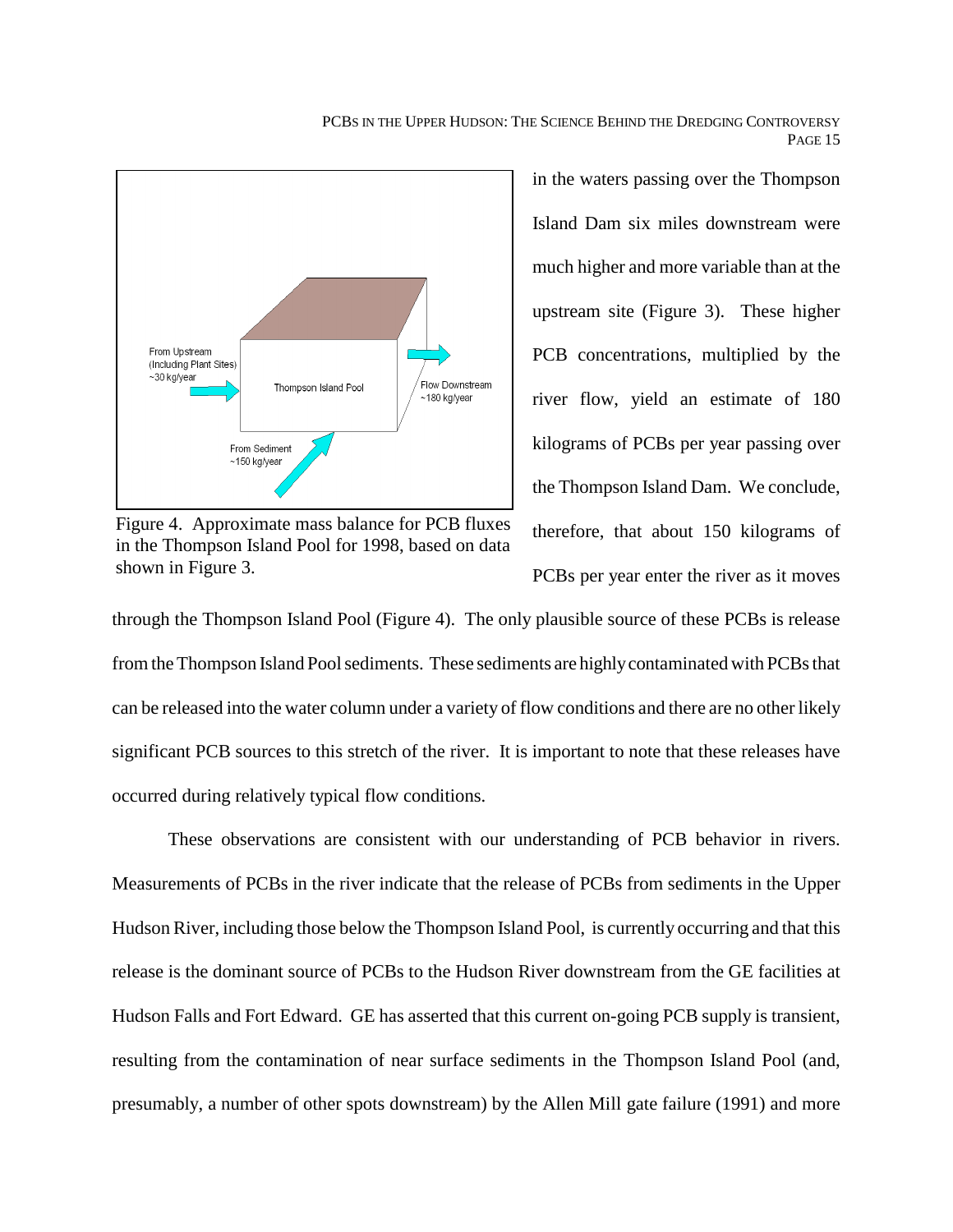

Figure 4. Approximate mass balance for PCB fluxes in the Thompson Island Pool for 1998, based on data shown in Figure 3.

in the waters passing over the Thompson Island Dam six miles downstream were much higher and more variable than at the upstream site (Figure 3). These higher PCB concentrations, multiplied by the river flow, yield an estimate of 180 kilograms of PCBs per year passing over the Thompson Island Dam. We conclude, therefore, that about 150 kilograms of PCBs per year enter the river as it moves

through the Thompson Island Pool (Figure 4). The only plausible source of these PCBs is release from the Thompson Island Pool sediments. These sediments are highly contaminated with PCBs that can be released into the water column under a variety of flow conditions and there are no other likely significant PCB sources to this stretch of the river. It is important to note that these releases have occurred during relatively typical flow conditions.

These observations are consistent with our understanding of PCB behavior in rivers. Measurements of PCBs in the river indicate that the release of PCBs from sediments in the Upper Hudson River, including those below the Thompson Island Pool, is currently occurring and that this release is the dominant source of PCBs to the Hudson River downstream from the GE facilities at Hudson Falls and Fort Edward. GE has asserted that this current on-going PCB supply is transient, resulting from the contamination of near surface sediments in the Thompson Island Pool (and, presumably, a number of other spots downstream) by the Allen Mill gate failure (1991) and more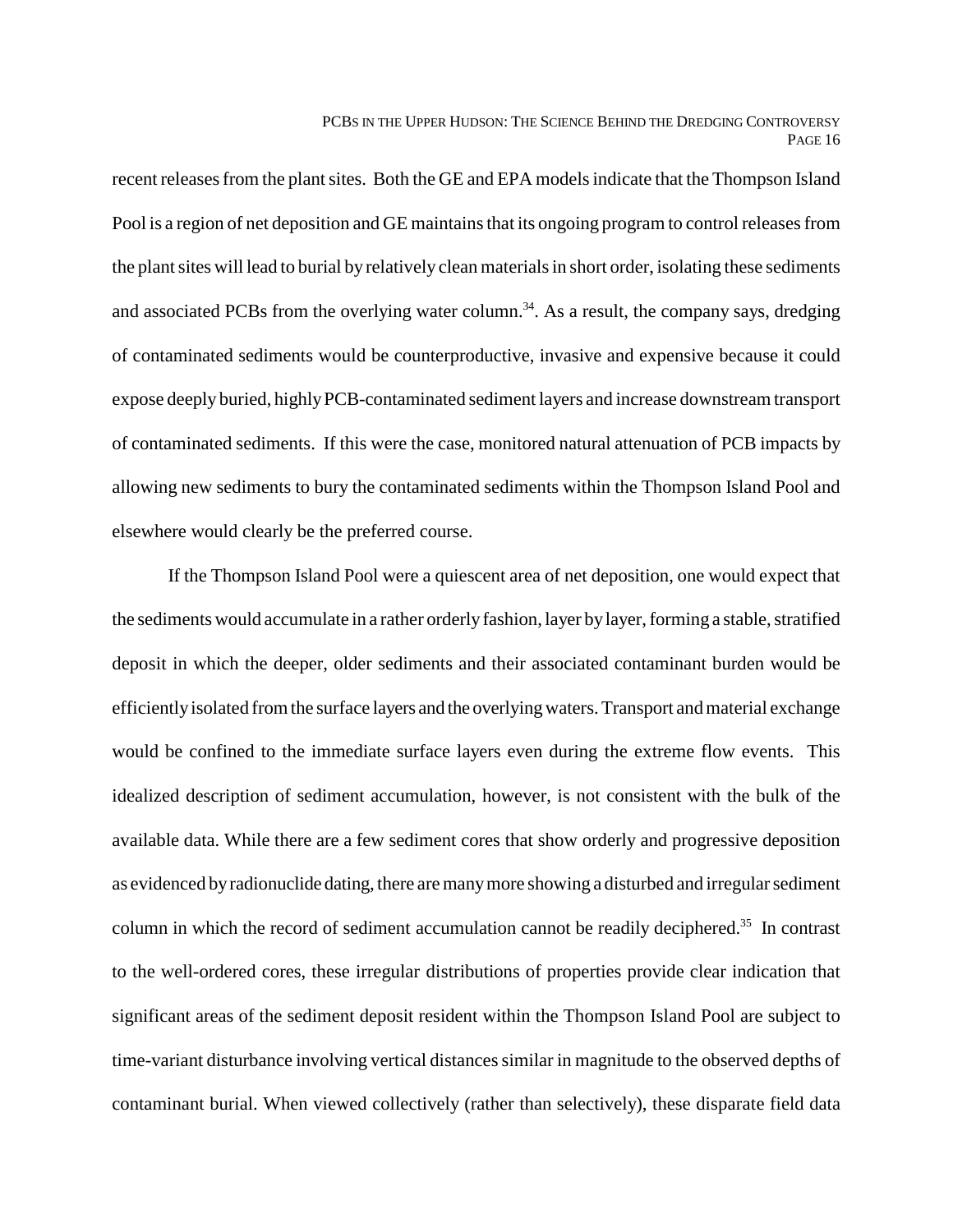recent releases from the plant sites. Both the GE and EPA models indicate that the Thompson Island Pool is a region of net deposition and GE maintains that its ongoing program to control releases from the plant sites will lead to burial by relatively clean materials in short order, isolating these sediments and associated PCBs from the overlying water column.<sup>34</sup>. As a result, the company says, dredging of contaminated sediments would be counterproductive, invasive and expensive because it could expose deeply buried, highly PCB-contaminated sediment layers and increase downstream transport of contaminated sediments. If this were the case, monitored natural attenuation of PCB impacts by allowing new sediments to bury the contaminated sediments within the Thompson Island Pool and elsewhere would clearly be the preferred course.

If the Thompson Island Pool were a quiescent area of net deposition, one would expect that the sediments would accumulate in a rather orderly fashion, layer by layer, forming a stable, stratified deposit in which the deeper, older sediments and their associated contaminant burden would be efficiently isolated from the surface layers and the overlying waters. Transport and material exchange would be confined to the immediate surface layers even during the extreme flow events. This idealized description of sediment accumulation, however, is not consistent with the bulk of the available data. While there are a few sediment cores that show orderly and progressive deposition as evidenced by radionuclide dating, there are many more showing a disturbed and irregular sediment column in which the record of sediment accumulation cannot be readily deciphered.<sup>35</sup> In contrast to the well-ordered cores, these irregular distributions of properties provide clear indication that significant areas of the sediment deposit resident within the Thompson Island Pool are subject to time-variant disturbance involving vertical distances similar in magnitude to the observed depths of contaminant burial. When viewed collectively (rather than selectively), these disparate field data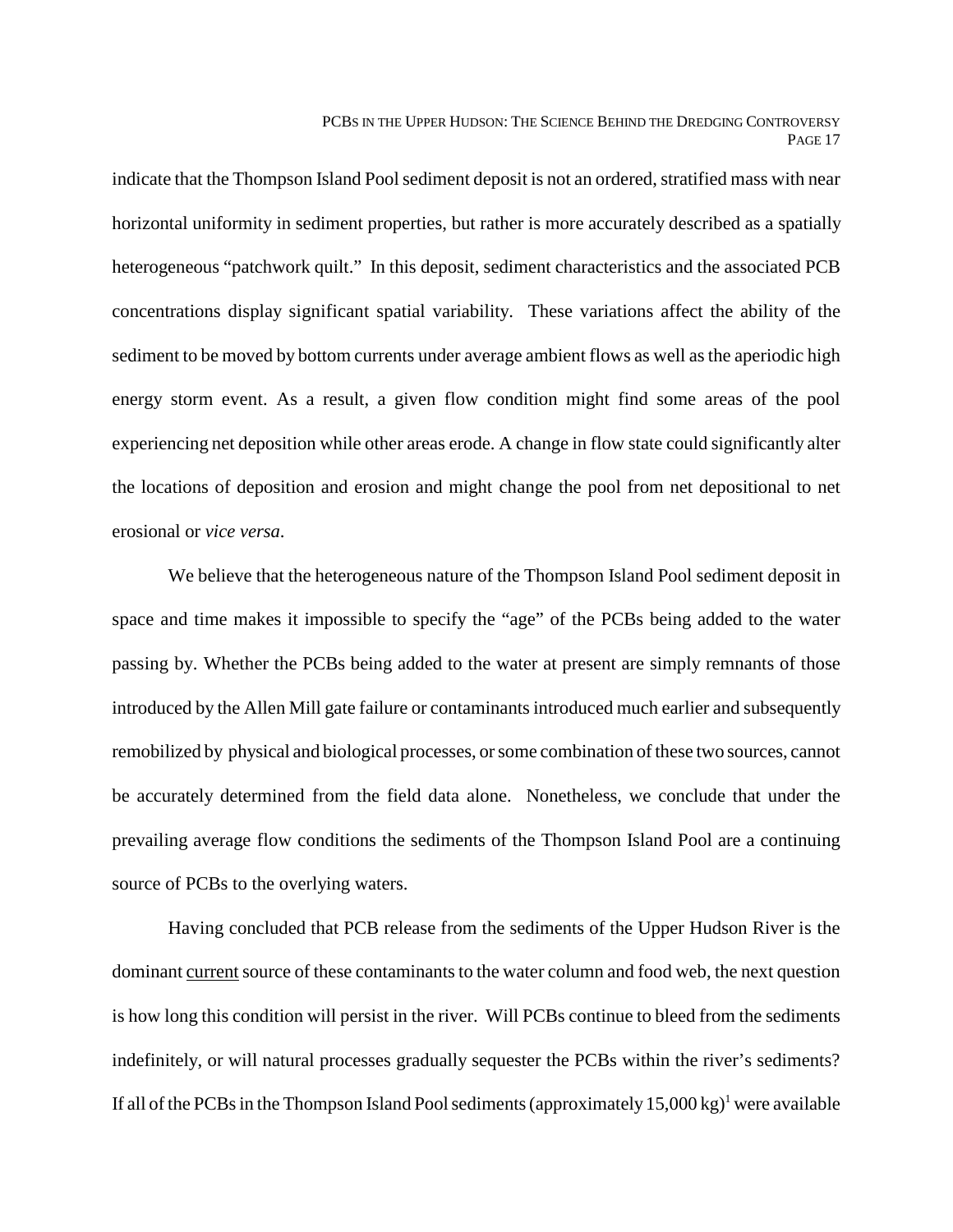indicate that the Thompson Island Pool sediment deposit is not an ordered, stratified mass with near horizontal uniformity in sediment properties, but rather is more accurately described as a spatially heterogeneous "patchwork quilt." In this deposit, sediment characteristics and the associated PCB concentrations display significant spatial variability. These variations affect the ability of the sediment to be moved by bottom currents under average ambient flows as well as the aperiodic high energy storm event. As a result, a given flow condition might find some areas of the pool experiencing net deposition while other areas erode. A change in flow state could significantly alter the locations of deposition and erosion and might change the pool from net depositional to net erosional or *vice versa*.

We believe that the heterogeneous nature of the Thompson Island Pool sediment deposit in space and time makes it impossible to specify the "age" of the PCBs being added to the water passing by. Whether the PCBs being added to the water at present are simply remnants of those introduced by the Allen Mill gate failure or contaminants introduced much earlier and subsequently remobilized by physical and biological processes, or some combination of these two sources, cannot be accurately determined from the field data alone. Nonetheless, we conclude that under the prevailing average flow conditions the sediments of the Thompson Island Pool are a continuing source of PCBs to the overlying waters.

Having concluded that PCB release from the sediments of the Upper Hudson River is the dominant current source of these contaminants to the water column and food web, the next question is how long this condition will persist in the river. Will PCBs continue to bleed from the sediments indefinitely, or will natural processes gradually sequester the PCBs within the river's sediments? If all of the PCBs in the Thompson Island Pool sediments (approximately  $15,000 \text{ kg}$ )<sup>1</sup> were available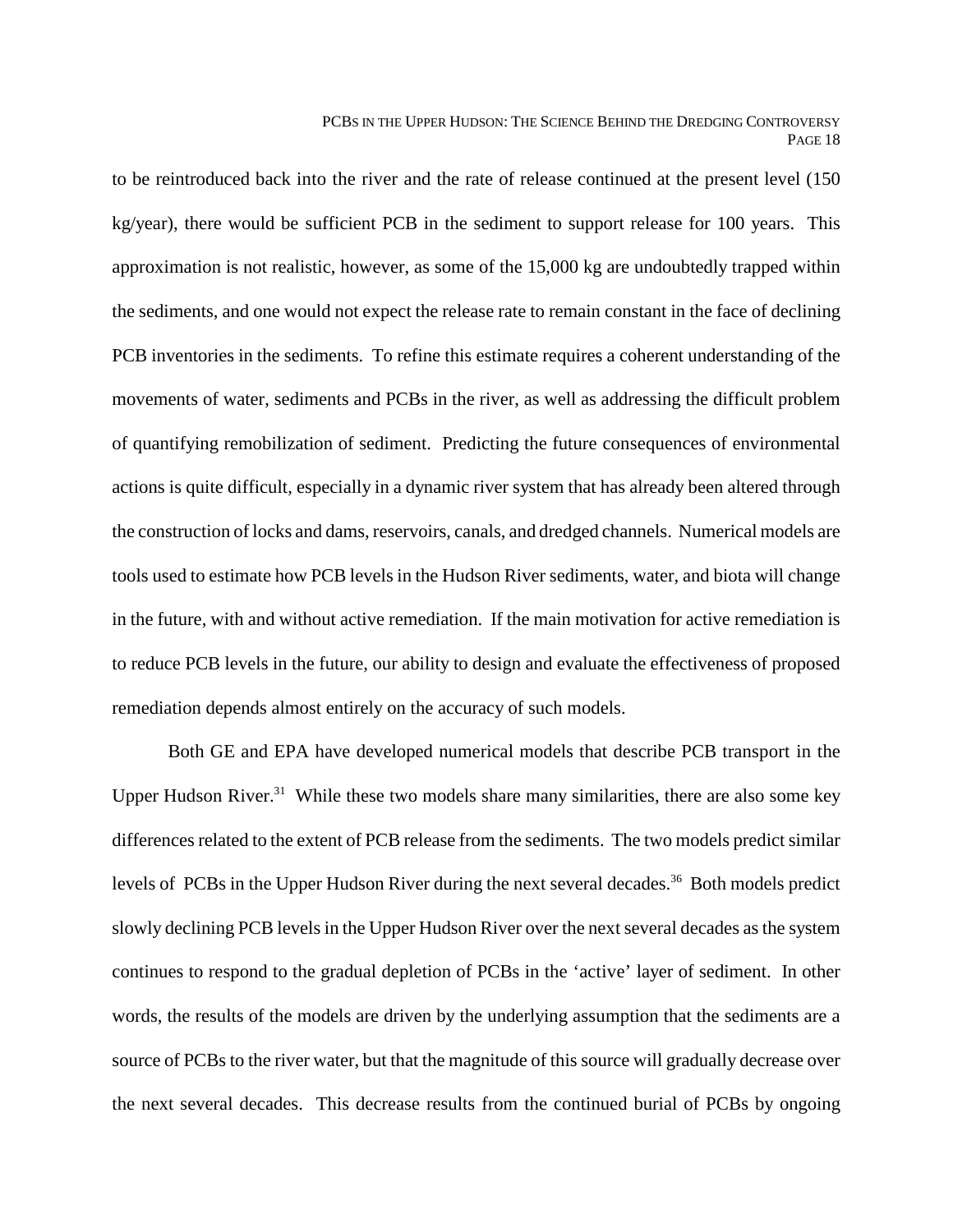to be reintroduced back into the river and the rate of release continued at the present level (150 kg/year), there would be sufficient PCB in the sediment to support release for 100 years. This approximation is not realistic, however, as some of the 15,000 kg are undoubtedly trapped within the sediments, and one would not expect the release rate to remain constant in the face of declining PCB inventories in the sediments. To refine this estimate requires a coherent understanding of the movements of water, sediments and PCBs in the river, as well as addressing the difficult problem of quantifying remobilization of sediment. Predicting the future consequences of environmental actions is quite difficult, especially in a dynamic river system that has already been altered through the construction of locks and dams, reservoirs, canals, and dredged channels. Numerical models are tools used to estimate how PCB levels in the Hudson River sediments, water, and biota will change in the future, with and without active remediation. If the main motivation for active remediation is to reduce PCB levels in the future, our ability to design and evaluate the effectiveness of proposed remediation depends almost entirely on the accuracy of such models.

Both GE and EPA have developed numerical models that describe PCB transport in the Upper Hudson River.<sup>31</sup> While these two models share many similarities, there are also some key differences related to the extent of PCB release from the sediments. The two models predict similar levels of PCBs in the Upper Hudson River during the next several decades.<sup>36</sup> Both models predict slowly declining PCB levels in the Upper Hudson River over the next several decades as the system continues to respond to the gradual depletion of PCBs in the 'active' layer of sediment. In other words, the results of the models are driven by the underlying assumption that the sediments are a source of PCBs to the river water, but that the magnitude of this source will gradually decrease over the next several decades. This decrease results from the continued burial of PCBs by ongoing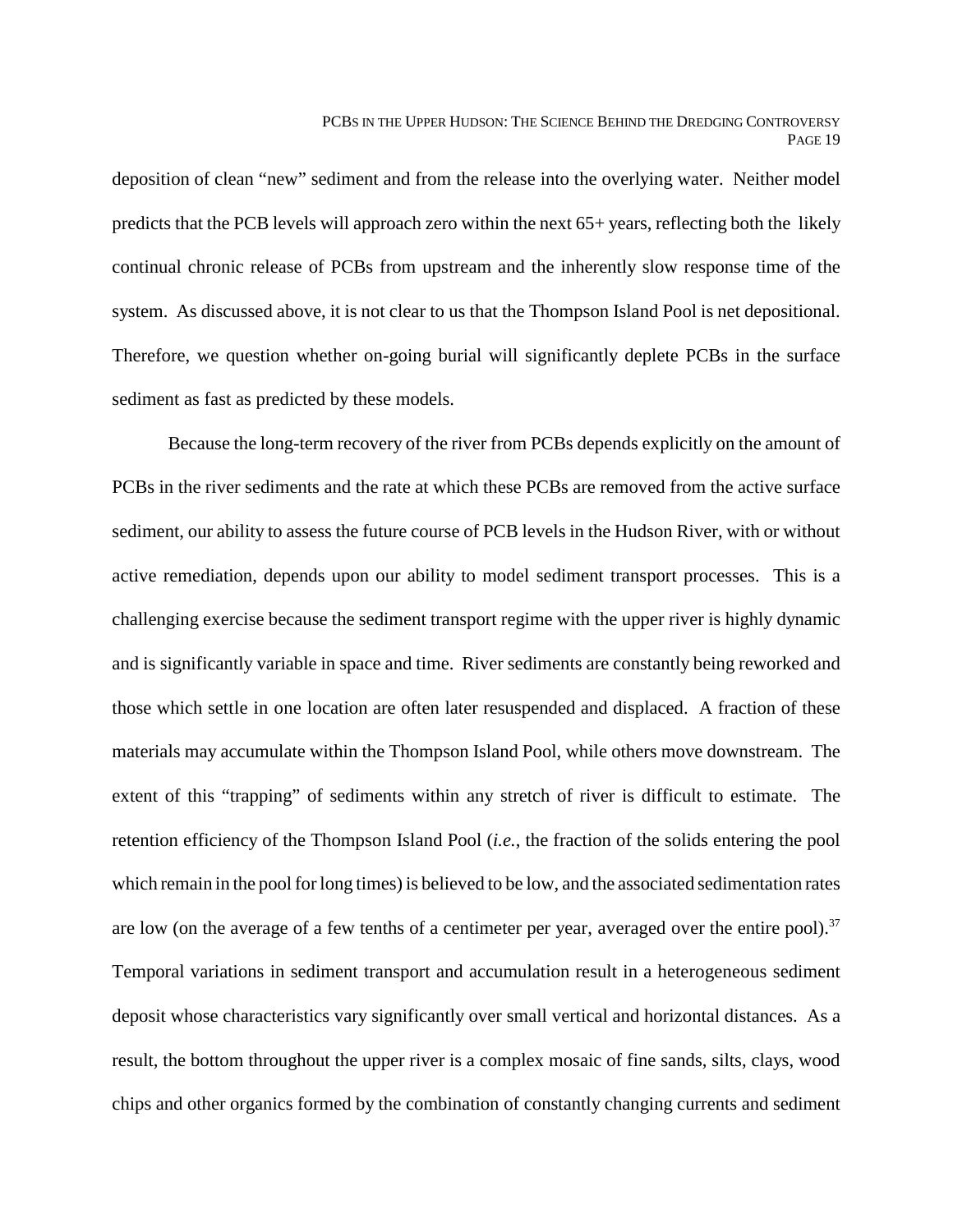deposition of clean "new" sediment and from the release into the overlying water. Neither model predicts that the PCB levels will approach zero within the next 65+ years, reflecting both the likely continual chronic release of PCBs from upstream and the inherently slow response time of the system. As discussed above, it is not clear to us that the Thompson Island Pool is net depositional. Therefore, we question whether on-going burial will significantly deplete PCBs in the surface sediment as fast as predicted by these models.

Because the long-term recovery of the river from PCBs depends explicitly on the amount of PCBs in the river sediments and the rate at which these PCBs are removed from the active surface sediment, our ability to assess the future course of PCB levels in the Hudson River, with or without active remediation, depends upon our ability to model sediment transport processes. This is a challenging exercise because the sediment transport regime with the upper river is highly dynamic and is significantly variable in space and time. River sediments are constantly being reworked and those which settle in one location are often later resuspended and displaced. A fraction of these materials may accumulate within the Thompson Island Pool, while others move downstream. The extent of this "trapping" of sediments within any stretch of river is difficult to estimate. The retention efficiency of the Thompson Island Pool (*i.e.*, the fraction of the solids entering the pool which remain in the pool for long times) is believed to be low, and the associated sedimentation rates are low (on the average of a few tenths of a centimeter per year, averaged over the entire pool).<sup>37</sup> Temporal variations in sediment transport and accumulation result in a heterogeneous sediment deposit whose characteristics vary significantly over small vertical and horizontal distances. As a result, the bottom throughout the upper river is a complex mosaic of fine sands, silts, clays, wood chips and other organics formed by the combination of constantly changing currents and sediment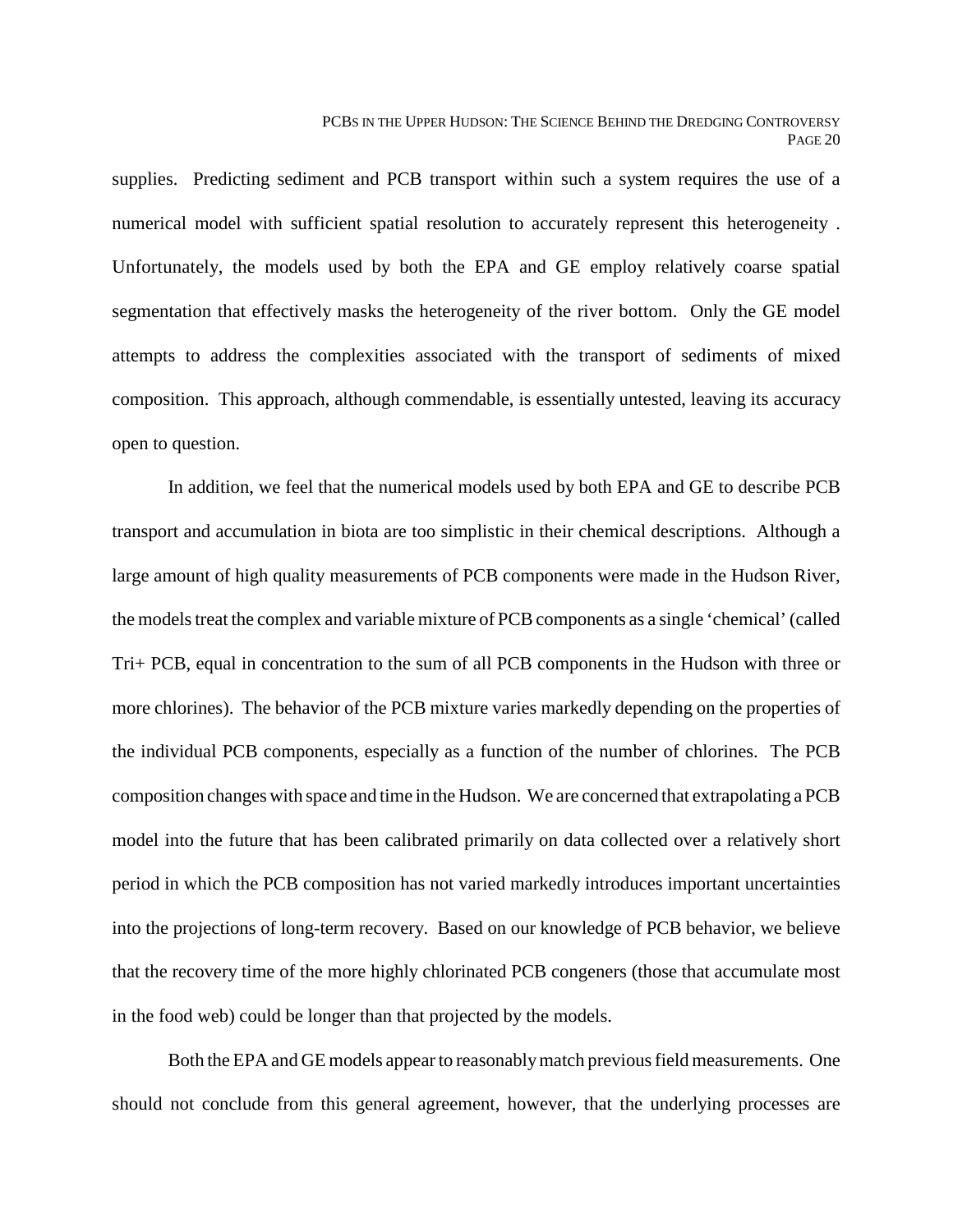supplies. Predicting sediment and PCB transport within such a system requires the use of a numerical model with sufficient spatial resolution to accurately represent this heterogeneity . Unfortunately, the models used by both the EPA and GE employ relatively coarse spatial segmentation that effectively masks the heterogeneity of the river bottom. Only the GE model attempts to address the complexities associated with the transport of sediments of mixed composition. This approach, although commendable, is essentially untested, leaving its accuracy open to question.

In addition, we feel that the numerical models used by both EPA and GE to describe PCB transport and accumulation in biota are too simplistic in their chemical descriptions. Although a large amount of high quality measurements of PCB components were made in the Hudson River, the models treat the complex and variable mixture of PCB components as a single 'chemical' (called Tri+ PCB, equal in concentration to the sum of all PCB components in the Hudson with three or more chlorines). The behavior of the PCB mixture varies markedly depending on the properties of the individual PCB components, especially as a function of the number of chlorines. The PCB composition changes with space and time in the Hudson. We are concerned that extrapolating a PCB model into the future that has been calibrated primarily on data collected over a relatively short period in which the PCB composition has not varied markedly introduces important uncertainties into the projections of long-term recovery. Based on our knowledge of PCB behavior, we believe that the recovery time of the more highly chlorinated PCB congeners (those that accumulate most in the food web) could be longer than that projected by the models.

Both the EPA and GE models appear to reasonably match previous field measurements. One should not conclude from this general agreement, however, that the underlying processes are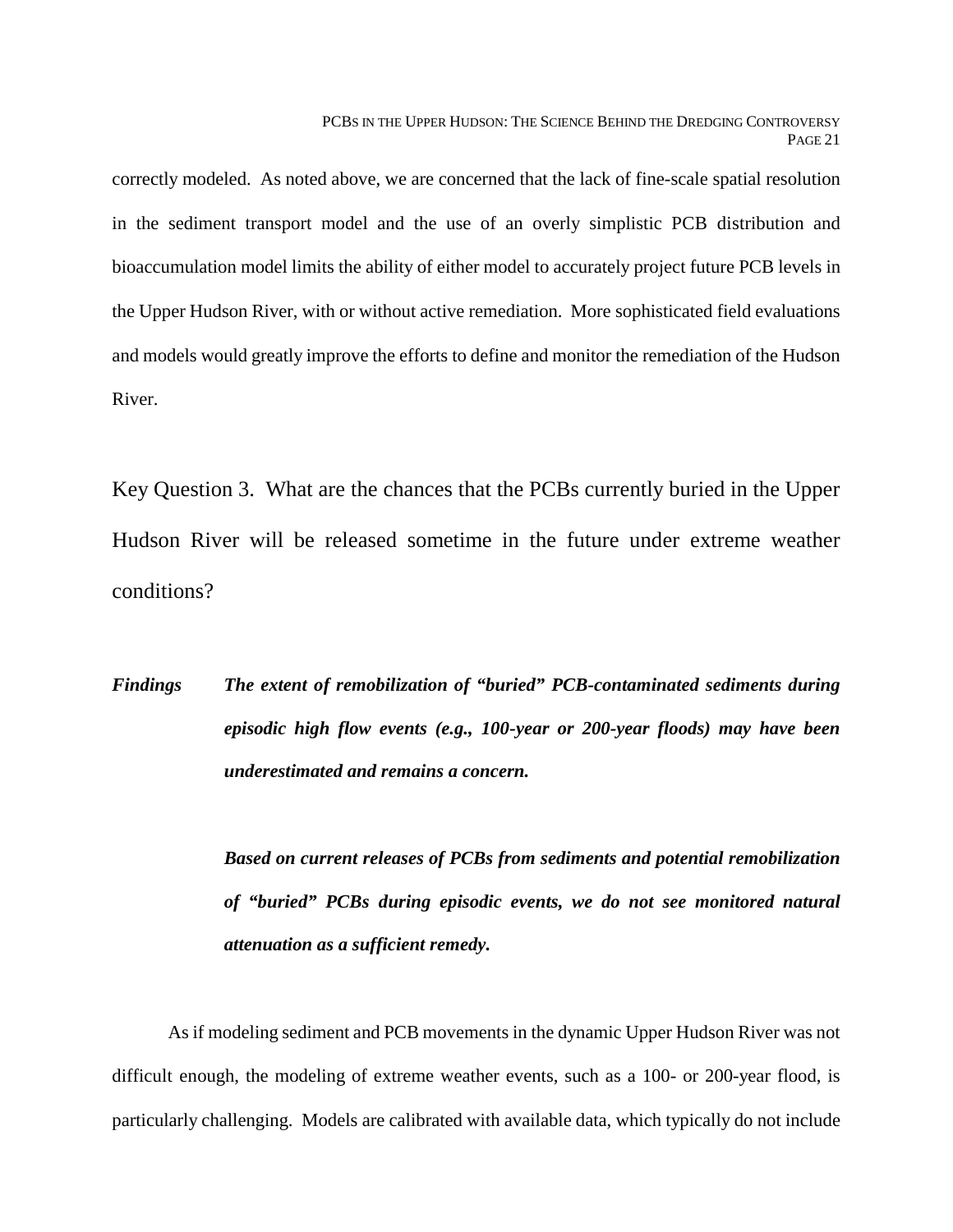correctly modeled. As noted above, we are concerned that the lack of fine-scale spatial resolution in the sediment transport model and the use of an overly simplistic PCB distribution and bioaccumulation model limits the ability of either model to accurately project future PCB levels in the Upper Hudson River, with or without active remediation. More sophisticated field evaluations and models would greatly improve the efforts to define and monitor the remediation of the Hudson River.

Key Question 3. What are the chances that the PCBs currently buried in the Upper Hudson River will be released sometime in the future under extreme weather conditions?

*Findings The extent of remobilization of "buried" PCB-contaminated sediments during episodic high flow events (e.g., 100-year or 200-year floods) may have been underestimated and remains a concern.*

> *Based on current releases of PCBs from sediments and potential remobilization of "buried" PCBs during episodic events, we do not see monitored natural attenuation as a sufficient remedy.*

As if modeling sediment and PCB movements in the dynamic Upper Hudson River was not difficult enough, the modeling of extreme weather events, such as a 100- or 200-year flood, is particularly challenging. Models are calibrated with available data, which typically do not include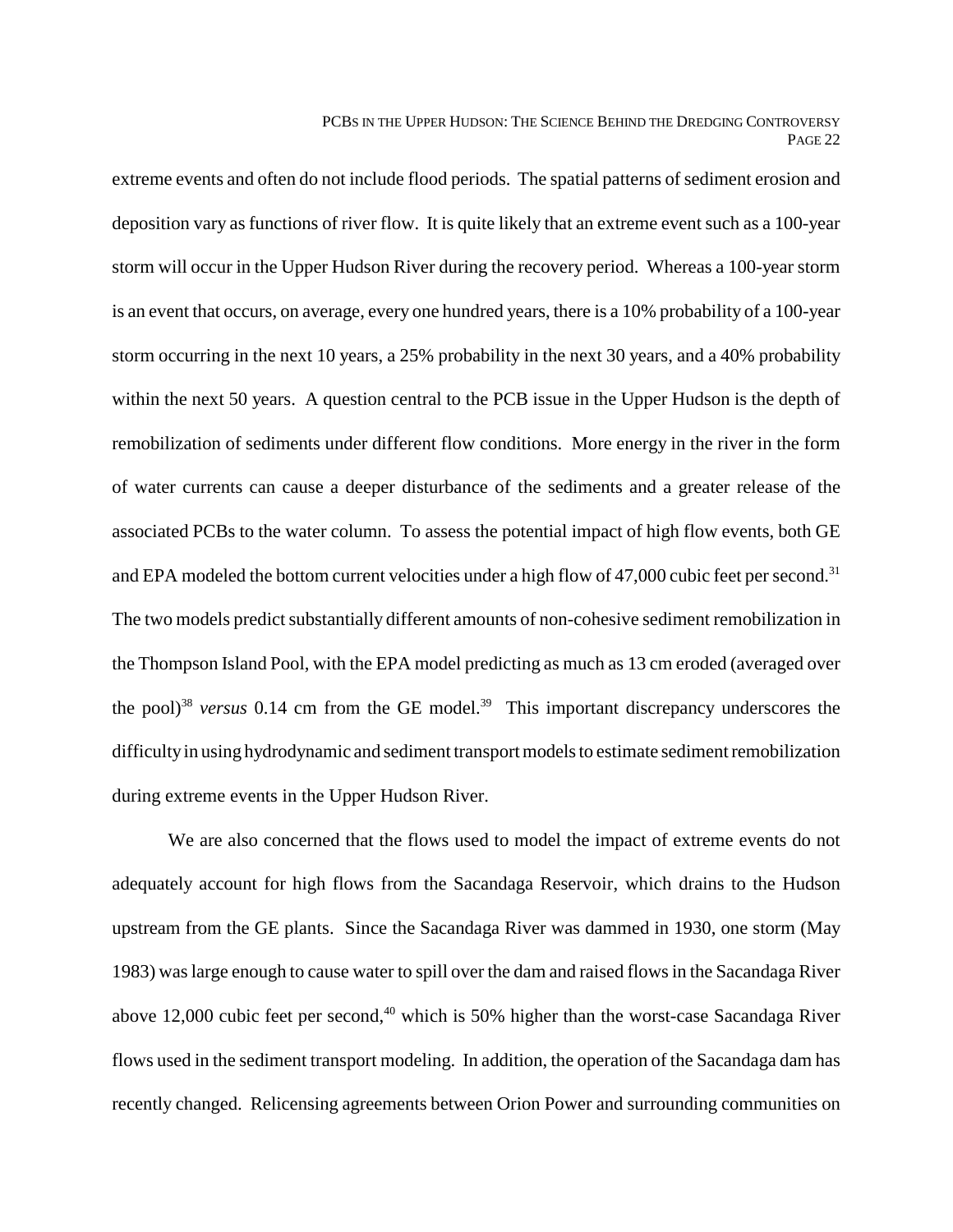extreme events and often do not include flood periods. The spatial patterns of sediment erosion and deposition vary as functions of river flow. It is quite likely that an extreme event such as a 100-year storm will occur in the Upper Hudson River during the recovery period. Whereas a 100-year storm is an event that occurs, on average, every one hundred years, there is a 10% probability of a 100-year storm occurring in the next 10 years, a 25% probability in the next 30 years, and a 40% probability within the next 50 years. A question central to the PCB issue in the Upper Hudson is the depth of remobilization of sediments under different flow conditions. More energy in the river in the form of water currents can cause a deeper disturbance of the sediments and a greater release of the associated PCBs to the water column. To assess the potential impact of high flow events, both GE and EPA modeled the bottom current velocities under a high flow of 47,000 cubic feet per second.<sup>31</sup> The two models predict substantially different amounts of non-cohesive sediment remobilization in the Thompson Island Pool, with the EPA model predicting as much as 13 cm eroded (averaged over the pool)<sup>38</sup> *versus* 0.14 cm from the GE model.<sup>39</sup> This important discrepancy underscores the difficulty in using hydrodynamic and sediment transport models to estimate sediment remobilization during extreme events in the Upper Hudson River.

We are also concerned that the flows used to model the impact of extreme events do not adequately account for high flows from the Sacandaga Reservoir, which drains to the Hudson upstream from the GE plants. Since the Sacandaga River was dammed in 1930, one storm (May 1983) was large enough to cause water to spill over the dam and raised flows in the Sacandaga River above 12,000 cubic feet per second, $40$  which is 50% higher than the worst-case Sacandaga River flows used in the sediment transport modeling. In addition, the operation of the Sacandaga dam has recently changed. Relicensing agreements between Orion Power and surrounding communities on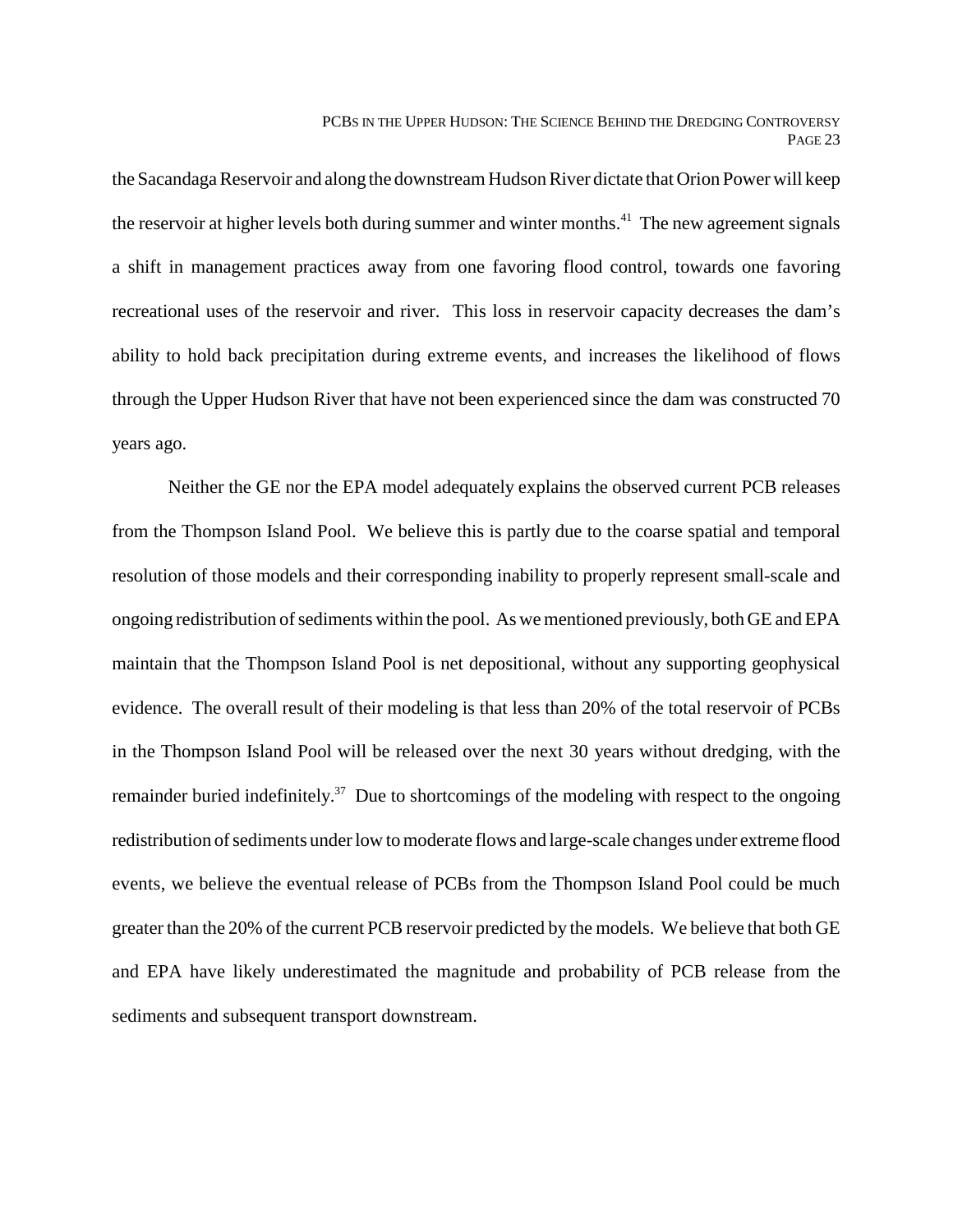the Sacandaga Reservoir and along the downstream Hudson River dictate that Orion Power will keep the reservoir at higher levels both during summer and winter months.<sup>41</sup> The new agreement signals a shift in management practices away from one favoring flood control, towards one favoring recreational uses of the reservoir and river. This loss in reservoir capacity decreases the dam's ability to hold back precipitation during extreme events, and increases the likelihood of flows through the Upper Hudson River that have not been experienced since the dam was constructed 70 years ago.

Neither the GE nor the EPA model adequately explains the observed current PCB releases from the Thompson Island Pool. We believe this is partly due to the coarse spatial and temporal resolution of those models and their corresponding inability to properly represent small-scale and ongoing redistribution of sediments within the pool. As we mentioned previously, both GE and EPA maintain that the Thompson Island Pool is net depositional, without any supporting geophysical evidence. The overall result of their modeling is that less than 20% of the total reservoir of PCBs in the Thompson Island Pool will be released over the next 30 years without dredging, with the remainder buried indefinitely.<sup>37</sup> Due to shortcomings of the modeling with respect to the ongoing redistribution of sediments under low to moderate flows and large-scale changes under extreme flood events, we believe the eventual release of PCBs from the Thompson Island Pool could be much greater than the 20% of the current PCB reservoir predicted by the models. We believe that both GE and EPA have likely underestimated the magnitude and probability of PCB release from the sediments and subsequent transport downstream.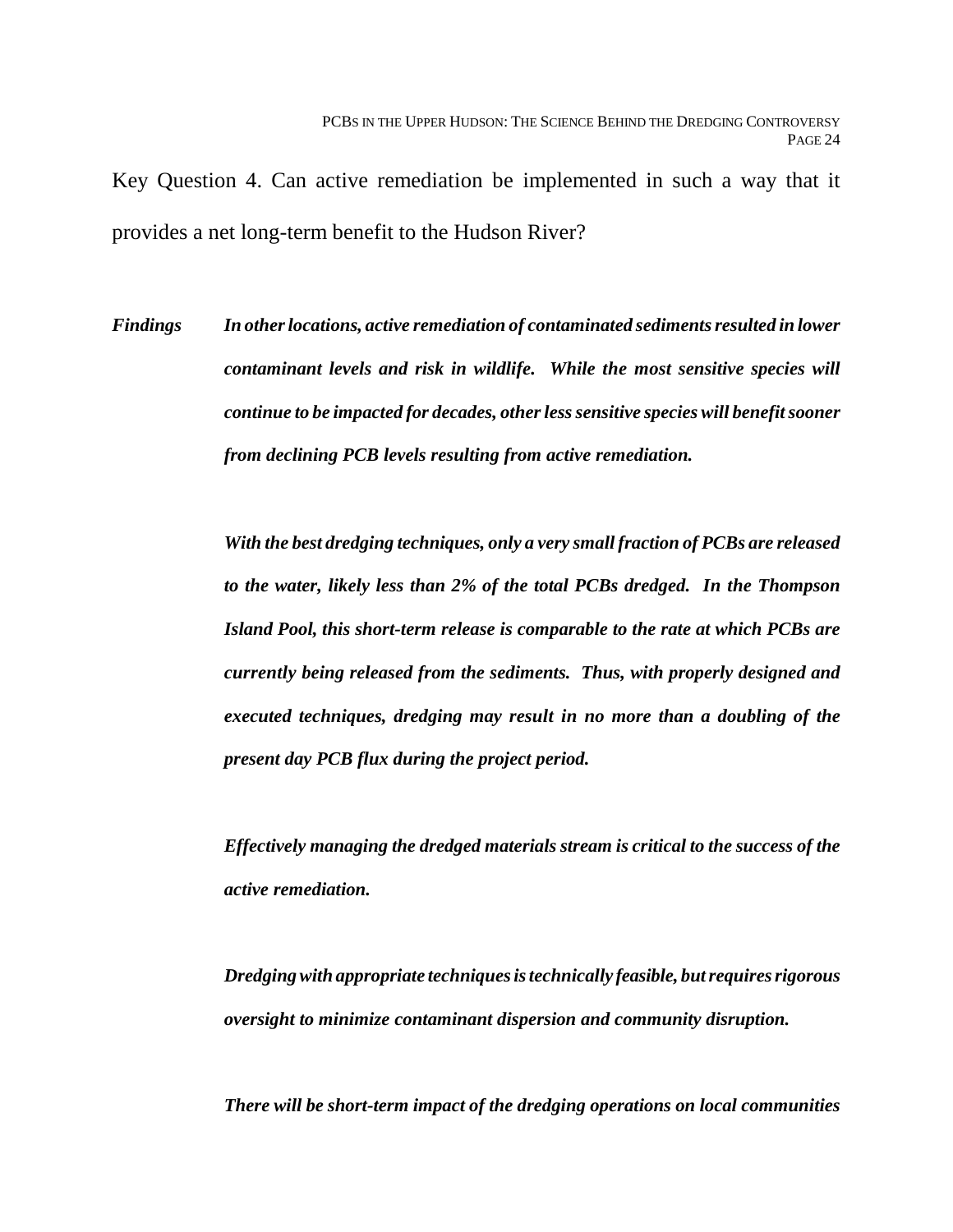Key Question 4. Can active remediation be implemented in such a way that it provides a net long-term benefit to the Hudson River?

*Findings In other locations, active remediation of contaminated sediments resulted in lower contaminant levels and risk in wildlife. While the most sensitive species will continue to be impacted for decades, other less sensitive species will benefit sooner from declining PCB levels resulting from active remediation.*

> *With the best dredging techniques, only a very small fraction of PCBs are released to the water, likely less than 2% of the total PCBs dredged. In the Thompson Island Pool, this short-term release is comparable to the rate at which PCBs are currently being released from the sediments. Thus, with properly designed and executed techniques, dredging may result in no more than a doubling of the present day PCB flux during the project period.*

> *Effectively managing the dredged materials stream is critical to the success of the active remediation.*

> *Dredging with appropriate techniques is technically feasible, but requires rigorous oversight to minimize contaminant dispersion and community disruption.*

> *There will be short-term impact of the dredging operations on local communities*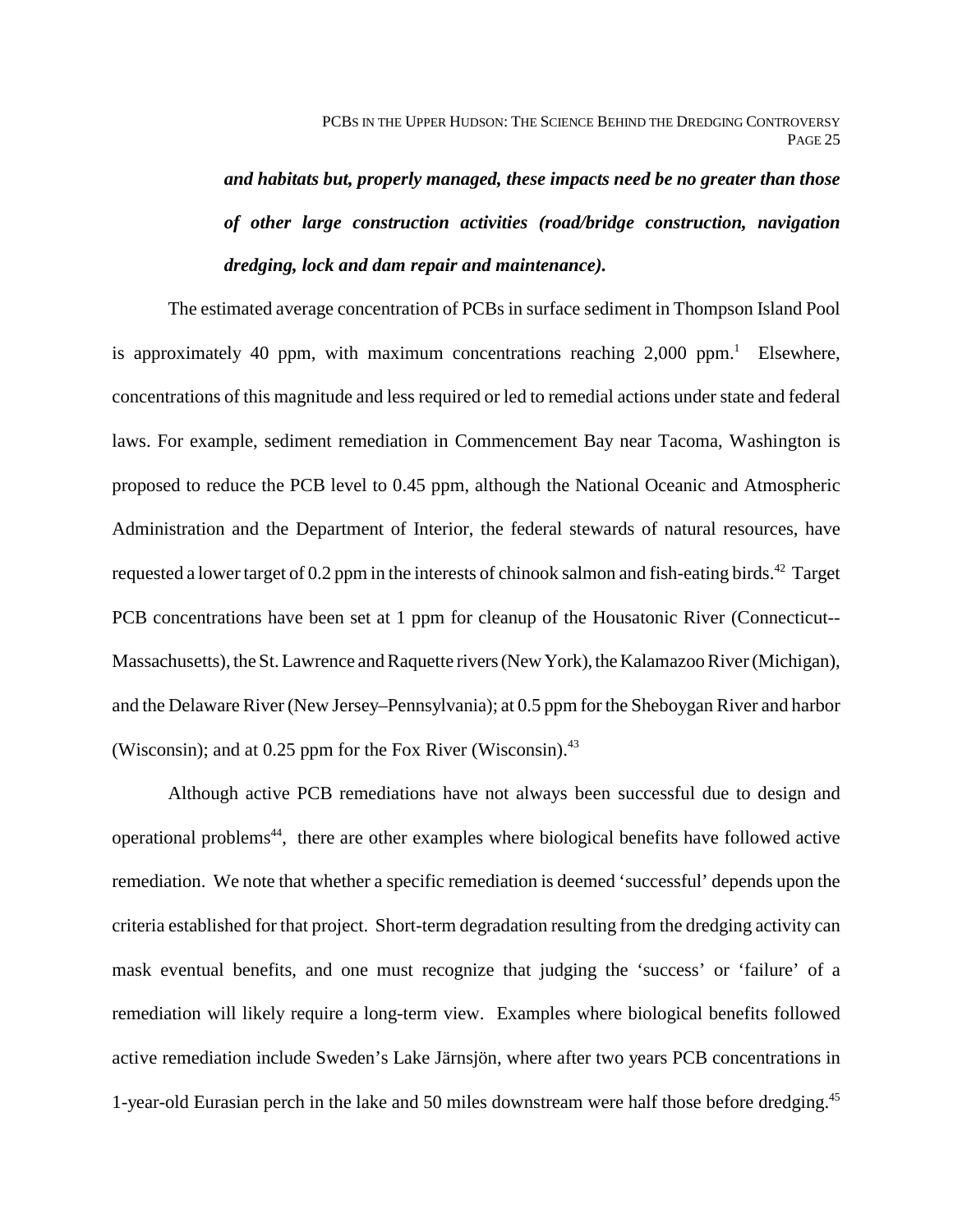*and habitats but, properly managed, these impacts need be no greater than those of other large construction activities (road/bridge construction, navigation dredging, lock and dam repair and maintenance).*

The estimated average concentration of PCBs in surface sediment in Thompson Island Pool is approximately 40 ppm, with maximum concentrations reaching  $2,000$  ppm.<sup>1</sup> Elsewhere, concentrations of this magnitude and less required or led to remedial actions under state and federal laws. For example, sediment remediation in Commencement Bay near Tacoma, Washington is proposed to reduce the PCB level to 0.45 ppm, although the National Oceanic and Atmospheric Administration and the Department of Interior, the federal stewards of natural resources, have requested a lower target of 0.2 ppm in the interests of chinook salmon and fish-eating birds.<sup>42</sup> Target PCB concentrations have been set at 1 ppm for cleanup of the Housatonic River (Connecticut-- Massachusetts), the St. Lawrence and Raquette rivers (New York), the Kalamazoo River (Michigan), and the Delaware River (New Jersey–Pennsylvania); at 0.5 ppm for the Sheboygan River and harbor (Wisconsin); and at  $0.25$  ppm for the Fox River (Wisconsin).<sup>43</sup>

Although active PCB remediations have not always been successful due to design and operational problems<sup>44</sup>, there are other examples where biological benefits have followed active remediation. We note that whether a specific remediation is deemed 'successful' depends upon the criteria established for that project. Short-term degradation resulting from the dredging activity can mask eventual benefits, and one must recognize that judging the 'success' or 'failure' of a remediation will likely require a long-term view. Examples where biological benefits followed active remediation include Sweden's Lake Järnsjön, where after two years PCB concentrations in 1-year-old Eurasian perch in the lake and 50 miles downstream were half those before dredging.45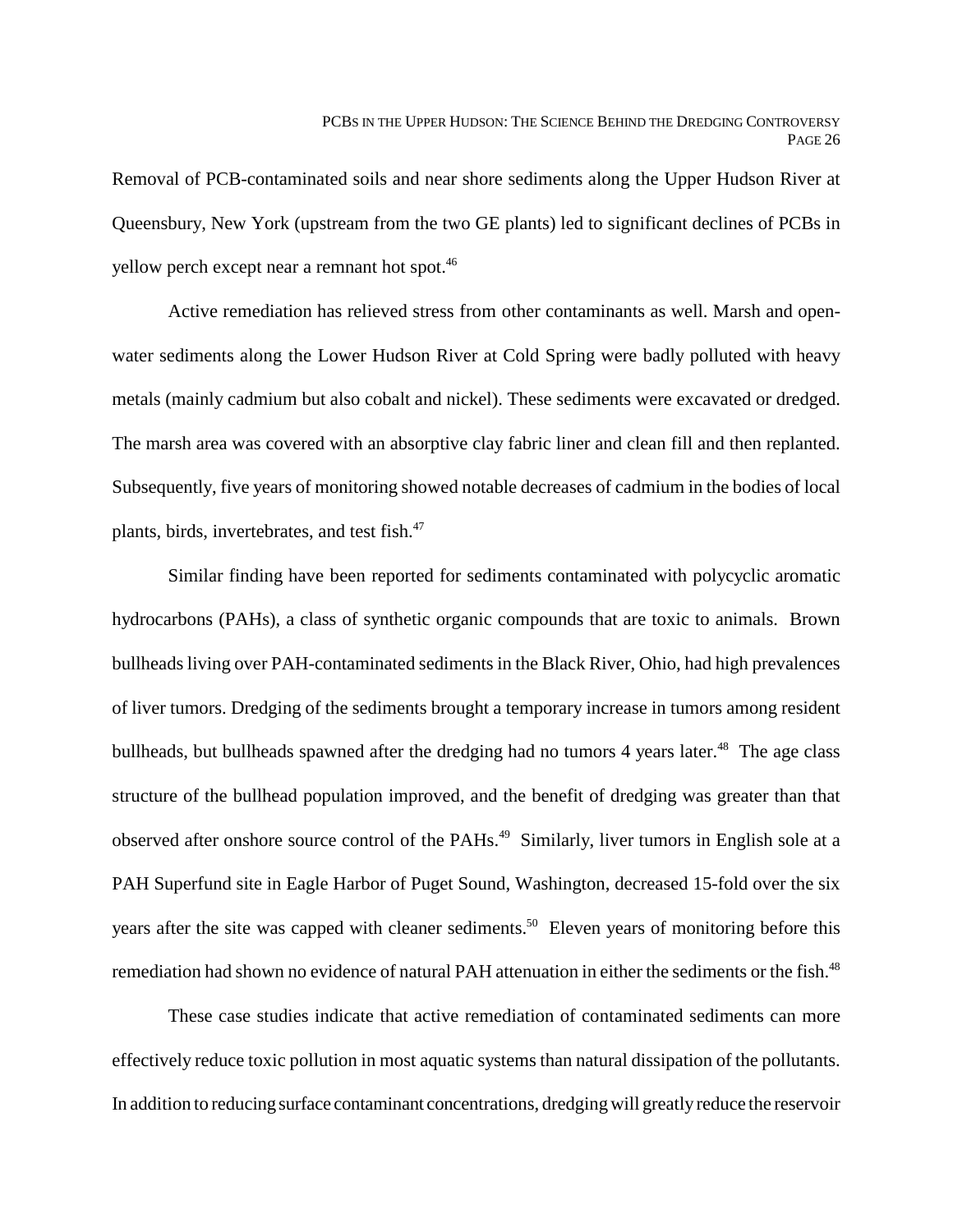Removal of PCB-contaminated soils and near shore sediments along the Upper Hudson River at Queensbury, New York (upstream from the two GE plants) led to significant declines of PCBs in yellow perch except near a remnant hot spot.46

Active remediation has relieved stress from other contaminants as well. Marsh and openwater sediments along the Lower Hudson River at Cold Spring were badly polluted with heavy metals (mainly cadmium but also cobalt and nickel). These sediments were excavated or dredged. The marsh area was covered with an absorptive clay fabric liner and clean fill and then replanted. Subsequently, five years of monitoring showed notable decreases of cadmium in the bodies of local plants, birds, invertebrates, and test fish.47

Similar finding have been reported for sediments contaminated with polycyclic aromatic hydrocarbons (PAHs), a class of synthetic organic compounds that are toxic to animals. Brown bullheads living over PAH-contaminated sediments in the Black River, Ohio, had high prevalences of liver tumors. Dredging of the sediments brought a temporary increase in tumors among resident bullheads, but bullheads spawned after the dredging had no tumors 4 years later.<sup>48</sup> The age class structure of the bullhead population improved, and the benefit of dredging was greater than that observed after onshore source control of the PAHs.<sup>49</sup> Similarly, liver tumors in English sole at a PAH Superfund site in Eagle Harbor of Puget Sound, Washington, decreased 15-fold over the six years after the site was capped with cleaner sediments.<sup>50</sup> Eleven years of monitoring before this remediation had shown no evidence of natural PAH attenuation in either the sediments or the fish.<sup>48</sup>

These case studies indicate that active remediation of contaminated sediments can more effectively reduce toxic pollution in most aquatic systems than natural dissipation of the pollutants. In addition to reducing surface contaminant concentrations, dredging will greatly reduce the reservoir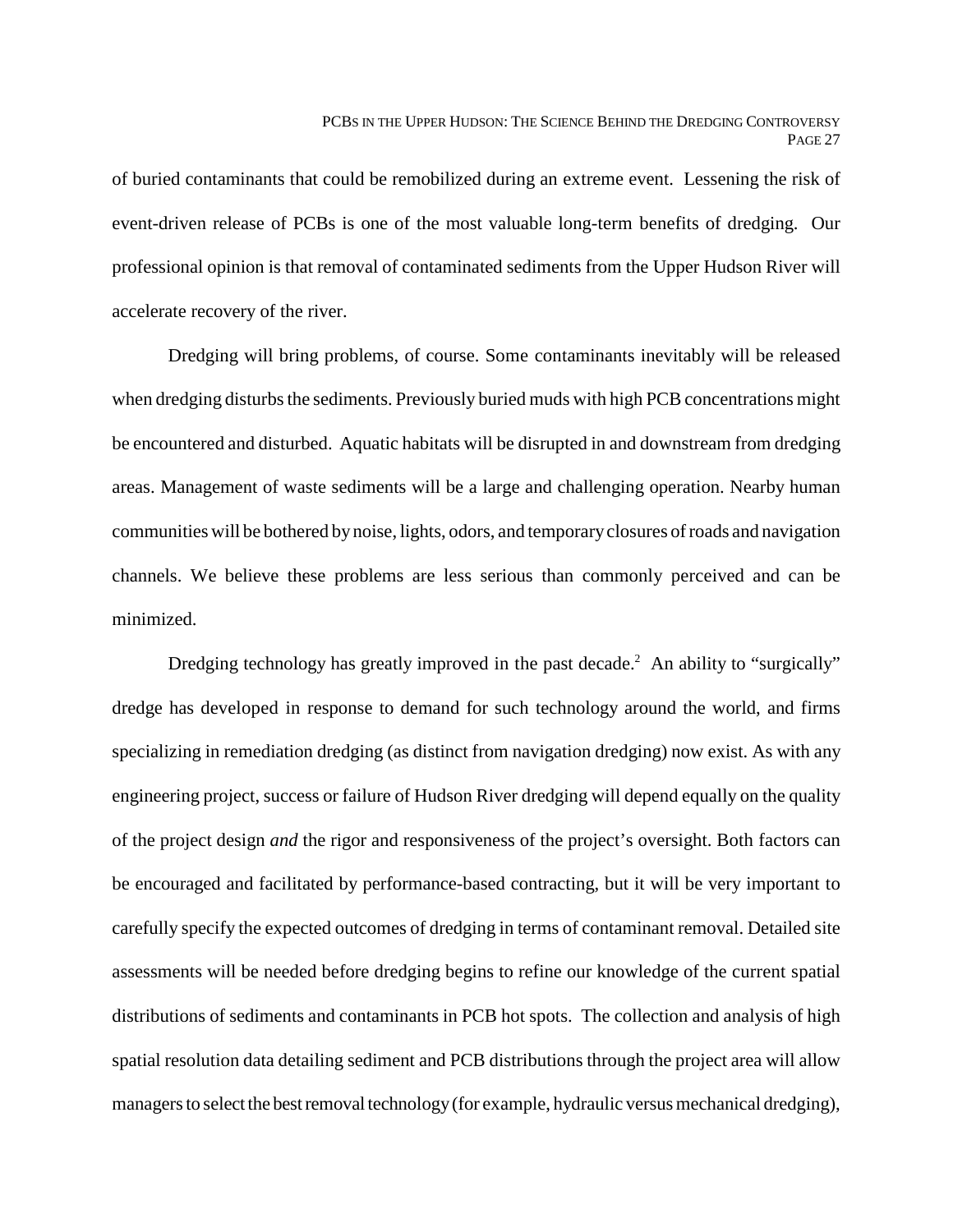of buried contaminants that could be remobilized during an extreme event. Lessening the risk of event-driven release of PCBs is one of the most valuable long-term benefits of dredging. Our professional opinion is that removal of contaminated sediments from the Upper Hudson River will accelerate recovery of the river.

Dredging will bring problems, of course. Some contaminants inevitably will be released when dredging disturbs the sediments. Previously buried muds with high PCB concentrations might be encountered and disturbed. Aquatic habitats will be disrupted in and downstream from dredging areas. Management of waste sediments will be a large and challenging operation. Nearby human communities will be bothered by noise, lights, odors, and temporary closures of roads and navigation channels. We believe these problems are less serious than commonly perceived and can be minimized.

Dredging technology has greatly improved in the past decade.<sup>2</sup> An ability to "surgically" dredge has developed in response to demand for such technology around the world, and firms specializing in remediation dredging (as distinct from navigation dredging) now exist. As with any engineering project, success or failure of Hudson River dredging will depend equally on the quality of the project design *and* the rigor and responsiveness of the project's oversight. Both factors can be encouraged and facilitated by performance-based contracting, but it will be very important to carefully specify the expected outcomes of dredging in terms of contaminant removal. Detailed site assessments will be needed before dredging begins to refine our knowledge of the current spatial distributions of sediments and contaminants in PCB hot spots. The collection and analysis of high spatial resolution data detailing sediment and PCB distributions through the project area will allow managers to select the best removal technology (for example, hydraulic versus mechanical dredging),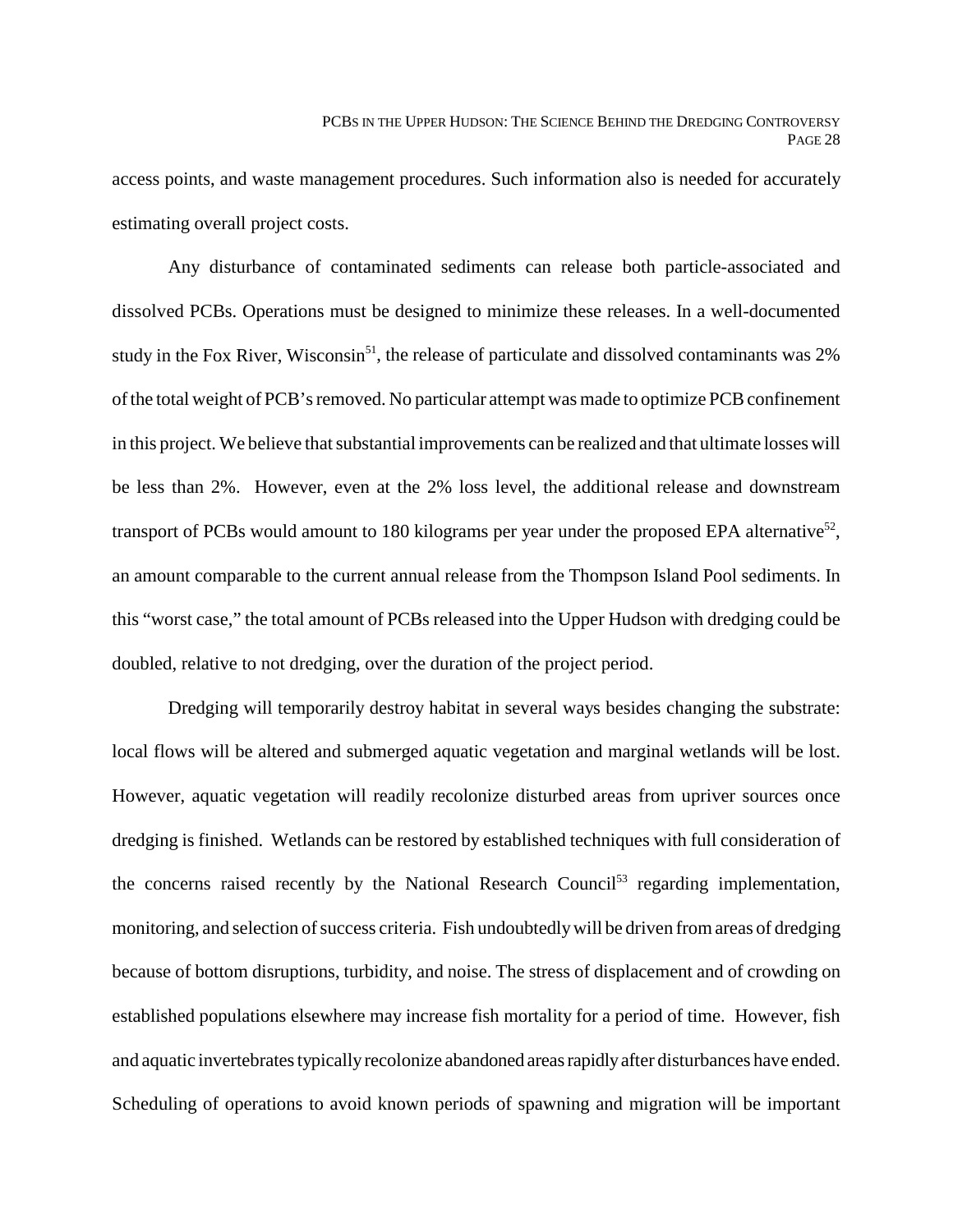access points, and waste management procedures. Such information also is needed for accurately estimating overall project costs.

Any disturbance of contaminated sediments can release both particle-associated and dissolved PCBs. Operations must be designed to minimize these releases. In a well-documented study in the Fox River, Wisconsin<sup>51</sup>, the release of particulate and dissolved contaminants was  $2\%$ of the total weight of PCB's removed. No particular attempt was made to optimize PCB confinement in this project. We believe that substantial improvements can be realized and that ultimate losses will be less than 2%. However, even at the 2% loss level, the additional release and downstream transport of PCBs would amount to 180 kilograms per year under the proposed EPA alternative<sup>52</sup>, an amount comparable to the current annual release from the Thompson Island Pool sediments. In this "worst case," the total amount of PCBs released into the Upper Hudson with dredging could be doubled, relative to not dredging, over the duration of the project period.

Dredging will temporarily destroy habitat in several ways besides changing the substrate: local flows will be altered and submerged aquatic vegetation and marginal wetlands will be lost. However, aquatic vegetation will readily recolonize disturbed areas from upriver sources once dredging is finished. Wetlands can be restored by established techniques with full consideration of the concerns raised recently by the National Research Council<sup>53</sup> regarding implementation, monitoring, and selection of success criteria. Fish undoubtedly will be driven from areas of dredging because of bottom disruptions, turbidity, and noise. The stress of displacement and of crowding on established populations elsewhere may increase fish mortality for a period of time. However, fish and aquatic invertebrates typically recolonize abandoned areas rapidly after disturbances have ended. Scheduling of operations to avoid known periods of spawning and migration will be important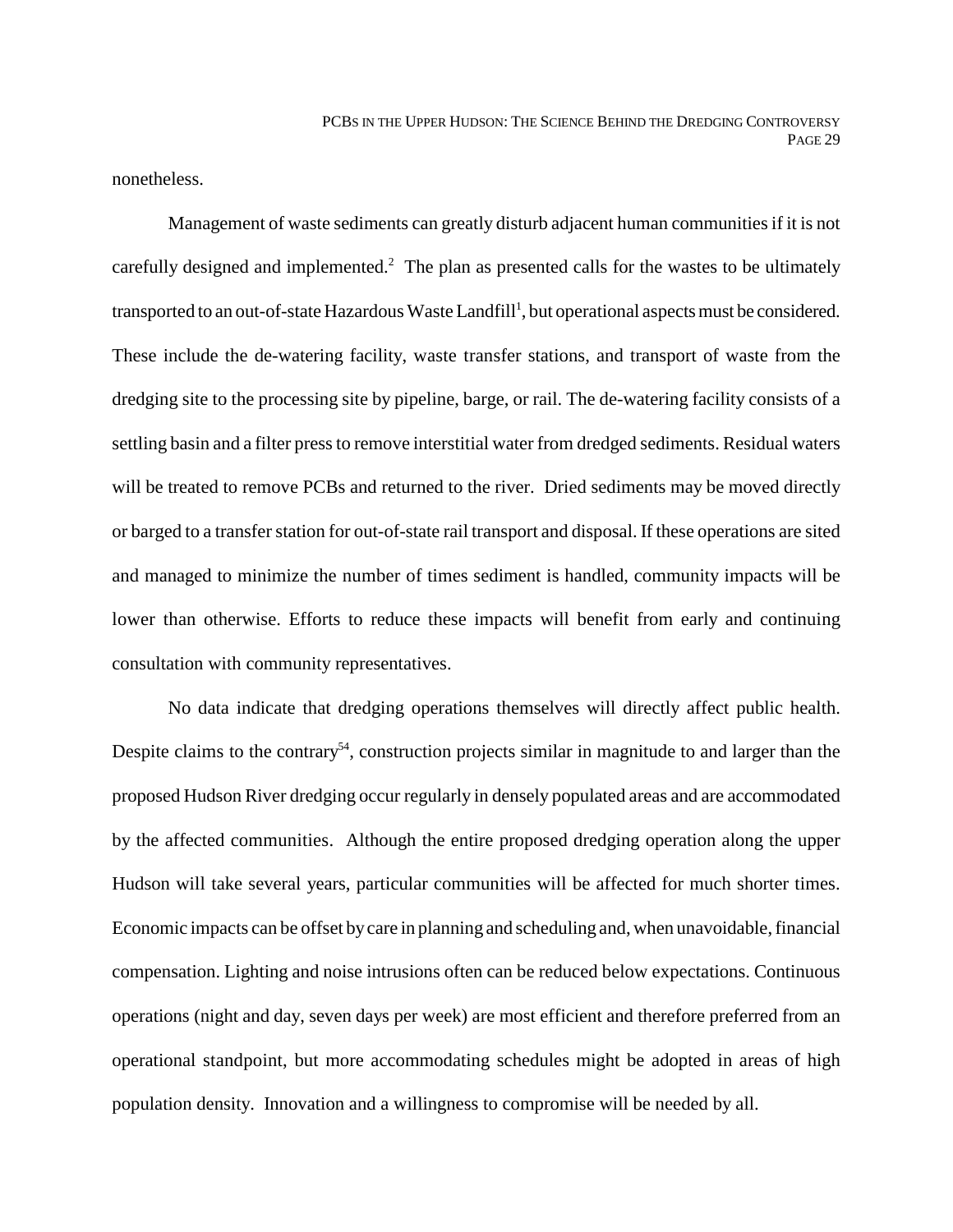nonetheless.

Management of waste sediments can greatly disturb adjacent human communities if it is not carefully designed and implemented.<sup>2</sup> The plan as presented calls for the wastes to be ultimately transported to an out-of-state Hazardous Waste Landfill<sup>1</sup>, but operational aspects must be considered. These include the de-watering facility, waste transfer stations, and transport of waste from the dredging site to the processing site by pipeline, barge, or rail. The de-watering facility consists of a settling basin and a filter press to remove interstitial water from dredged sediments. Residual waters will be treated to remove PCBs and returned to the river. Dried sediments may be moved directly or barged to a transfer station for out-of-state rail transport and disposal. If these operations are sited and managed to minimize the number of times sediment is handled, community impacts will be lower than otherwise. Efforts to reduce these impacts will benefit from early and continuing consultation with community representatives.

No data indicate that dredging operations themselves will directly affect public health. Despite claims to the contrary<sup>54</sup>, construction projects similar in magnitude to and larger than the proposed Hudson River dredging occur regularly in densely populated areas and are accommodated by the affected communities. Although the entire proposed dredging operation along the upper Hudson will take several years, particular communities will be affected for much shorter times. Economic impacts can be offset by care in planning and scheduling and, when unavoidable, financial compensation. Lighting and noise intrusions often can be reduced below expectations. Continuous operations (night and day, seven days per week) are most efficient and therefore preferred from an operational standpoint, but more accommodating schedules might be adopted in areas of high population density. Innovation and a willingness to compromise will be needed by all.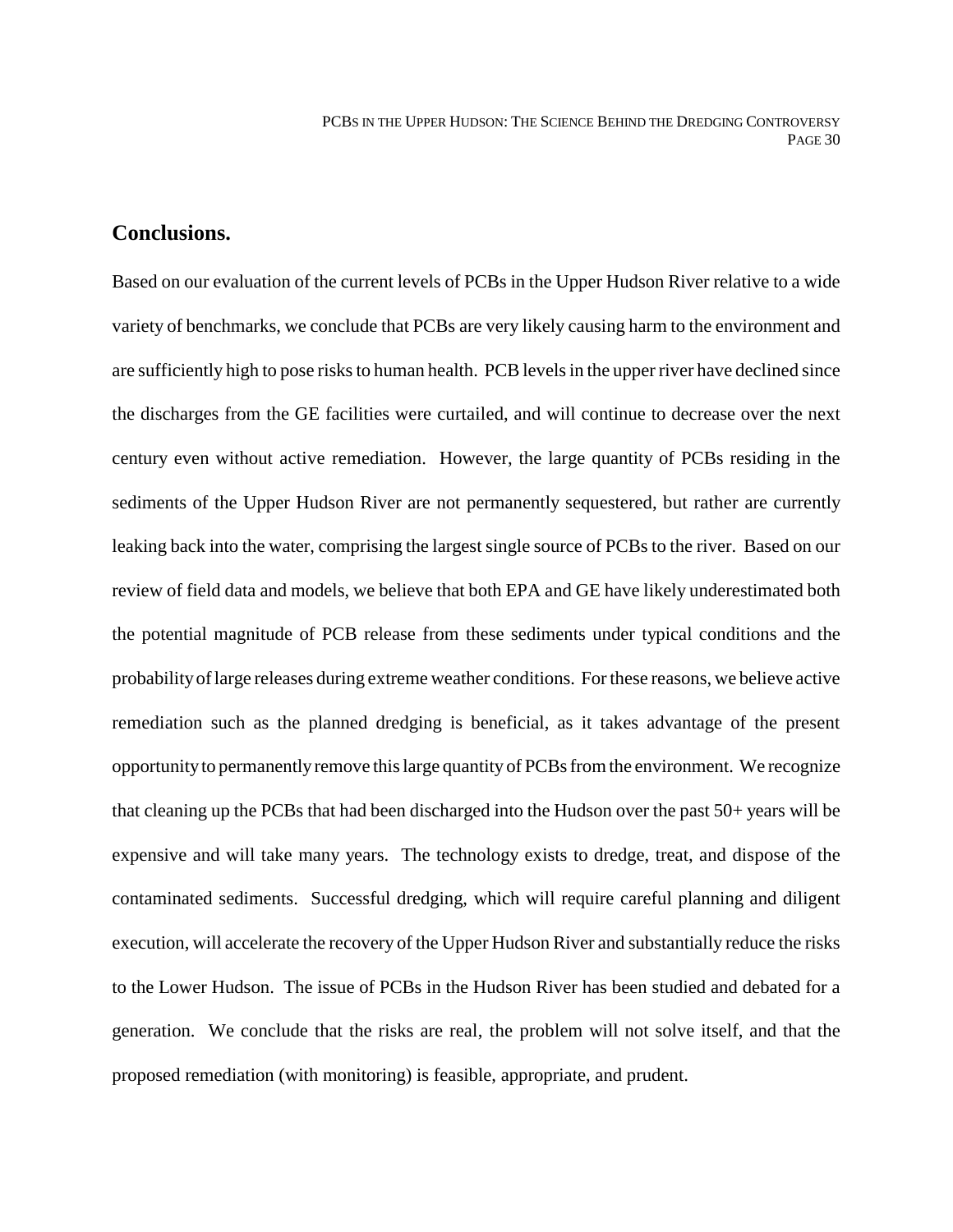#### **Conclusions.**

Based on our evaluation of the current levels of PCBs in the Upper Hudson River relative to a wide variety of benchmarks, we conclude that PCBs are very likely causing harm to the environment and are sufficiently high to pose risks to human health. PCB levels in the upper river have declined since the discharges from the GE facilities were curtailed, and will continue to decrease over the next century even without active remediation. However, the large quantity of PCBs residing in the sediments of the Upper Hudson River are not permanently sequestered, but rather are currently leaking back into the water, comprising the largest single source of PCBs to the river. Based on our review of field data and models, we believe that both EPA and GE have likely underestimated both the potential magnitude of PCB release from these sediments under typical conditions and the probability of large releases during extreme weather conditions. For these reasons, we believe active remediation such as the planned dredging is beneficial, as it takes advantage of the present opportunity to permanently remove this large quantity of PCBs from the environment. We recognize that cleaning up the PCBs that had been discharged into the Hudson over the past 50+ years will be expensive and will take many years. The technology exists to dredge, treat, and dispose of the contaminated sediments. Successful dredging, which will require careful planning and diligent execution, will accelerate the recovery of the Upper Hudson River and substantially reduce the risks to the Lower Hudson. The issue of PCBs in the Hudson River has been studied and debated for a generation. We conclude that the risks are real, the problem will not solve itself, and that the proposed remediation (with monitoring) is feasible, appropriate, and prudent.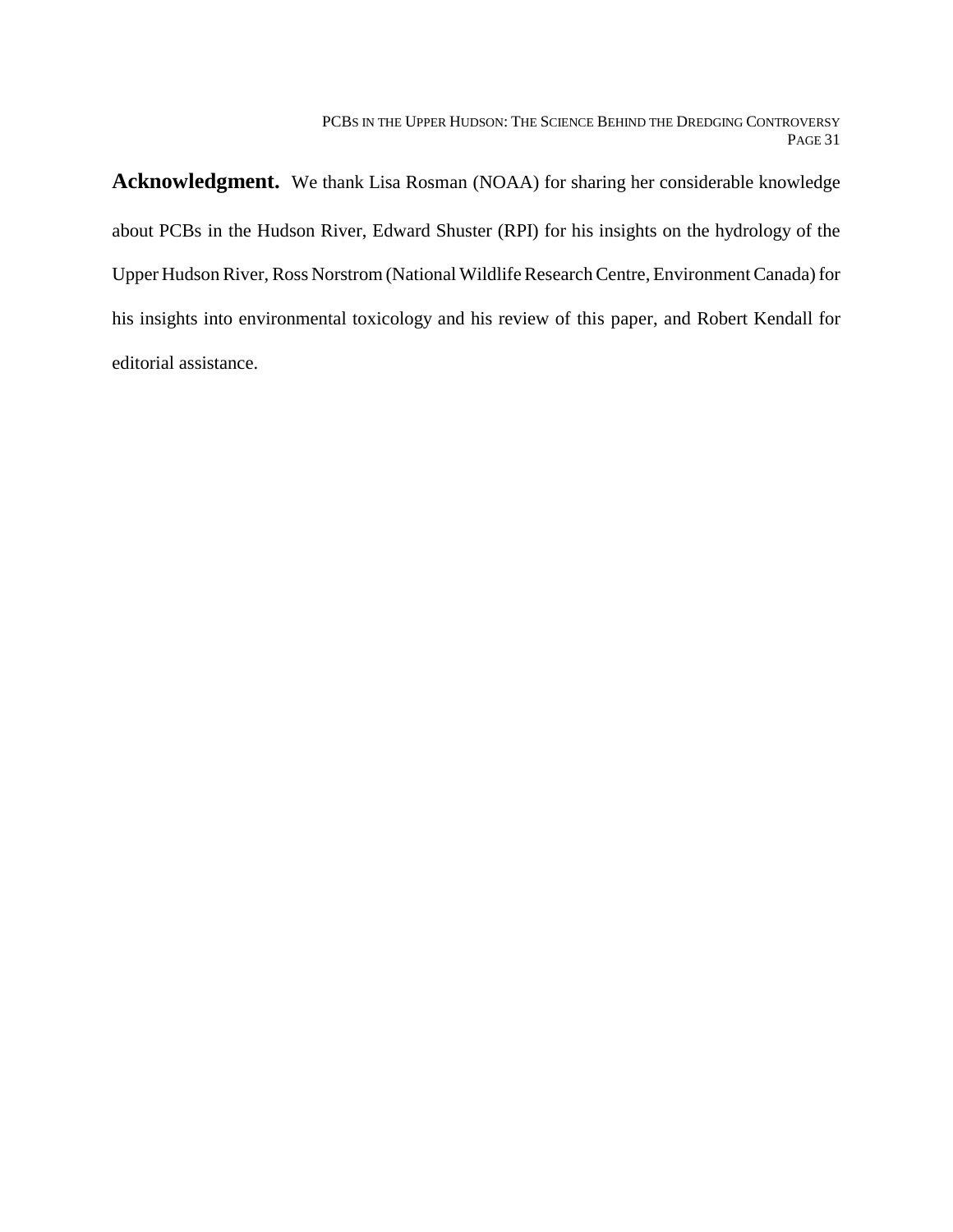**Acknowledgment.** We thank Lisa Rosman (NOAA) for sharing her considerable knowledge about PCBs in the Hudson River, Edward Shuster (RPI) for his insights on the hydrology of the Upper Hudson River, Ross Norstrom (National Wildlife Research Centre, Environment Canada) for his insights into environmental toxicology and his review of this paper, and Robert Kendall for editorial assistance.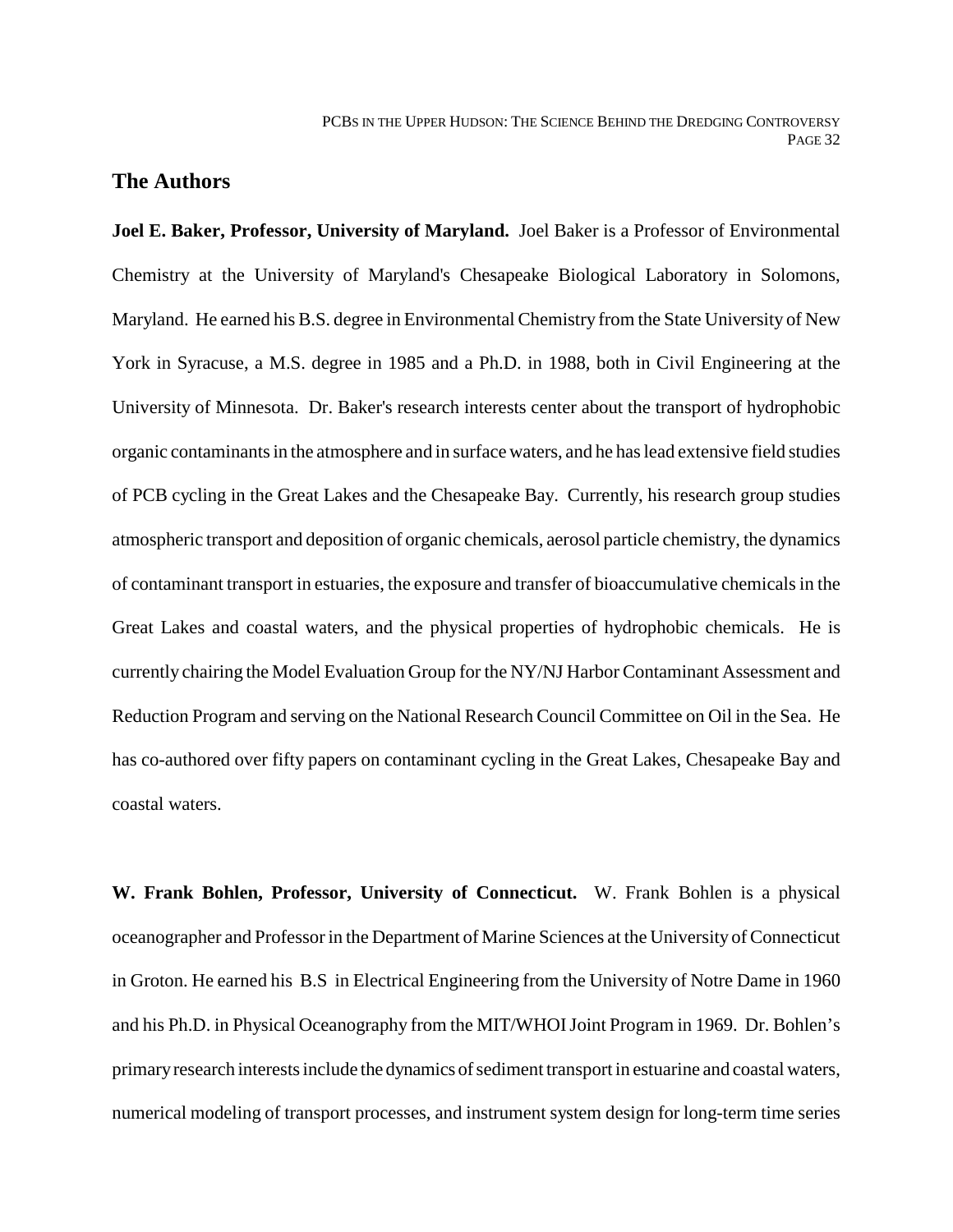#### **The Authors**

**Joel E. Baker, Professor, University of Maryland.** Joel Baker is a Professor of Environmental Chemistry at the University of Maryland's Chesapeake Biological Laboratory in Solomons, Maryland. He earned his B.S. degree in Environmental Chemistry from the State University of New York in Syracuse, a M.S. degree in 1985 and a Ph.D. in 1988, both in Civil Engineering at the University of Minnesota. Dr. Baker's research interests center about the transport of hydrophobic organic contaminants in the atmosphere and in surface waters, and he has lead extensive field studies of PCB cycling in the Great Lakes and the Chesapeake Bay. Currently, his research group studies atmospheric transport and deposition of organic chemicals, aerosol particle chemistry, the dynamics of contaminant transport in estuaries, the exposure and transfer of bioaccumulative chemicals in the Great Lakes and coastal waters, and the physical properties of hydrophobic chemicals. He is currently chairing the Model Evaluation Group for the NY/NJ Harbor Contaminant Assessment and Reduction Program and serving on the National Research Council Committee on Oil in the Sea. He has co-authored over fifty papers on contaminant cycling in the Great Lakes, Chesapeake Bay and coastal waters.

**W. Frank Bohlen, Professor, University of Connecticut.** W. Frank Bohlen is a physical oceanographer and Professor in the Department of Marine Sciences at the University of Connecticut in Groton. He earned his B.S in Electrical Engineering from the University of Notre Dame in 1960 and his Ph.D. in Physical Oceanography from the MIT/WHOI Joint Program in 1969. Dr. Bohlen's primary research interests include the dynamics of sediment transport in estuarine and coastal waters, numerical modeling of transport processes, and instrument system design for long-term time series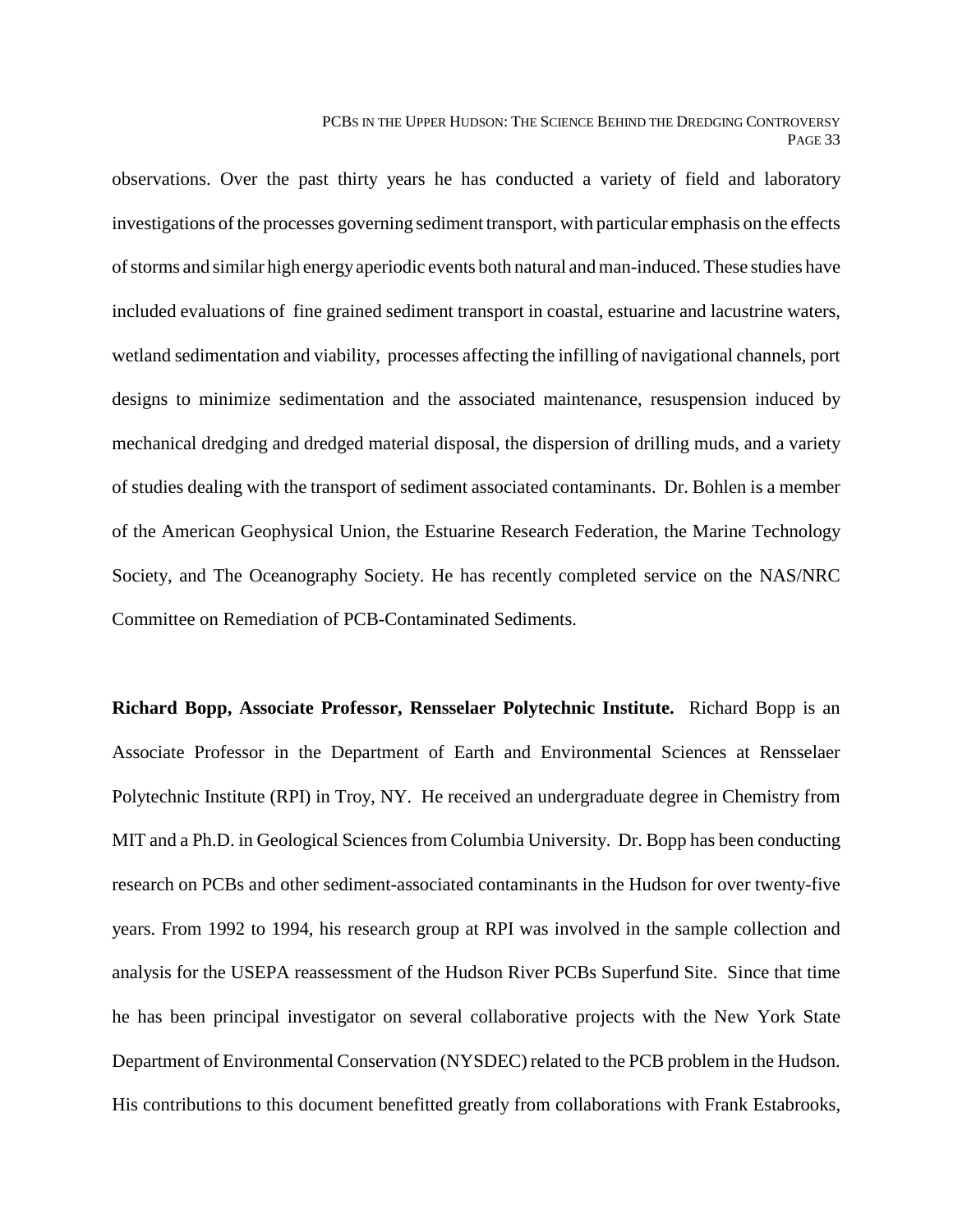observations. Over the past thirty years he has conducted a variety of field and laboratory investigations of the processes governing sediment transport, with particular emphasis on the effects of storms and similar high energy aperiodic events both natural and man-induced. These studies have included evaluations of fine grained sediment transport in coastal, estuarine and lacustrine waters, wetland sedimentation and viability, processes affecting the infilling of navigational channels, port designs to minimize sedimentation and the associated maintenance, resuspension induced by mechanical dredging and dredged material disposal, the dispersion of drilling muds, and a variety of studies dealing with the transport of sediment associated contaminants. Dr. Bohlen is a member of the American Geophysical Union, the Estuarine Research Federation, the Marine Technology Society, and The Oceanography Society. He has recently completed service on the NAS/NRC Committee on Remediation of PCB-Contaminated Sediments.

**Richard Bopp, Associate Professor, Rensselaer Polytechnic Institute.** Richard Bopp is an Associate Professor in the Department of Earth and Environmental Sciences at Rensselaer Polytechnic Institute (RPI) in Troy, NY. He received an undergraduate degree in Chemistry from MIT and a Ph.D. in Geological Sciences from Columbia University. Dr. Bopp has been conducting research on PCBs and other sediment-associated contaminants in the Hudson for over twenty-five years. From 1992 to 1994, his research group at RPI was involved in the sample collection and analysis for the USEPA reassessment of the Hudson River PCBs Superfund Site. Since that time he has been principal investigator on several collaborative projects with the New York State Department of Environmental Conservation (NYSDEC) related to the PCB problem in the Hudson. His contributions to this document benefitted greatly from collaborations with Frank Estabrooks,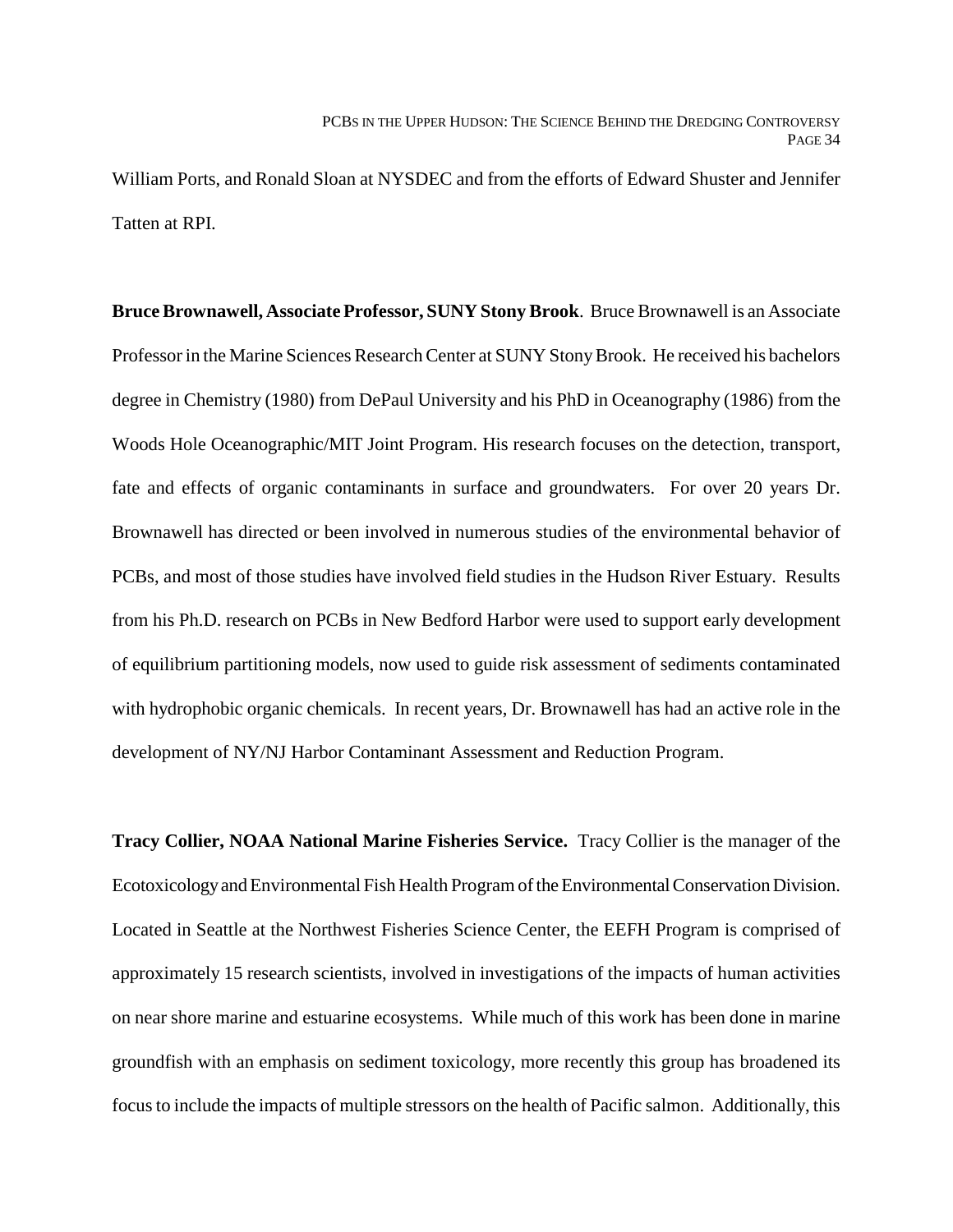William Ports, and Ronald Sloan at NYSDEC and from the efforts of Edward Shuster and Jennifer Tatten at RPI.

**Bruce Brownawell, Associate Professor, SUNY Stony Brook**. Bruce Brownawell is an Associate Professor in the Marine Sciences Research Center at SUNY Stony Brook. He received his bachelors degree in Chemistry (1980) from DePaul University and his PhD in Oceanography (1986) from the Woods Hole Oceanographic/MIT Joint Program. His research focuses on the detection, transport, fate and effects of organic contaminants in surface and groundwaters. For over 20 years Dr. Brownawell has directed or been involved in numerous studies of the environmental behavior of PCBs, and most of those studies have involved field studies in the Hudson River Estuary. Results from his Ph.D. research on PCBs in New Bedford Harbor were used to support early development of equilibrium partitioning models, now used to guide risk assessment of sediments contaminated with hydrophobic organic chemicals. In recent years, Dr. Brownawell has had an active role in the development of NY/NJ Harbor Contaminant Assessment and Reduction Program.

**Tracy Collier, NOAA National Marine Fisheries Service.** Tracy Collier is the manager of the Ecotoxicology and Environmental Fish Health Program of the Environmental Conservation Division. Located in Seattle at the Northwest Fisheries Science Center, the EEFH Program is comprised of approximately 15 research scientists, involved in investigations of the impacts of human activities on near shore marine and estuarine ecosystems. While much of this work has been done in marine groundfish with an emphasis on sediment toxicology, more recently this group has broadened its focus to include the impacts of multiple stressors on the health of Pacific salmon. Additionally, this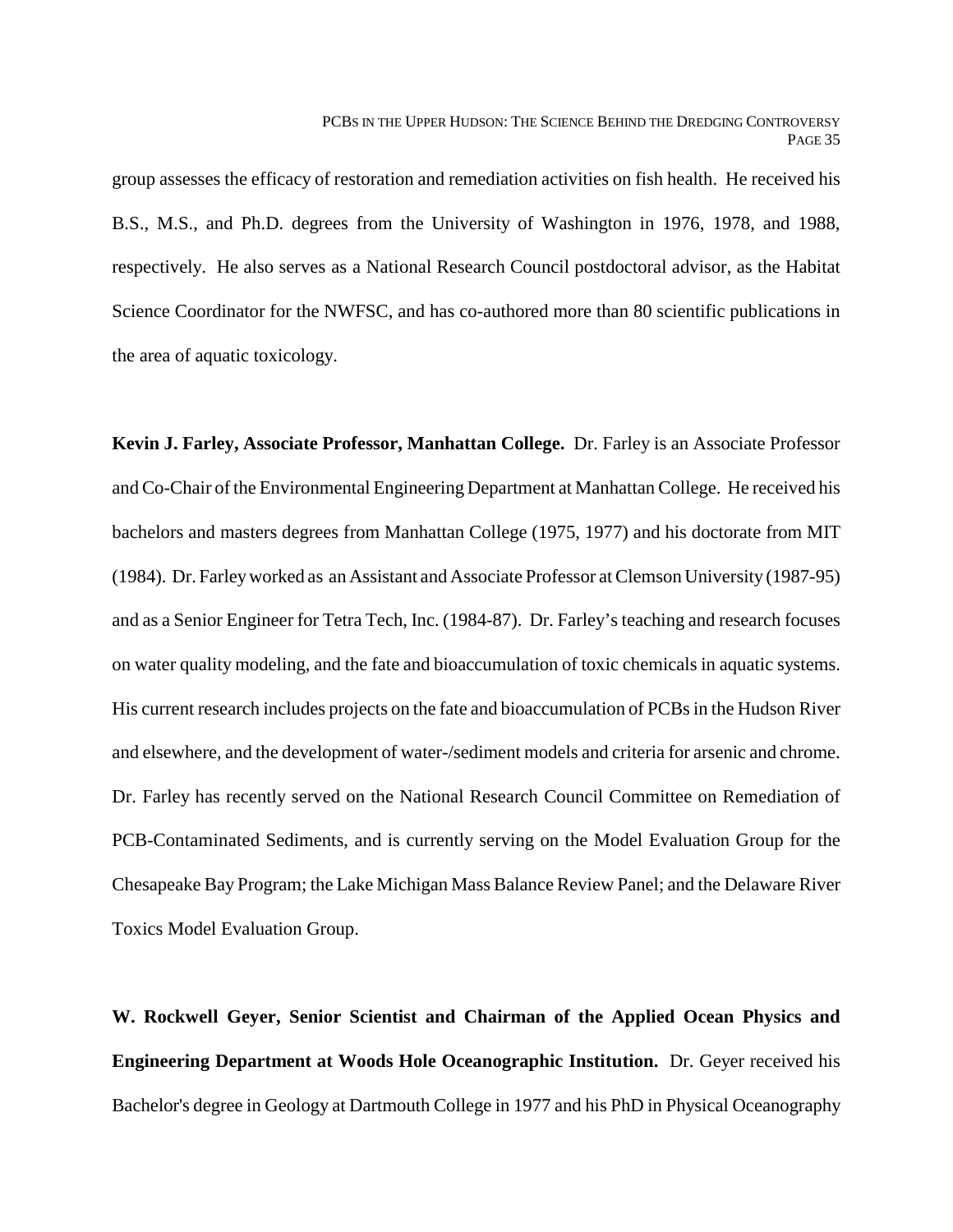group assesses the efficacy of restoration and remediation activities on fish health. He received his B.S., M.S., and Ph.D. degrees from the University of Washington in 1976, 1978, and 1988, respectively. He also serves as a National Research Council postdoctoral advisor, as the Habitat Science Coordinator for the NWFSC, and has co-authored more than 80 scientific publications in the area of aquatic toxicology.

**Kevin J. Farley, Associate Professor, Manhattan College.** Dr. Farley is an Associate Professor and Co-Chair of the Environmental Engineering Department at Manhattan College. He received his bachelors and masters degrees from Manhattan College (1975, 1977) and his doctorate from MIT (1984). Dr. Farley worked as an Assistant and Associate Professor at Clemson University (1987-95) and as a Senior Engineer for Tetra Tech, Inc. (1984-87). Dr. Farley's teaching and research focuses on water quality modeling, and the fate and bioaccumulation of toxic chemicals in aquatic systems. His current research includes projects on the fate and bioaccumulation of PCBs in the Hudson River and elsewhere, and the development of water-/sediment models and criteria for arsenic and chrome. Dr. Farley has recently served on the National Research Council Committee on Remediation of PCB-Contaminated Sediments, and is currently serving on the Model Evaluation Group for the Chesapeake Bay Program; the Lake Michigan Mass Balance Review Panel; and the Delaware River Toxics Model Evaluation Group.

**W. Rockwell Geyer, Senior Scientist and Chairman of the Applied Ocean Physics and Engineering Department at Woods Hole Oceanographic Institution.** Dr. Geyer received his Bachelor's degree in Geology at Dartmouth College in 1977 and his PhD in Physical Oceanography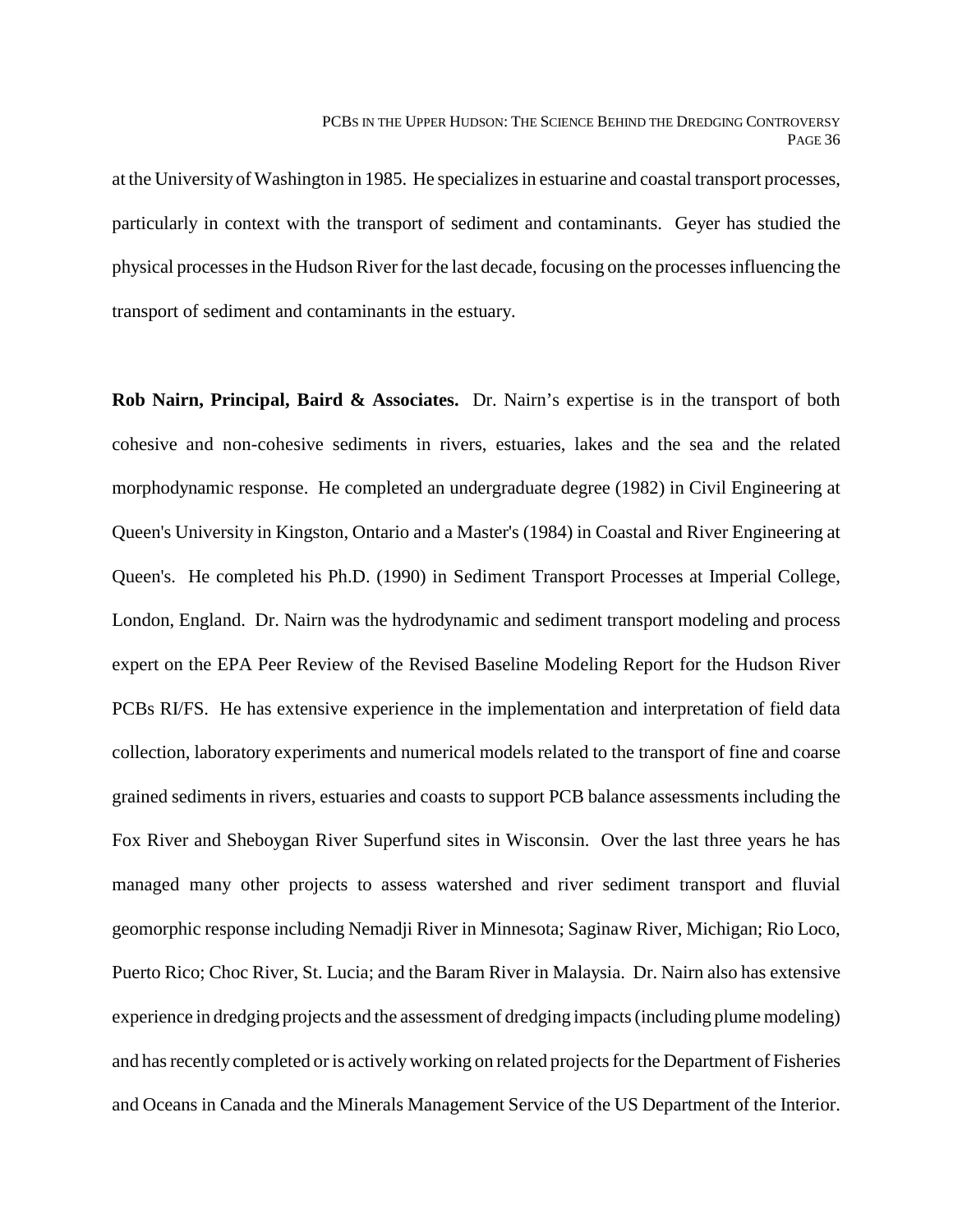at the University of Washington in 1985. He specializes in estuarine and coastal transport processes, particularly in context with the transport of sediment and contaminants. Geyer has studied the physical processes in the Hudson River for the last decade, focusing on the processes influencing the transport of sediment and contaminants in the estuary.

**Rob Nairn, Principal, Baird & Associates.** Dr. Nairn's expertise is in the transport of both cohesive and non-cohesive sediments in rivers, estuaries, lakes and the sea and the related morphodynamic response. He completed an undergraduate degree (1982) in Civil Engineering at Queen's University in Kingston, Ontario and a Master's (1984) in Coastal and River Engineering at Queen's. He completed his Ph.D. (1990) in Sediment Transport Processes at Imperial College, London, England. Dr. Nairn was the hydrodynamic and sediment transport modeling and process expert on the EPA Peer Review of the Revised Baseline Modeling Report for the Hudson River PCBs RI/FS. He has extensive experience in the implementation and interpretation of field data collection, laboratory experiments and numerical models related to the transport of fine and coarse grained sediments in rivers, estuaries and coasts to support PCB balance assessments including the Fox River and Sheboygan River Superfund sites in Wisconsin. Over the last three years he has managed many other projects to assess watershed and river sediment transport and fluvial geomorphic response including Nemadji River in Minnesota; Saginaw River, Michigan; Rio Loco, Puerto Rico; Choc River, St. Lucia; and the Baram River in Malaysia. Dr. Nairn also has extensive experience in dredging projects and the assessment of dredging impacts (including plume modeling) and has recently completed or is actively working on related projects for the Department of Fisheries and Oceans in Canada and the Minerals Management Service of the US Department of the Interior.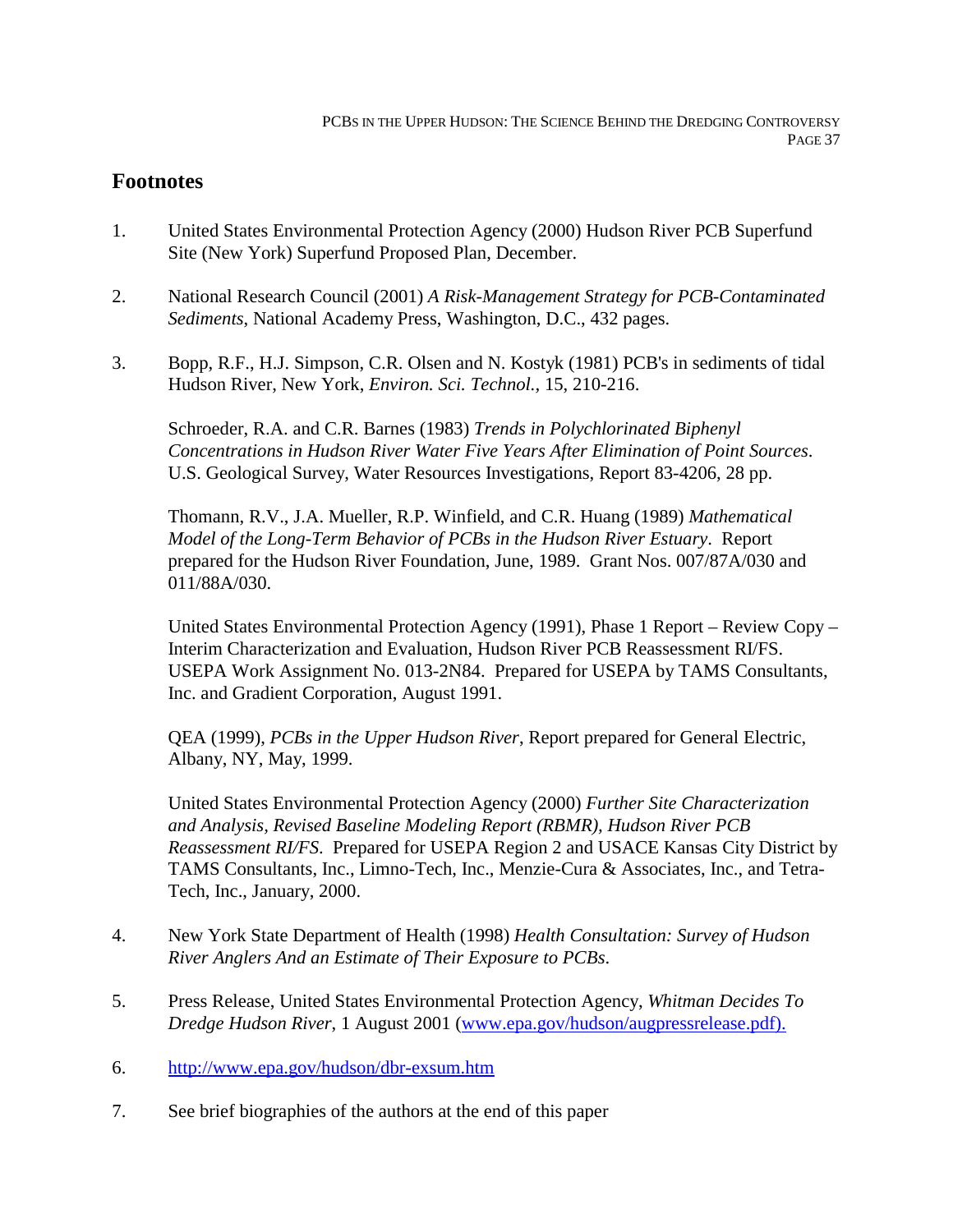### **Footnotes**

- 1. United States Environmental Protection Agency (2000) Hudson River PCB Superfund Site (New York) Superfund Proposed Plan, December.
- 2. National Research Council (2001) *A Risk-Management Strategy for PCB-Contaminated Sediments*, National Academy Press, Washington, D.C., 432 pages.
- 3. Bopp, R.F., H.J. Simpson, C.R. Olsen and N. Kostyk (1981) PCB's in sediments of tidal Hudson River, New York, *Environ. Sci. Technol.,* 15, 210-216.

Schroeder, R.A. and C.R. Barnes (1983) *Trends in Polychlorinated Biphenyl Concentrations in Hudson River Water Five Years After Elimination of Point Sources*. U.S. Geological Survey, Water Resources Investigations, Report 83-4206, 28 pp.

Thomann, R.V., J.A. Mueller, R.P. Winfield, and C.R. Huang (1989) *Mathematical Model of the Long-Term Behavior of PCBs in the Hudson River Estuary*. Report prepared for the Hudson River Foundation, June, 1989. Grant Nos. 007/87A/030 and 011/88A/030.

United States Environmental Protection Agency (1991), Phase 1 Report – Review Copy – Interim Characterization and Evaluation, Hudson River PCB Reassessment RI/FS. USEPA Work Assignment No. 013-2N84. Prepared for USEPA by TAMS Consultants, Inc. and Gradient Corporation, August 1991.

QEA (1999), *PCBs in the Upper Hudson River*, Report prepared for General Electric, Albany, NY, May, 1999.

United States Environmental Protection Agency (2000) *Further Site Characterization and Analysis, Revised Baseline Modeling Report (RBMR), Hudson River PCB Reassessment RI/FS*. Prepared for USEPA Region 2 and USACE Kansas City District by TAMS Consultants, Inc., Limno-Tech, Inc., Menzie-Cura & Associates, Inc., and Tetra-Tech, Inc., January, 2000.

- 4. New York State Department of Health (1998) *Health Consultation: Survey of Hudson River Anglers And an Estimate of Their Exposure to PCBs*.
- 5. Press Release, United States Environmental Protection Agency, *Whitman Decides To Dredge Hudson River*, 1 August 2001 (www.epa.gov/hudson/augpressrelease.pdf).
- 6. http://www.epa.gov/hudson/dbr-exsum.htm
- 7. See brief biographies of the authors at the end of this paper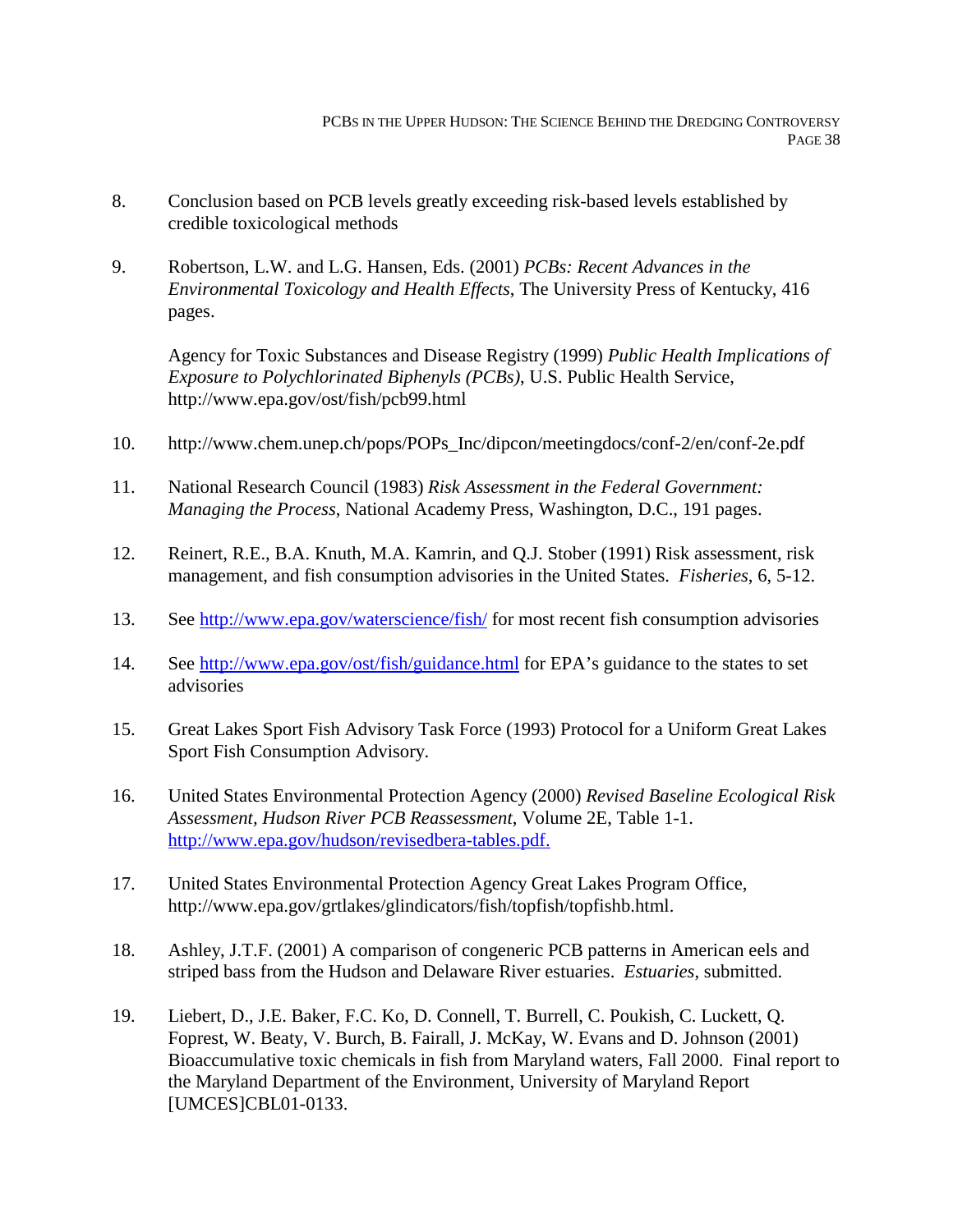- 8. Conclusion based on PCB levels greatly exceeding risk-based levels established by credible toxicological methods
- 9. Robertson, L.W. and L.G. Hansen, Eds. (2001) *PCBs: Recent Advances in the Environmental Toxicology and Health Effects*, The University Press of Kentucky, 416 pages.

Agency for Toxic Substances and Disease Registry (1999) *Public Health Implications of Exposure to Polychlorinated Biphenyls (PCBs)*, U.S. Public Health Service, http://www.epa.gov/ost/fish/pcb99.html

- 10. http://www.chem.unep.ch/pops/POPs\_Inc/dipcon/meetingdocs/conf-2/en/conf-2e.pdf
- 11. National Research Council (1983) *Risk Assessment in the Federal Government: Managing the Process*, National Academy Press, Washington, D.C., 191 pages.
- 12. Reinert, R.E., B.A. Knuth, M.A. Kamrin, and Q.J. Stober (1991) Risk assessment, risk management, and fish consumption advisories in the United States. *Fisheries*, 6, 5-12.
- 13. See http://www.epa.gov/waterscience/fish/ for most recent fish consumption advisories
- 14. See http://www.epa.gov/ost/fish/guidance.html for EPA's guidance to the states to set advisories
- 15. Great Lakes Sport Fish Advisory Task Force (1993) Protocol for a Uniform Great Lakes Sport Fish Consumption Advisory.
- 16. United States Environmental Protection Agency (2000) *Revised Baseline Ecological Risk Assessment, Hudson River PCB Reassessment*, Volume 2E, Table 1-1. http://www.epa.gov/hudson/revisedbera-tables.pdf.
- 17. United States Environmental Protection Agency Great Lakes Program Office, http://www.epa.gov/grtlakes/glindicators/fish/topfish/topfishb.html.
- 18. Ashley, J.T.F. (2001) A comparison of congeneric PCB patterns in American eels and striped bass from the Hudson and Delaware River estuaries. *Estuaries*, submitted.
- 19. Liebert, D., J.E. Baker, F.C. Ko, D. Connell, T. Burrell, C. Poukish, C. Luckett, Q. Foprest, W. Beaty, V. Burch, B. Fairall, J. McKay, W. Evans and D. Johnson (2001) Bioaccumulative toxic chemicals in fish from Maryland waters, Fall 2000. Final report to the Maryland Department of the Environment, University of Maryland Report [UMCES]CBL01-0133.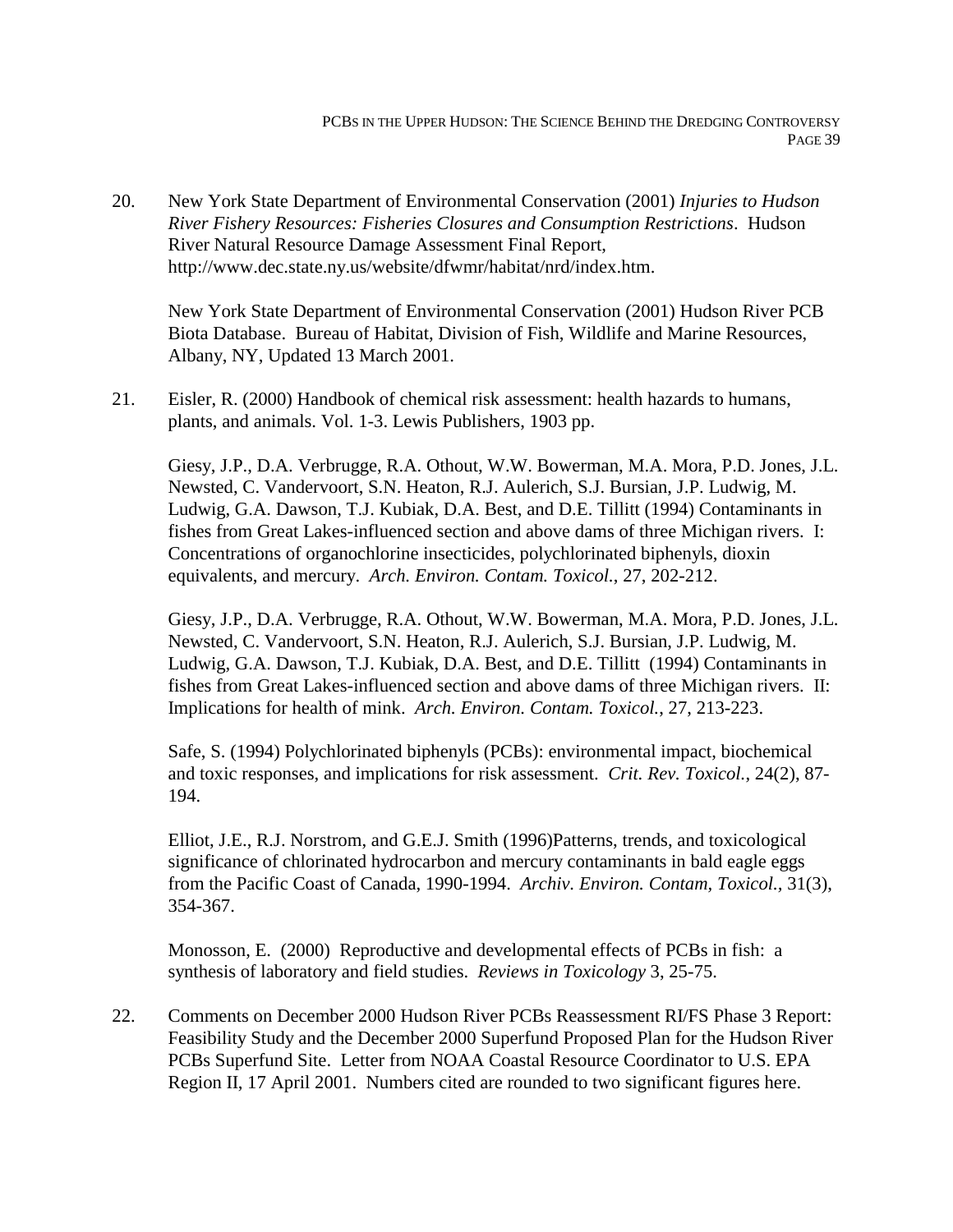20. New York State Department of Environmental Conservation (2001) *Injuries to Hudson River Fishery Resources: Fisheries Closures and Consumption Restrictions*. Hudson River Natural Resource Damage Assessment Final Report, http://www.dec.state.ny.us/website/dfwmr/habitat/nrd/index.htm.

New York State Department of Environmental Conservation (2001) Hudson River PCB Biota Database. Bureau of Habitat, Division of Fish, Wildlife and Marine Resources, Albany, NY, Updated 13 March 2001.

21. Eisler, R. (2000) Handbook of chemical risk assessment: health hazards to humans, plants, and animals. Vol. 1-3. Lewis Publishers, 1903 pp.

Giesy, J.P., D.A. Verbrugge, R.A. Othout, W.W. Bowerman, M.A. Mora, P.D. Jones, J.L. Newsted, C. Vandervoort, S.N. Heaton, R.J. Aulerich, S.J. Bursian, J.P. Ludwig, M. Ludwig, G.A. Dawson, T.J. Kubiak, D.A. Best, and D.E. Tillitt (1994) Contaminants in fishes from Great Lakes-influenced section and above dams of three Michigan rivers. I: Concentrations of organochlorine insecticides, polychlorinated biphenyls, dioxin equivalents, and mercury. *Arch. Environ. Contam. Toxicol.*, 27, 202-212.

Giesy, J.P., D.A. Verbrugge, R.A. Othout, W.W. Bowerman, M.A. Mora, P.D. Jones, J.L. Newsted, C. Vandervoort, S.N. Heaton, R.J. Aulerich, S.J. Bursian, J.P. Ludwig, M. Ludwig, G.A. Dawson, T.J. Kubiak, D.A. Best, and D.E. Tillitt (1994) Contaminants in fishes from Great Lakes-influenced section and above dams of three Michigan rivers. II: Implications for health of mink. *Arch. Environ. Contam. Toxicol.*, 27, 213-223.

Safe, S. (1994) Polychlorinated biphenyls (PCBs): environmental impact, biochemical and toxic responses, and implications for risk assessment. *Crit. Rev. Toxicol.*, 24(2), 87- 194.

Elliot, J.E., R.J. Norstrom, and G.E.J. Smith (1996)Patterns, trends, and toxicological significance of chlorinated hydrocarbon and mercury contaminants in bald eagle eggs from the Pacific Coast of Canada, 1990-1994. *Archiv. Environ. Contam, Toxicol.,* 31(3), 354-367.

Monosson, E. (2000) Reproductive and developmental effects of PCBs in fish: a synthesis of laboratory and field studies. *Reviews in Toxicology* 3, 25-75.

22. Comments on December 2000 Hudson River PCBs Reassessment RI/FS Phase 3 Report: Feasibility Study and the December 2000 Superfund Proposed Plan for the Hudson River PCBs Superfund Site. Letter from NOAA Coastal Resource Coordinator to U.S. EPA Region II, 17 April 2001. Numbers cited are rounded to two significant figures here.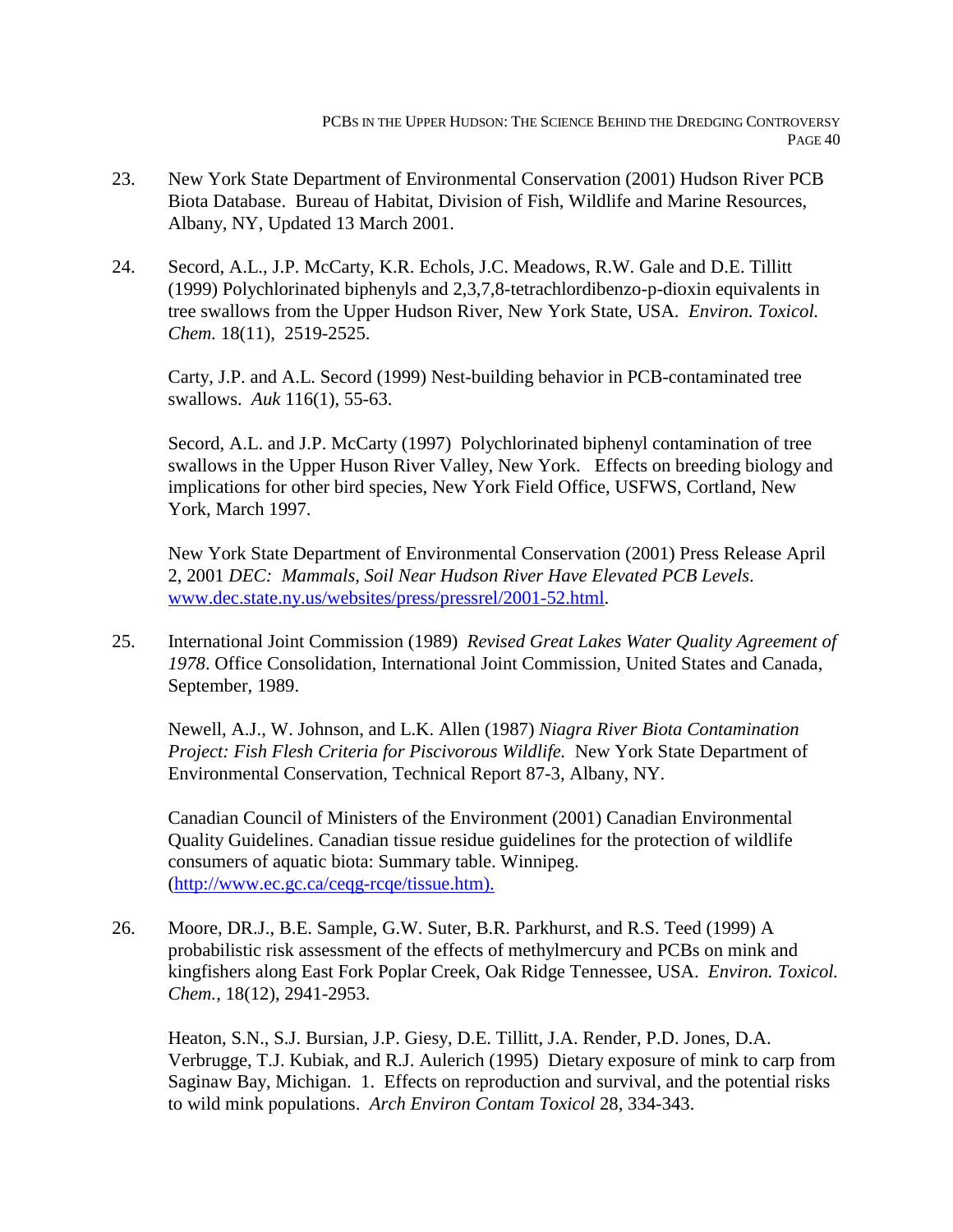- 23. New York State Department of Environmental Conservation (2001) Hudson River PCB Biota Database. Bureau of Habitat, Division of Fish, Wildlife and Marine Resources, Albany, NY, Updated 13 March 2001.
- 24. Secord, A.L., J.P. McCarty, K.R. Echols, J.C. Meadows, R.W. Gale and D.E. Tillitt (1999) Polychlorinated biphenyls and 2,3,7,8-tetrachlordibenzo-p-dioxin equivalents in tree swallows from the Upper Hudson River, New York State, USA. *Environ. Toxicol. Chem.* 18(11), 2519-2525.

Carty, J.P. and A.L. Secord (1999) Nest-building behavior in PCB-contaminated tree swallows. *Auk* 116(1), 55-63.

Secord, A.L. and J.P. McCarty (1997) Polychlorinated biphenyl contamination of tree swallows in the Upper Huson River Valley, New York. Effects on breeding biology and implications for other bird species, New York Field Office, USFWS, Cortland, New York, March 1997.

New York State Department of Environmental Conservation (2001) Press Release April 2, 2001 *DEC: Mammals, Soil Near Hudson River Have Elevated PCB Levels*. www.dec.state.ny.us/websites/press/pressrel/2001-52.html.

25. International Joint Commission (1989) *Revised Great Lakes Water Quality Agreement of 1978*. Office Consolidation, International Joint Commission, United States and Canada, September, 1989.

Newell, A.J., W. Johnson, and L.K. Allen (1987) *Niagra River Biota Contamination Project: Fish Flesh Criteria for Piscivorous Wildlife.* New York State Department of Environmental Conservation, Technical Report 87-3, Albany, NY.

Canadian Council of Ministers of the Environment (2001) Canadian Environmental Quality Guidelines. Canadian tissue residue guidelines for the protection of wildlife consumers of aquatic biota: Summary table. Winnipeg. (http://www.ec.gc.ca/ceqg-rcqe/tissue.htm).

26. Moore, DR.J., B.E. Sample, G.W. Suter, B.R. Parkhurst, and R.S. Teed (1999) A probabilistic risk assessment of the effects of methylmercury and PCBs on mink and kingfishers along East Fork Poplar Creek, Oak Ridge Tennessee, USA. *Environ. Toxicol. Chem.*, 18(12), 2941-2953.

Heaton, S.N., S.J. Bursian, J.P. Giesy, D.E. Tillitt, J.A. Render, P.D. Jones, D.A. Verbrugge, T.J. Kubiak, and R.J. Aulerich (1995) Dietary exposure of mink to carp from Saginaw Bay, Michigan. 1. Effects on reproduction and survival, and the potential risks to wild mink populations. *Arch Environ Contam Toxicol* 28, 334-343.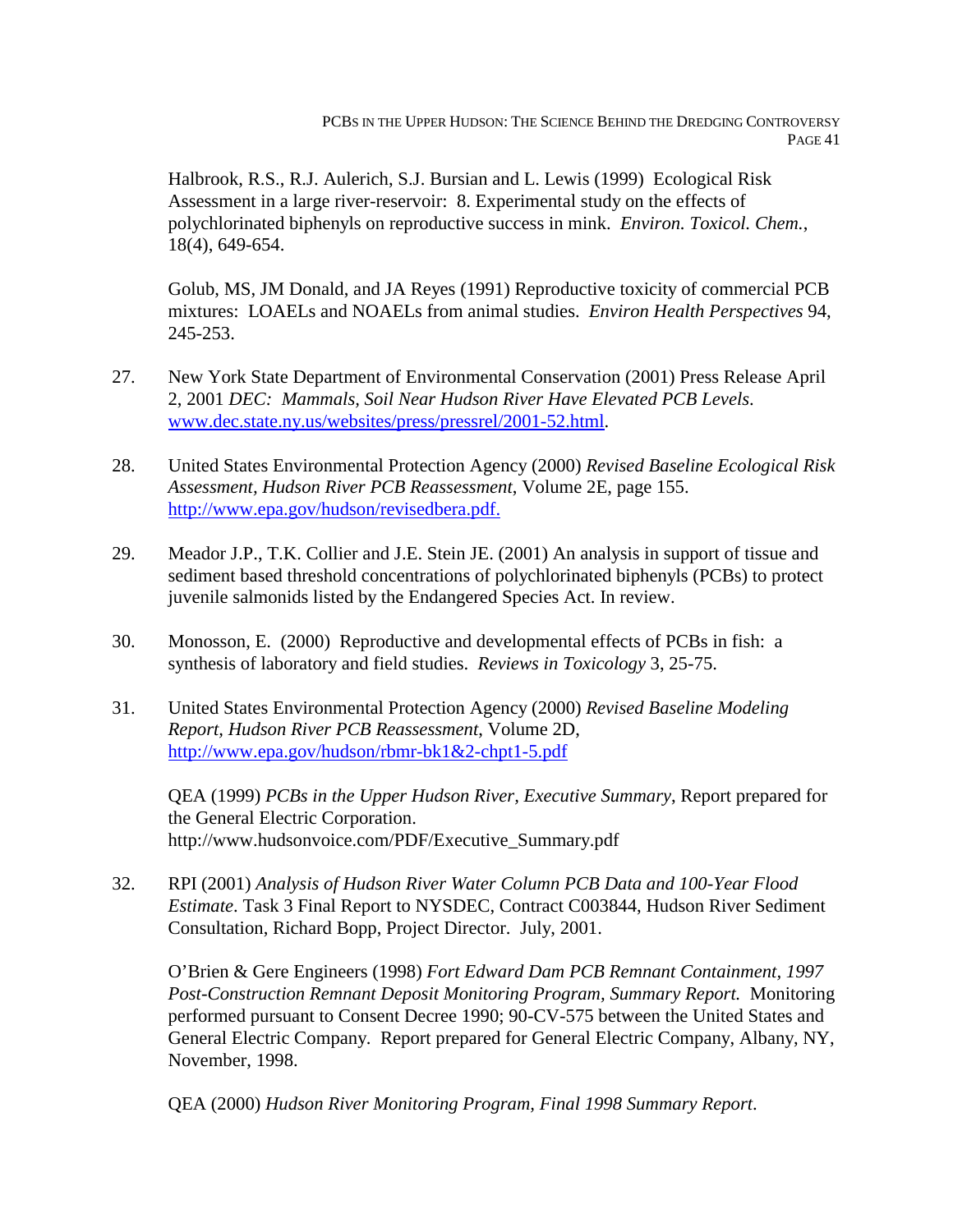Halbrook, R.S., R.J. Aulerich, S.J. Bursian and L. Lewis (1999) Ecological Risk Assessment in a large river-reservoir: 8. Experimental study on the effects of polychlorinated biphenyls on reproductive success in mink. *Environ. Toxicol. Chem.*, 18(4), 649-654.

Golub, MS, JM Donald, and JA Reyes (1991) Reproductive toxicity of commercial PCB mixtures: LOAELs and NOAELs from animal studies. *Environ Health Perspectives* 94, 245-253.

- 27. New York State Department of Environmental Conservation (2001) Press Release April 2, 2001 *DEC: Mammals, Soil Near Hudson River Have Elevated PCB Levels*. www.dec.state.ny.us/websites/press/pressrel/2001-52.html.
- 28. United States Environmental Protection Agency (2000) *Revised Baseline Ecological Risk Assessment, Hudson River PCB Reassessment*, Volume 2E, page 155. http://www.epa.gov/hudson/revisedbera.pdf.
- 29. Meador J.P., T.K. Collier and J.E. Stein JE. (2001) An analysis in support of tissue and sediment based threshold concentrations of polychlorinated biphenyls (PCBs) to protect juvenile salmonids listed by the Endangered Species Act. In review.
- 30. Monosson, E. (2000) Reproductive and developmental effects of PCBs in fish: a synthesis of laboratory and field studies. *Reviews in Toxicology* 3, 25-75.
- 31. United States Environmental Protection Agency (2000) *Revised Baseline Modeling Report, Hudson River PCB Reassessment*, Volume 2D, http://www.epa.gov/hudson/rbmr-bk1&2-chpt1-5.pdf

QEA (1999) *PCBs in the Upper Hudson River, Executive Summary*, Report prepared for the General Electric Corporation. http://www.hudsonvoice.com/PDF/Executive\_Summary.pdf

32. RPI (2001) *Analysis of Hudson River Water Column PCB Data and 100-Year Flood Estimate*. Task 3 Final Report to NYSDEC, Contract C003844, Hudson River Sediment Consultation, Richard Bopp, Project Director. July, 2001.

O'Brien & Gere Engineers (1998) *Fort Edward Dam PCB Remnant Containment, 1997 Post-Construction Remnant Deposit Monitoring Program, Summary Report.* Monitoring performed pursuant to Consent Decree 1990; 90-CV-575 between the United States and General Electric Company. Report prepared for General Electric Company, Albany, NY, November, 1998.

QEA (2000) *Hudson River Monitoring Program, Final 1998 Summary Report*.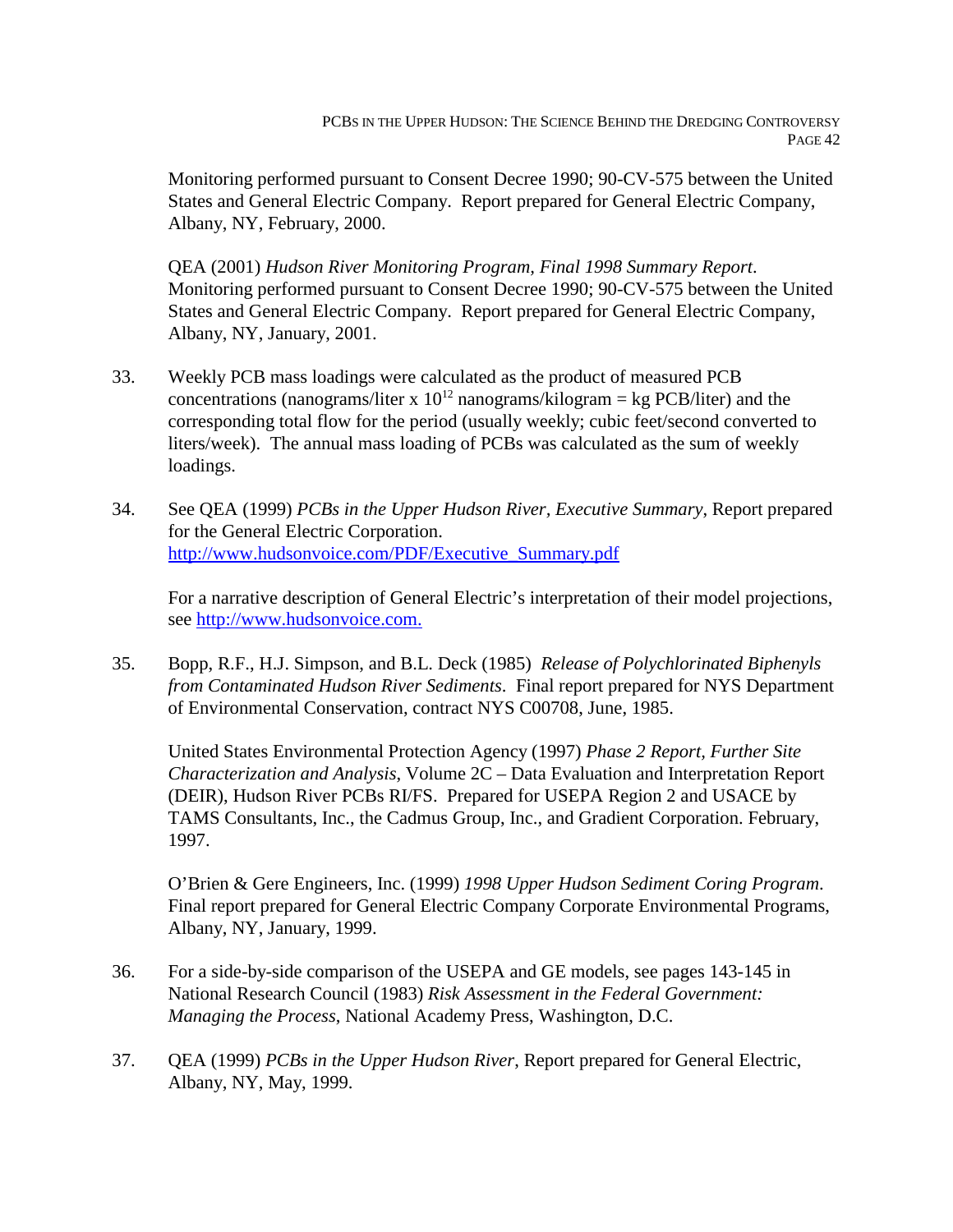Monitoring performed pursuant to Consent Decree 1990; 90-CV-575 between the United States and General Electric Company. Report prepared for General Electric Company, Albany, NY, February, 2000.

QEA (2001) *Hudson River Monitoring Program, Final 1998 Summary Report*. Monitoring performed pursuant to Consent Decree 1990; 90-CV-575 between the United States and General Electric Company. Report prepared for General Electric Company, Albany, NY, January, 2001.

- 33. Weekly PCB mass loadings were calculated as the product of measured PCB concentrations (nanograms/liter x  $10^{12}$  nanograms/kilogram = kg PCB/liter) and the corresponding total flow for the period (usually weekly; cubic feet/second converted to liters/week). The annual mass loading of PCBs was calculated as the sum of weekly loadings.
- 34. See QEA (1999) *PCBs in the Upper Hudson River, Executive Summary*, Report prepared for the General Electric Corporation. http://www.hudsonvoice.com/PDF/Executive\_Summary.pdf

For a narrative description of General Electric's interpretation of their model projections, see http://www.hudsonvoice.com.

35. Bopp, R.F., H.J. Simpson, and B.L. Deck (1985) *Release of Polychlorinated Biphenyls from Contaminated Hudson River Sediments*. Final report prepared for NYS Department of Environmental Conservation, contract NYS C00708, June, 1985.

United States Environmental Protection Agency (1997) *Phase 2 Report, Further Site Characterization and Analysis*, Volume 2C – Data Evaluation and Interpretation Report (DEIR), Hudson River PCBs RI/FS. Prepared for USEPA Region 2 and USACE by TAMS Consultants, Inc., the Cadmus Group, Inc., and Gradient Corporation. February, 1997.

O'Brien & Gere Engineers, Inc. (1999) *1998 Upper Hudson Sediment Coring Program*. Final report prepared for General Electric Company Corporate Environmental Programs, Albany, NY, January, 1999.

- 36. For a side-by-side comparison of the USEPA and GE models, see pages 143-145 in National Research Council (1983) *Risk Assessment in the Federal Government: Managing the Process*, National Academy Press, Washington, D.C.
- 37. QEA (1999) *PCBs in the Upper Hudson River*, Report prepared for General Electric, Albany, NY, May, 1999.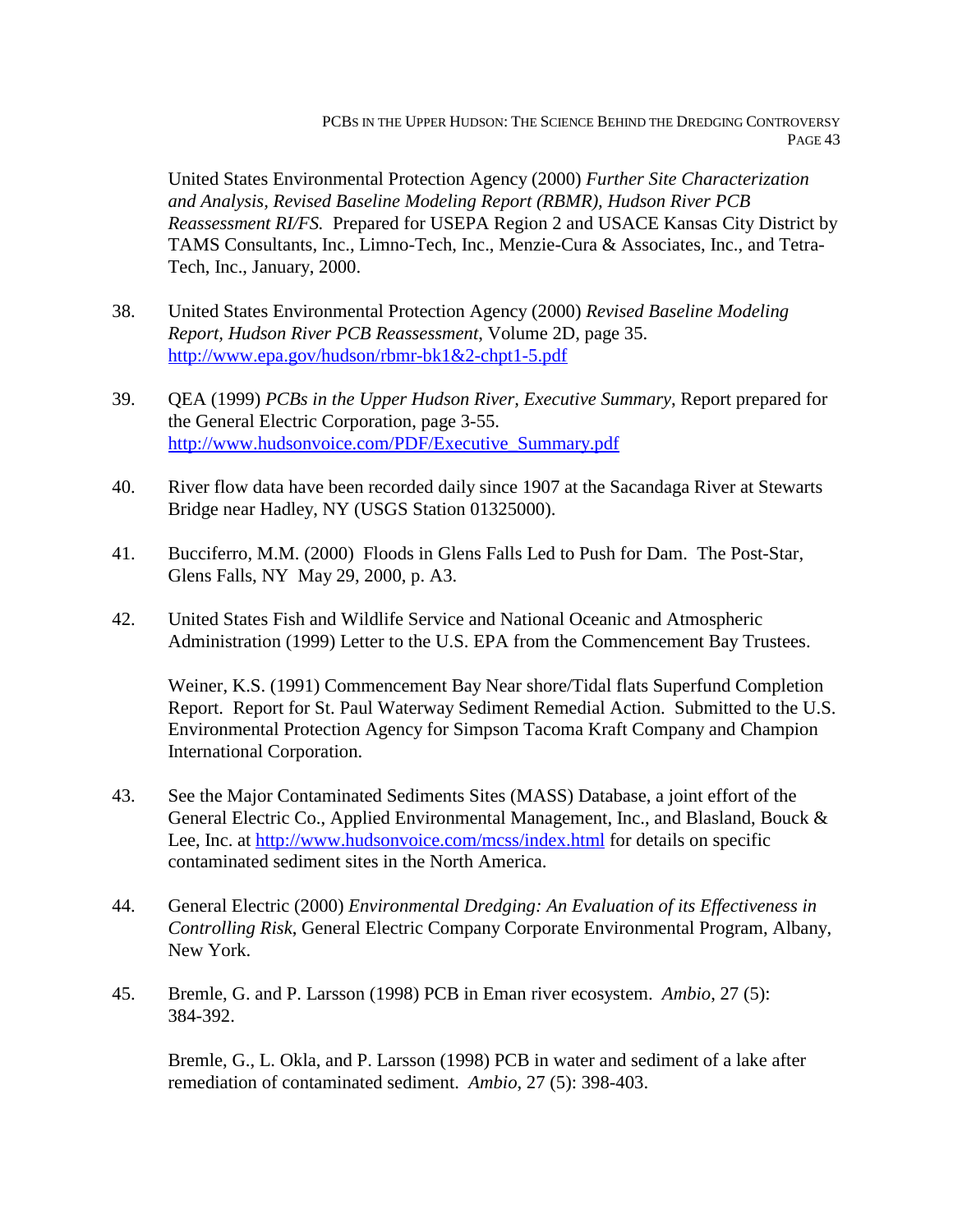United States Environmental Protection Agency (2000) *Further Site Characterization and Analysis, Revised Baseline Modeling Report (RBMR), Hudson River PCB Reassessment RI/FS.* Prepared for USEPA Region 2 and USACE Kansas City District by TAMS Consultants, Inc., Limno-Tech, Inc., Menzie-Cura & Associates, Inc., and Tetra-Tech, Inc., January, 2000.

- 38. United States Environmental Protection Agency (2000) *Revised Baseline Modeling Report, Hudson River PCB Reassessment*, Volume 2D, page 35. http://www.epa.gov/hudson/rbmr-bk1&2-chpt1-5.pdf
- 39. QEA (1999) *PCBs in the Upper Hudson River, Executive Summary*, Report prepared for the General Electric Corporation, page 3-55. http://www.hudsonvoice.com/PDF/Executive\_Summary.pdf
- 40. River flow data have been recorded daily since 1907 at the Sacandaga River at Stewarts Bridge near Hadley, NY (USGS Station 01325000).
- 41. Bucciferro, M.M. (2000) Floods in Glens Falls Led to Push for Dam. The Post-Star, Glens Falls, NY May 29, 2000, p. A3.
- 42. United States Fish and Wildlife Service and National Oceanic and Atmospheric Administration (1999) Letter to the U.S. EPA from the Commencement Bay Trustees.

Weiner, K.S. (1991) Commencement Bay Near shore/Tidal flats Superfund Completion Report. Report for St. Paul Waterway Sediment Remedial Action. Submitted to the U.S. Environmental Protection Agency for Simpson Tacoma Kraft Company and Champion International Corporation.

- 43. See the Major Contaminated Sediments Sites (MASS) Database, a joint effort of the General Electric Co., Applied Environmental Management, Inc., and Blasland, Bouck & Lee, Inc. at http://www.hudsonvoice.com/mcss/index.html for details on specific contaminated sediment sites in the North America.
- 44. General Electric (2000) *Environmental Dredging: An Evaluation of its Effectiveness in Controlling Risk*, General Electric Company Corporate Environmental Program, Albany, New York.
- 45. Bremle, G. and P. Larsson (1998) PCB in Eman river ecosystem. *Ambio*, 27 (5): 384-392.

Bremle, G., L. Okla, and P. Larsson (1998) PCB in water and sediment of a lake after remediation of contaminated sediment. *Ambio*, 27 (5): 398-403.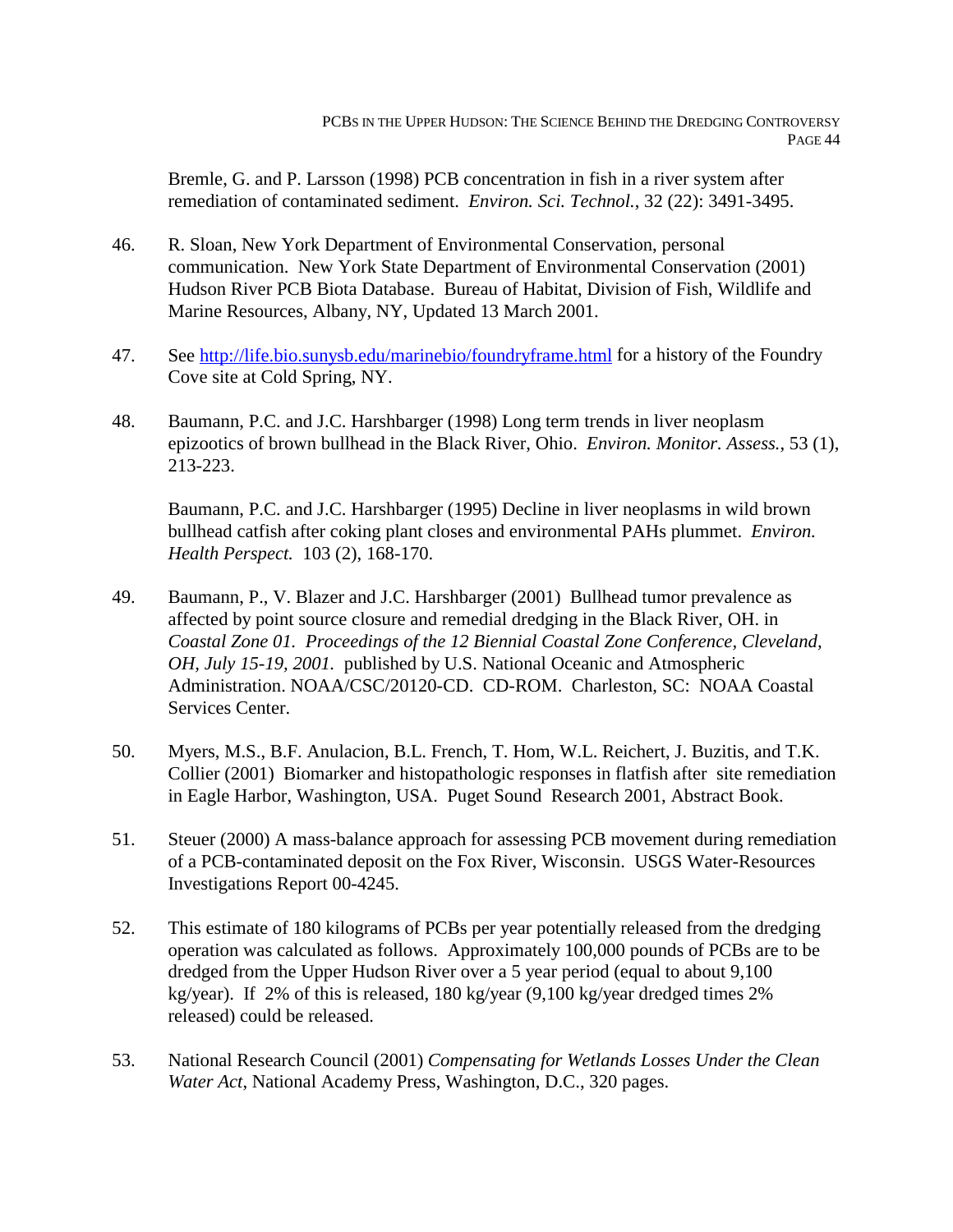Bremle, G. and P. Larsson (1998) PCB concentration in fish in a river system after remediation of contaminated sediment. *Environ. Sci. Technol.*, 32 (22): 3491-3495.

- 46. R. Sloan, New York Department of Environmental Conservation, personal communication. New York State Department of Environmental Conservation (2001) Hudson River PCB Biota Database. Bureau of Habitat, Division of Fish, Wildlife and Marine Resources, Albany, NY, Updated 13 March 2001.
- 47. See http://life.bio.sunysb.edu/marinebio/foundryframe.html for a history of the Foundry Cove site at Cold Spring, NY.
- 48. Baumann, P.C. and J.C. Harshbarger (1998) Long term trends in liver neoplasm epizootics of brown bullhead in the Black River, Ohio. *Environ. Monitor. Assess.*, 53 (1), 213-223.

Baumann, P.C. and J.C. Harshbarger (1995) Decline in liver neoplasms in wild brown bullhead catfish after coking plant closes and environmental PAHs plummet. *Environ. Health Perspect.* 103 (2), 168-170.

- 49. Baumann, P., V. Blazer and J.C. Harshbarger (2001) Bullhead tumor prevalence as affected by point source closure and remedial dredging in the Black River, OH. in *Coastal Zone 01. Proceedings of the 12 Biennial Coastal Zone Conference, Cleveland, OH, July 15-19, 2001.* published by U.S. National Oceanic and Atmospheric Administration. NOAA/CSC/20120-CD. CD-ROM. Charleston, SC: NOAA Coastal Services Center.
- 50. Myers, M.S., B.F. Anulacion, B.L. French, T. Hom, W.L. Reichert, J. Buzitis, and T.K. Collier (2001) Biomarker and histopathologic responses in flatfish after site remediation in Eagle Harbor, Washington, USA. Puget Sound Research 2001, Abstract Book.
- 51. Steuer (2000) A mass-balance approach for assessing PCB movement during remediation of a PCB-contaminated deposit on the Fox River, Wisconsin. USGS Water-Resources Investigations Report 00-4245.
- 52. This estimate of 180 kilograms of PCBs per year potentially released from the dredging operation was calculated as follows. Approximately 100,000 pounds of PCBs are to be dredged from the Upper Hudson River over a 5 year period (equal to about 9,100 kg/year). If 2% of this is released, 180 kg/year (9,100 kg/year dredged times 2% released) could be released.
- 53. National Research Council (2001) *Compensating for Wetlands Losses Under the Clean Water Act*, National Academy Press, Washington, D.C., 320 pages.